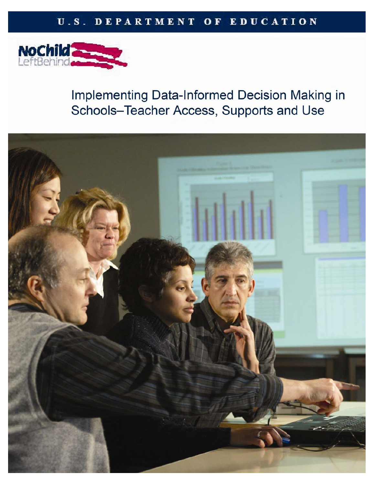## U.S. DEPARTMENT OF EDUCATION



# Implementing Data-Informed Decision Making in Schools-Teacher Access, Supports and Use

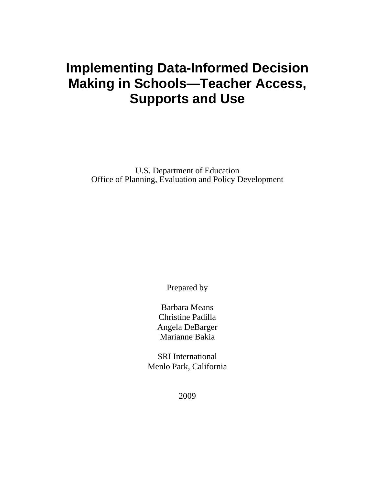# **Implementing Data-Informed Decision Making in Schools—Teacher Access, Supports and Use**

U.S. Department of Education Office of Planning, Evaluation and Policy Development

Prepared by

Barbara Means Christine Padilla Angela DeBarger Marianne Bakia

SRI International Menlo Park, California

2009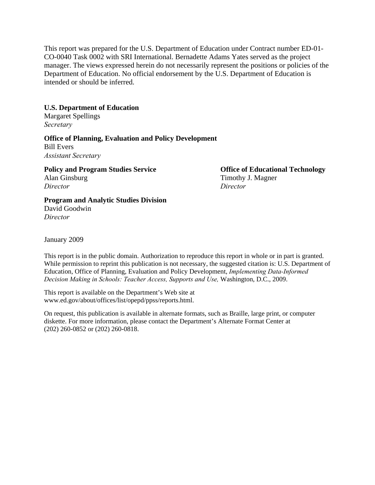This report was prepared for the U.S. Department of Education under Contract number ED-01- CO-0040 Task 0002 with SRI International. Bernadette Adams Yates served as the project manager. The views expressed herein do not necessarily represent the positions or policies of the Department of Education. No official endorsement by the U.S. Department of Education is intended or should be inferred.

## **U.S. Department of Education**

Margaret Spellings *Secretary* 

## **Office of Planning, Evaluation and Policy Development**

Bill Evers *Assistant Secretary* 

**Policy and Program Studies Service Contract Contract Office of Educational Technology** 

*Director Director* 

Alan Ginsburg Timothy J. Magner

## **Program and Analytic Studies Division**

David Goodwin *Director* 

January 2009

This report is in the public domain. Authorization to reproduce this report in whole or in part is granted. While permission to reprint this publication is not necessary, the suggested citation is: U.S. Department of Education, Office of Planning, Evaluation and Policy Development, *Implementing Data-Informed Decision Making in Schools: Teacher Access, Supports and Use,* Washington, D.C., 2009.

This report is available on the Department's Web site at www.ed.gov/about/offices/list/opepd/ppss/reports.html.

On request, this publication is available in alternate formats, such as Braille, large print, or computer diskette. For more information, please contact the Department's Alternate Format Center at (202) 260-0852 or (202) 260-0818.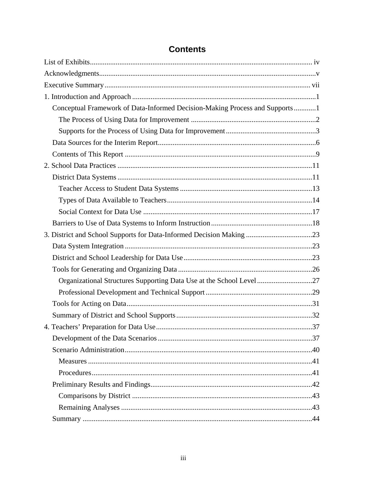| Conceptual Framework of Data-Informed Decision-Making Process and Supports1 |  |
|-----------------------------------------------------------------------------|--|
|                                                                             |  |
|                                                                             |  |
|                                                                             |  |
|                                                                             |  |
|                                                                             |  |
|                                                                             |  |
|                                                                             |  |
|                                                                             |  |
|                                                                             |  |
|                                                                             |  |
| 3. District and School Supports for Data-Informed Decision Making 23        |  |
|                                                                             |  |
|                                                                             |  |
|                                                                             |  |
| Organizational Structures Supporting Data Use at the School Level27         |  |
|                                                                             |  |
|                                                                             |  |
|                                                                             |  |
|                                                                             |  |
|                                                                             |  |
|                                                                             |  |
|                                                                             |  |
|                                                                             |  |
|                                                                             |  |
|                                                                             |  |
|                                                                             |  |
|                                                                             |  |

## **Contents**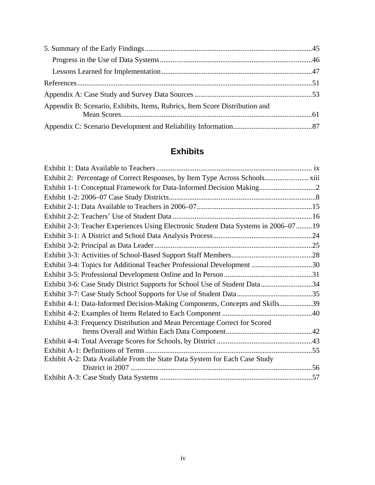| Appendix B: Scenario, Exhibits, Items, Rubrics, Item Score Distribution and |  |
|-----------------------------------------------------------------------------|--|
|                                                                             |  |

# **Exhibits**

| Exhibit 1-1: Conceptual Framework for Data-Informed Decision Making2                |  |
|-------------------------------------------------------------------------------------|--|
|                                                                                     |  |
|                                                                                     |  |
|                                                                                     |  |
| Exhibit 2-3: Teacher Experiences Using Electronic Student Data Systems in 2006–0719 |  |
|                                                                                     |  |
|                                                                                     |  |
|                                                                                     |  |
| Exhibit 3-4: Topics for Additional Teacher Professional Development 30              |  |
|                                                                                     |  |
| Exhibit 3-6: Case Study District Supports for School Use of Student Data34          |  |
|                                                                                     |  |
| Exhibit 4-1: Data-Informed Decision-Making Components, Concepts and Skills39        |  |
|                                                                                     |  |
| Exhibit 4-3: Frequency Distribution and Mean Percentage Correct for Scored          |  |
|                                                                                     |  |
|                                                                                     |  |
|                                                                                     |  |
| Exhibit A-2: Data Available From the State Data System for Each Case Study          |  |
|                                                                                     |  |
|                                                                                     |  |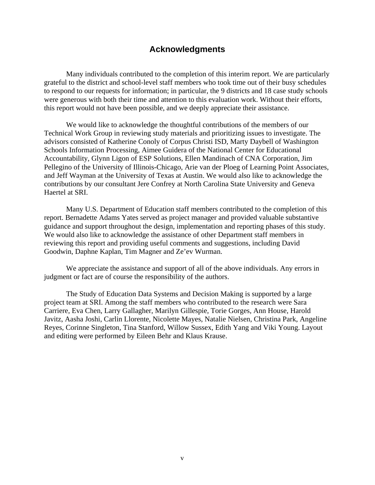## **Acknowledgments**

Many individuals contributed to the completion of this interim report. We are particularly grateful to the district and school-level staff members who took time out of their busy schedules to respond to our requests for information; in particular, the 9 districts and 18 case study schools were generous with both their time and attention to this evaluation work. Without their efforts, this report would not have been possible, and we deeply appreciate their assistance.

We would like to acknowledge the thoughtful contributions of the members of our Technical Work Group in reviewing study materials and prioritizing issues to investigate. The advisors consisted of Katherine Conoly of Corpus Christi ISD, Marty Daybell of Washington Schools Information Processing, Aimee Guidera of the National Center for Educational Accountability, Glynn Ligon of ESP Solutions, Ellen Mandinach of CNA Corporation, Jim Pellegino of the University of Illinois-Chicago, Arie van der Ploeg of Learning Point Associates, and Jeff Wayman at the University of Texas at Austin. We would also like to acknowledge the contributions by our consultant Jere Confrey at North Carolina State University and Geneva Haertel at SRI.

Many U.S. Department of Education staff members contributed to the completion of this report. Bernadette Adams Yates served as project manager and provided valuable substantive guidance and support throughout the design, implementation and reporting phases of this study. We would also like to acknowledge the assistance of other Department staff members in reviewing this report and providing useful comments and suggestions, including David Goodwin, Daphne Kaplan, Tim Magner and Ze'ev Wurman.

We appreciate the assistance and support of all of the above individuals. Any errors in judgment or fact are of course the responsibility of the authors.

The Study of Education Data Systems and Decision Making is supported by a large project team at SRI. Among the staff members who contributed to the research were Sara Carriere, Eva Chen, Larry Gallagher, Marilyn Gillespie, Torie Gorges, Ann House, Harold Javitz, Aasha Joshi, Carlin Llorente, Nicolette Mayes, Natalie Nielsen, Christina Park, Angeline Reyes, Corinne Singleton, Tina Stanford, Willow Sussex, Edith Yang and Viki Young. Layout and editing were performed by Eileen Behr and Klaus Krause.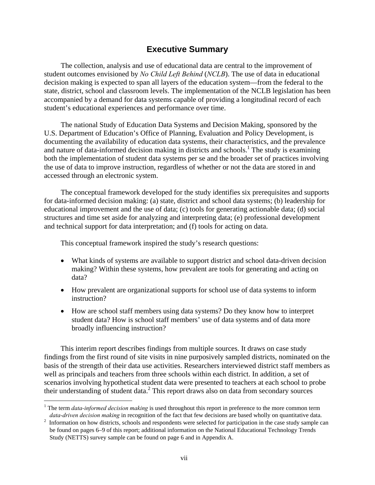## **Executive Summary**

The collection, analysis and use of educational data are central to the improvement of student outcomes envisioned by *No Child Left Behind* (*NCLB*). The use of data in educational decision making is expected to span all layers of the education system—from the federal to the state, district, school and classroom levels. The implementation of the NCLB legislation has been accompanied by a demand for data systems capable of providing a longitudinal record of each student's educational experiences and performance over time.

The national Study of Education Data Systems and Decision Making, sponsored by the U.S. Department of Education's Office of Planning, Evaluation and Policy Development, is documenting the availability of education data systems, their characteristics, and the prevalence and nature of data-informed decision making in districts and schools.<sup>1</sup> The study is examining both the implementation of student data systems per se and the broader set of practices involving the use of data to improve instruction, regardless of whether or not the data are stored in and accessed through an electronic system.

The conceptual framework developed for the study identifies six prerequisites and supports for data-informed decision making: (a) state, district and school data systems; (b) leadership for educational improvement and the use of data; (c) tools for generating actionable data; (d) social structures and time set aside for analyzing and interpreting data; (e) professional development and technical support for data interpretation; and (f) tools for acting on data.

This conceptual framework inspired the study's research questions:

- What kinds of systems are available to support district and school data-driven decision making? Within these systems, how prevalent are tools for generating and acting on data?
- How prevalent are organizational supports for school use of data systems to inform instruction?
- How are school staff members using data systems? Do they know how to interpret student data? How is school staff members' use of data systems and of data more broadly influencing instruction?

This interim report describes findings from multiple sources. It draws on case study findings from the first round of site visits in nine purposively sampled districts, nominated on the basis of the strength of their data use activities. Researchers interviewed district staff members as well as principals and teachers from three schools within each district. In addition, a set of scenarios involving hypothetical student data were presented to teachers at each school to probe their understanding of student data.<sup>2</sup> This report draws also on data from secondary sources

 $\overline{a}$ 

<sup>&</sup>lt;sup>1</sup> The term *data-informed decision making* is used throughout this report in preference to the more common term

*data-driven decision making* in recognition of the fact that few decisions are based wholly on quantitative data.<br><sup>2</sup> Information on how districts, schools and respondents were selected for participation in the case study be found on pages 6–9 of this report; additional information on the National Educational Technology Trends Study (NETTS) survey sample can be found on page 6 and in Appendix A.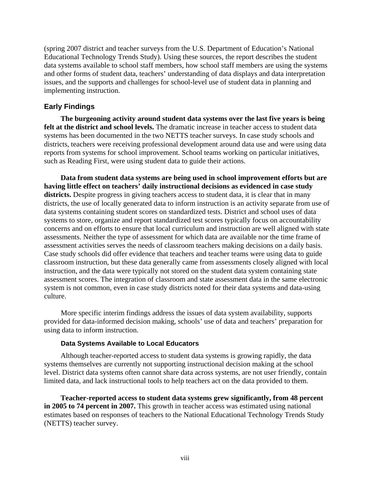(spring 2007 district and teacher surveys from the U.S. Department of Education's National Educational Technology Trends Study). Using these sources, the report describes the student data systems available to school staff members, how school staff members are using the systems and other forms of student data, teachers' understanding of data displays and data interpretation issues, and the supports and challenges for school-level use of student data in planning and implementing instruction.

## **Early Findings**

**The burgeoning activity around student data systems over the last five years is being felt at the district and school levels.** The dramatic increase in teacher access to student data systems has been documented in the two NETTS teacher surveys. In case study schools and districts, teachers were receiving professional development around data use and were using data reports from systems for school improvement. School teams working on particular initiatives, such as Reading First, were using student data to guide their actions.

**Data from student data systems are being used in school improvement efforts but are having little effect on teachers' daily instructional decisions as evidenced in case study**  districts. Despite progress in giving teachers access to student data, it is clear that in many districts, the use of locally generated data to inform instruction is an activity separate from use of data systems containing student scores on standardized tests. District and school uses of data systems to store, organize and report standardized test scores typically focus on accountability concerns and on efforts to ensure that local curriculum and instruction are well aligned with state assessments. Neither the type of assessment for which data are available nor the time frame of assessment activities serves the needs of classroom teachers making decisions on a daily basis. Case study schools did offer evidence that teachers and teacher teams were using data to guide classroom instruction, but these data generally came from assessments closely aligned with local instruction, and the data were typically not stored on the student data system containing state assessment scores. The integration of classroom and state assessment data in the same electronic system is not common, even in case study districts noted for their data systems and data-using culture.

More specific interim findings address the issues of data system availability, supports provided for data-informed decision making, schools' use of data and teachers' preparation for using data to inform instruction.

## **Data Systems Available to Local Educators**

Although teacher-reported access to student data systems is growing rapidly, the data systems themselves are currently not supporting instructional decision making at the school level. District data systems often cannot share data across systems, are not user friendly, contain limited data, and lack instructional tools to help teachers act on the data provided to them.

**Teacher-reported access to student data systems grew significantly, from 48 percent in 2005 to 74 percent in 2007.** This growth in teacher access was estimated using national estimates based on responses of teachers to the National Educational Technology Trends Study (NETTS) teacher survey.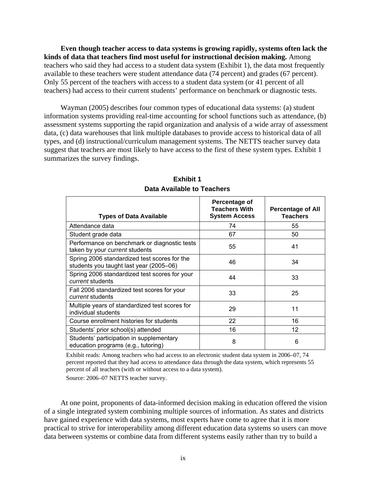**Even though teacher access to data systems is growing rapidly, systems often lack the kinds of data that teachers find most useful for instructional decision making.** Among teachers who said they had access to a student data system (Exhibit 1), the data most frequently available to these teachers were student attendance data (74 percent) and grades (67 percent). Only 55 percent of the teachers with access to a student data system (or 41 percent of all teachers) had access to their current students' performance on benchmark or diagnostic tests.

Wayman (2005) describes four common types of educational data systems: (a) student information systems providing real-time accounting for school functions such as attendance, (b) assessment systems supporting the rapid organization and analysis of a wide array of assessment data, (c) data warehouses that link multiple databases to provide access to historical data of all types, and (d) instructional/curriculum management systems. The NETTS teacher survey data suggest that teachers are most likely to have access to the first of these system types. Exhibit 1 summarizes the survey findings.

| <b>Types of Data Available</b>                                                          | Percentage of<br><b>Teachers With</b><br><b>System Access</b> | <b>Percentage of All</b><br><b>Teachers</b> |
|-----------------------------------------------------------------------------------------|---------------------------------------------------------------|---------------------------------------------|
| Attendance data                                                                         | 74                                                            | 55                                          |
| Student grade data                                                                      | 67                                                            | 50                                          |
| Performance on benchmark or diagnostic tests<br>taken by your current students          | 55                                                            | 41                                          |
| Spring 2006 standardized test scores for the<br>students you taught last year (2005–06) | 46                                                            | 34                                          |
| Spring 2006 standardized test scores for your<br>current students                       | 44                                                            | 33                                          |
| Fall 2006 standardized test scores for your<br><i>current</i> students                  | 33                                                            | 25                                          |
| Multiple years of standardized test scores for<br>individual students                   | 29                                                            | 11                                          |
| Course enrollment histories for students                                                | 22                                                            | 16                                          |
| Students' prior school(s) attended                                                      | 16                                                            | 12                                          |
| Students' participation in supplementary<br>education programs (e.g., tutoring)         | 8                                                             | 6                                           |

**Exhibit 1 Data Available to Teachers** 

Exhibit reads: Among teachers who had access to an electronic student data system in 2006–07, 74 percent reported that they had access to attendance data through the data system, which represents 55 percent of all teachers (with or without access to a data system).

Source: 2006–07 NETTS teacher survey.

At one point, proponents of data-informed decision making in education offered the vision of a single integrated system combining multiple sources of information. As states and districts have gained experience with data systems, most experts have come to agree that it is more practical to strive for interoperability among different education data systems so users can move data between systems or combine data from different systems easily rather than try to build a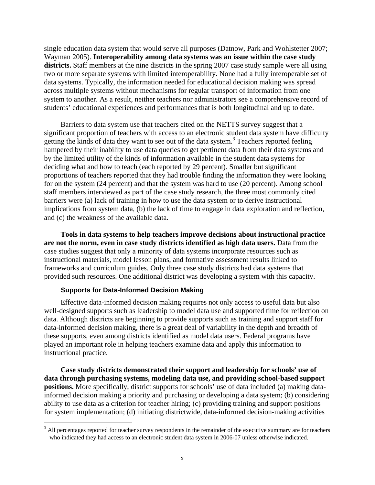single education data system that would serve all purposes (Datnow, Park and Wohlstetter 2007; Wayman 2005). **Interoperability among data systems was an issue within the case study districts.** Staff members at the nine districts in the spring 2007 case study sample were all using two or more separate systems with limited interoperability. None had a fully interoperable set of data systems. Typically, the information needed for educational decision making was spread across multiple systems without mechanisms for regular transport of information from one system to another. As a result, neither teachers nor administrators see a comprehensive record of students' educational experiences and performances that is both longitudinal and up to date.

Barriers to data system use that teachers cited on the NETTS survey suggest that a significant proportion of teachers with access to an electronic student data system have difficulty getting the kinds of data they want to see out of the data system.<sup>3</sup> Teachers reported feeling hampered by their inability to use data queries to get pertinent data from their data systems and by the limited utility of the kinds of information available in the student data systems for deciding what and how to teach (each reported by 29 percent). Smaller but significant proportions of teachers reported that they had trouble finding the information they were looking for on the system (24 percent) and that the system was hard to use (20 percent). Among school staff members interviewed as part of the case study research, the three most commonly cited barriers were (a) lack of training in how to use the data system or to derive instructional implications from system data, (b) the lack of time to engage in data exploration and reflection, and (c) the weakness of the available data.

**Tools in data systems to help teachers improve decisions about instructional practice are not the norm, even in case study districts identified as high data users.** Data from the case studies suggest that only a minority of data systems incorporate resources such as instructional materials, model lesson plans, and formative assessment results linked to frameworks and curriculum guides. Only three case study districts had data systems that provided such resources. One additional district was developing a system with this capacity.

## **Supports for Data-Informed Decision Making**

 $\overline{a}$ 

Effective data-informed decision making requires not only access to useful data but also well-designed supports such as leadership to model data use and supported time for reflection on data. Although districts are beginning to provide supports such as training and support staff for data-informed decision making, there is a great deal of variability in the depth and breadth of these supports, even among districts identified as model data users. Federal programs have played an important role in helping teachers examine data and apply this information to instructional practice.

**Case study districts demonstrated their support and leadership for schools' use of data through purchasing systems, modeling data use, and providing school-based support positions.** More specifically, district supports for schools' use of data included (a) making datainformed decision making a priority and purchasing or developing a data system; (b) considering ability to use data as a criterion for teacher hiring; (c) providing training and support positions for system implementation; (d) initiating districtwide, data-informed decision-making activities

 $3$  All percentages reported for teacher survey respondents in the remainder of the executive summary are for teachers who indicated they had access to an electronic student data system in 2006-07 unless otherwise indicated.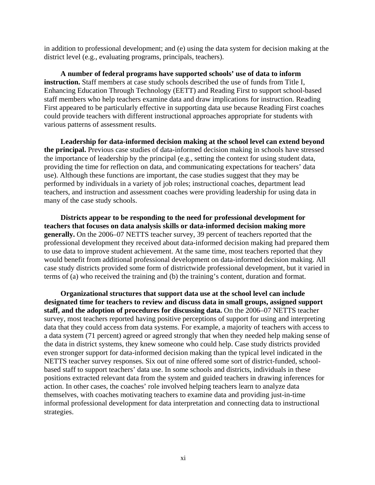in addition to professional development; and (e) using the data system for decision making at the district level (e.g., evaluating programs, principals, teachers).

**A number of federal programs have supported schools' use of data to inform instruction.** Staff members at case study schools described the use of funds from Title I, Enhancing Education Through Technology (EETT) and Reading First to support school-based staff members who help teachers examine data and draw implications for instruction. Reading First appeared to be particularly effective in supporting data use because Reading First coaches could provide teachers with different instructional approaches appropriate for students with various patterns of assessment results.

**Leadership for data-informed decision making at the school level can extend beyond the principal.** Previous case studies of data-informed decision making in schools have stressed the importance of leadership by the principal (e.g., setting the context for using student data, providing the time for reflection on data, and communicating expectations for teachers' data use). Although these functions are important, the case studies suggest that they may be performed by individuals in a variety of job roles; instructional coaches, department lead teachers, and instruction and assessment coaches were providing leadership for using data in many of the case study schools.

**Districts appear to be responding to the need for professional development for teachers that focuses on data analysis skills or data-informed decision making more generally.** On the 2006–07 NETTS teacher survey, 39 percent of teachers reported that the professional development they received about data-informed decision making had prepared them to use data to improve student achievement. At the same time, most teachers reported that they would benefit from additional professional development on data-informed decision making. All case study districts provided some form of districtwide professional development, but it varied in terms of (a) who received the training and (b) the training's content, duration and format.

**Organizational structures that support data use at the school level can include designated time for teachers to review and discuss data in small groups, assigned support staff, and the adoption of procedures for discussing data.** On the 2006–07 NETTS teacher survey, most teachers reported having positive perceptions of support for using and interpreting data that they could access from data systems. For example, a majority of teachers with access to a data system (71 percent) agreed or agreed strongly that when they needed help making sense of the data in district systems, they knew someone who could help. Case study districts provided even stronger support for data-informed decision making than the typical level indicated in the NETTS teacher survey responses. Six out of nine offered some sort of district-funded, schoolbased staff to support teachers' data use. In some schools and districts, individuals in these positions extracted relevant data from the system and guided teachers in drawing inferences for action. In other cases, the coaches' role involved helping teachers learn to analyze data themselves, with coaches motivating teachers to examine data and providing just-in-time informal professional development for data interpretation and connecting data to instructional strategies.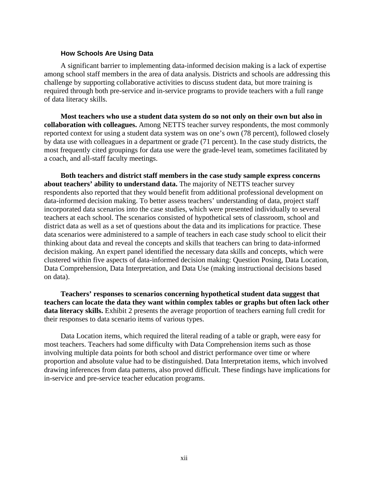#### **How Schools Are Using Data**

A significant barrier to implementing data-informed decision making is a lack of expertise among school staff members in the area of data analysis. Districts and schools are addressing this challenge by supporting collaborative activities to discuss student data, but more training is required through both pre-service and in-service programs to provide teachers with a full range of data literacy skills.

**Most teachers who use a student data system do so not only on their own but also in collaboration with colleagues.** Among NETTS teacher survey respondents, the most commonly reported context for using a student data system was on one's own (78 percent), followed closely by data use with colleagues in a department or grade (71 percent). In the case study districts, the most frequently cited groupings for data use were the grade-level team, sometimes facilitated by a coach, and all-staff faculty meetings.

**Both teachers and district staff members in the case study sample express concerns about teachers' ability to understand data.** The majority of NETTS teacher survey respondents also reported that they would benefit from additional professional development on data-informed decision making. To better assess teachers' understanding of data, project staff incorporated data scenarios into the case studies, which were presented individually to several teachers at each school. The scenarios consisted of hypothetical sets of classroom, school and district data as well as a set of questions about the data and its implications for practice. These data scenarios were administered to a sample of teachers in each case study school to elicit their thinking about data and reveal the concepts and skills that teachers can bring to data-informed decision making. An expert panel identified the necessary data skills and concepts, which were clustered within five aspects of data-informed decision making: Question Posing, Data Location, Data Comprehension, Data Interpretation, and Data Use (making instructional decisions based on data).

**Teachers' responses to scenarios concerning hypothetical student data suggest that teachers can locate the data they want within complex tables or graphs but often lack other data literacy skills.** Exhibit 2 presents the average proportion of teachers earning full credit for their responses to data scenario items of various types.

Data Location items, which required the literal reading of a table or graph, were easy for most teachers. Teachers had some difficulty with Data Comprehension items such as those involving multiple data points for both school and district performance over time or where proportion and absolute value had to be distinguished. Data Interpretation items, which involved drawing inferences from data patterns, also proved difficult. These findings have implications for in-service and pre-service teacher education programs.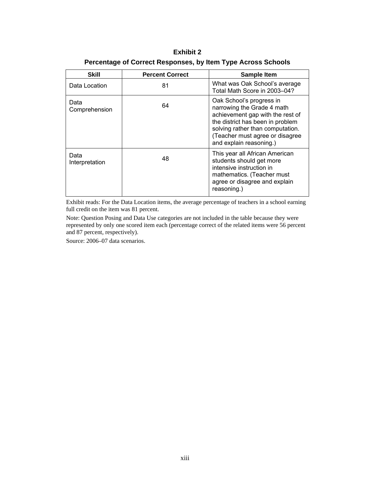**Exhibit 2 Percentage of Correct Responses, by Item Type Across Schools** 

| <b>Skill</b>           | <b>Percent Correct</b> | <b>Sample Item</b>                                                                                                                                                                                                               |
|------------------------|------------------------|----------------------------------------------------------------------------------------------------------------------------------------------------------------------------------------------------------------------------------|
| Data Location          | 81                     | What was Oak School's average<br>Total Math Score in 2003-04?                                                                                                                                                                    |
| Data<br>Comprehension  | 64                     | Oak School's progress in<br>narrowing the Grade 4 math<br>achievement gap with the rest of<br>the district has been in problem<br>solving rather than computation.<br>(Teacher must agree or disagree<br>and explain reasoning.) |
| Data<br>Interpretation | 48                     | This year all African American<br>students should get more<br>intensive instruction in<br>mathematics. (Teacher must<br>agree or disagree and explain<br>reasoning.)                                                             |

Exhibit reads: For the Data Location items, the average percentage of teachers in a school earning full credit on the item was 81 percent.

Note: Question Posing and Data Use categories are not included in the table because they were represented by only one scored item each (percentage correct of the related items were 56 percent and 87 percent, respectively).

Source: 2006–07 data scenarios.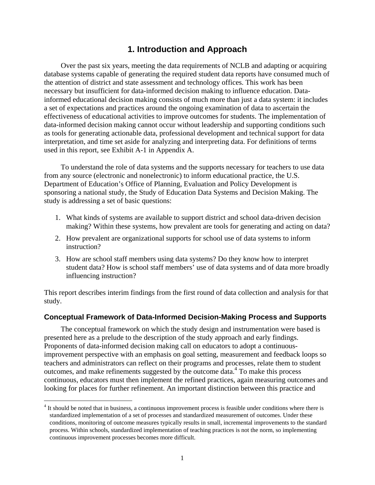## **1. Introduction and Approach**

Over the past six years, meeting the data requirements of NCLB and adapting or acquiring database systems capable of generating the required student data reports have consumed much of the attention of district and state assessment and technology offices. This work has been necessary but insufficient for data-informed decision making to influence education. Datainformed educational decision making consists of much more than just a data system: it includes a set of expectations and practices around the ongoing examination of data to ascertain the effectiveness of educational activities to improve outcomes for students. The implementation of data-informed decision making cannot occur without leadership and supporting conditions such as tools for generating actionable data, professional development and technical support for data interpretation, and time set aside for analyzing and interpreting data. For definitions of terms used in this report, see Exhibit A-1 in Appendix A.

To understand the role of data systems and the supports necessary for teachers to use data from any source (electronic and nonelectronic) to inform educational practice, the U.S. Department of Education's Office of Planning, Evaluation and Policy Development is sponsoring a national study, the Study of Education Data Systems and Decision Making. The study is addressing a set of basic questions:

- 1. What kinds of systems are available to support district and school data-driven decision making? Within these systems, how prevalent are tools for generating and acting on data?
- 2. How prevalent are organizational supports for school use of data systems to inform instruction?
- 3. How are school staff members using data systems? Do they know how to interpret student data? How is school staff members' use of data systems and of data more broadly influencing instruction?

This report describes interim findings from the first round of data collection and analysis for that study.

## **Conceptual Framework of Data-Informed Decision-Making Process and Supports**

The conceptual framework on which the study design and instrumentation were based is presented here as a prelude to the description of the study approach and early findings. Proponents of data-informed decision making call on educators to adopt a continuousimprovement perspective with an emphasis on goal setting, measurement and feedback loops so teachers and administrators can reflect on their programs and processes, relate them to student outcomes, and make refinements suggested by the outcome data.<sup>4</sup> To make this process continuous, educators must then implement the refined practices, again measuring outcomes and looking for places for further refinement. An important distinction between this practice and

 $\overline{a}$ 

<sup>&</sup>lt;sup>4</sup> It should be noted that in business, a continuous improvement process is feasible under conditions where there is standardized implementation of a set of processes and standardized measurement of outcomes. Under these conditions, monitoring of outcome measures typically results in small, incremental improvements to the standard process. Within schools, standardized implementation of teaching practices is not the norm, so implementing continuous improvement processes becomes more difficult.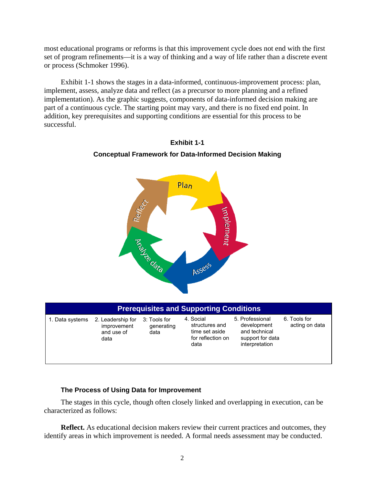most educational programs or reforms is that this improvement cycle does not end with the first set of program refinements—it is a way of thinking and a way of life rather than a discrete event or process (Schmoker 1996).

Exhibit 1-1 shows the stages in a data-informed, continuous-improvement process: plan, implement, assess, analyze data and reflect (as a precursor to more planning and a refined implementation). As the graphic suggests, components of data-informed decision making are part of a continuous cycle. The starting point may vary, and there is no fixed end point. In addition, key prerequisites and supporting conditions are essential for this process to be successful.



## **Exhibit 1-1 Conceptual Framework for Data-Informed Decision Making**

| <b>Prerequisites and Supporting Conditions</b> |                                                        |                                    |                                                                            |                                                                                       |                                |
|------------------------------------------------|--------------------------------------------------------|------------------------------------|----------------------------------------------------------------------------|---------------------------------------------------------------------------------------|--------------------------------|
| 1. Data systems                                | 2. Leadership for<br>improvement<br>and use of<br>data | 3: Tools for<br>generating<br>data | 4. Social<br>structures and<br>time set aside<br>for reflection on<br>data | 5. Professional<br>development<br>and technical<br>support for data<br>interpretation | 6. Tools for<br>acting on data |

## **The Process of Using Data for Improvement**

The stages in this cycle, though often closely linked and overlapping in execution, can be characterized as follows:

**Reflect.** As educational decision makers review their current practices and outcomes, they identify areas in which improvement is needed. A formal needs assessment may be conducted.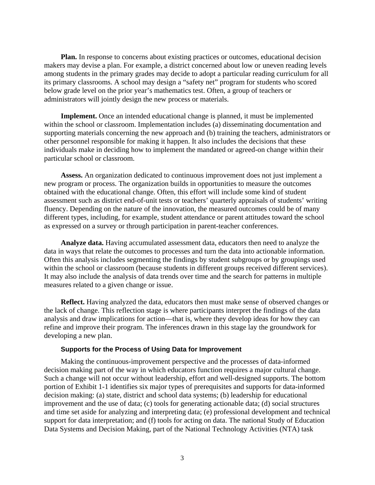**Plan.** In response to concerns about existing practices or outcomes, educational decision makers may devise a plan. For example, a district concerned about low or uneven reading levels among students in the primary grades may decide to adopt a particular reading curriculum for all its primary classrooms. A school may design a "safety net" program for students who scored below grade level on the prior year's mathematics test. Often, a group of teachers or administrators will jointly design the new process or materials.

**Implement.** Once an intended educational change is planned, it must be implemented within the school or classroom. Implementation includes (a) disseminating documentation and supporting materials concerning the new approach and (b) training the teachers, administrators or other personnel responsible for making it happen. It also includes the decisions that these individuals make in deciding how to implement the mandated or agreed-on change within their particular school or classroom.

**Assess.** An organization dedicated to continuous improvement does not just implement a new program or process. The organization builds in opportunities to measure the outcomes obtained with the educational change. Often, this effort will include some kind of student assessment such as district end-of-unit tests or teachers' quarterly appraisals of students' writing fluency. Depending on the nature of the innovation, the measured outcomes could be of many different types, including, for example, student attendance or parent attitudes toward the school as expressed on a survey or through participation in parent-teacher conferences.

**Analyze data.** Having accumulated assessment data, educators then need to analyze the data in ways that relate the outcomes to processes and turn the data into actionable information. Often this analysis includes segmenting the findings by student subgroups or by groupings used within the school or classroom (because students in different groups received different services). It may also include the analysis of data trends over time and the search for patterns in multiple measures related to a given change or issue.

**Reflect.** Having analyzed the data, educators then must make sense of observed changes or the lack of change. This reflection stage is where participants interpret the findings of the data analysis and draw implications for action—that is, where they develop ideas for how they can refine and improve their program. The inferences drawn in this stage lay the groundwork for developing a new plan.

#### **Supports for the Process of Using Data for Improvement**

Making the continuous-improvement perspective and the processes of data-informed decision making part of the way in which educators function requires a major cultural change. Such a change will not occur without leadership, effort and well-designed supports. The bottom portion of Exhibit 1-1 identifies six major types of prerequisites and supports for data-informed decision making: (a) state, district and school data systems; (b) leadership for educational improvement and the use of data; (c) tools for generating actionable data; (d) social structures and time set aside for analyzing and interpreting data; (e) professional development and technical support for data interpretation; and (f) tools for acting on data. The national Study of Education Data Systems and Decision Making, part of the National Technology Activities (NTA) task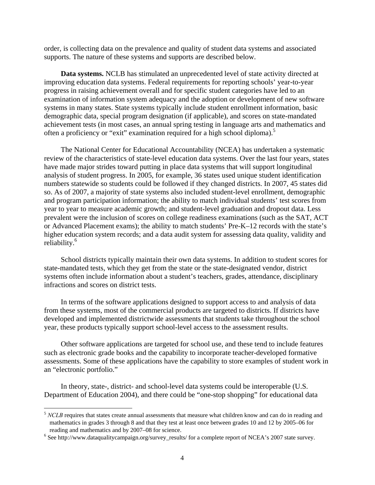order, is collecting data on the prevalence and quality of student data systems and associated supports. The nature of these systems and supports are described below.

**Data systems.** NCLB has stimulated an unprecedented level of state activity directed at improving education data systems. Federal requirements for reporting schools' year-to-year progress in raising achievement overall and for specific student categories have led to an examination of information system adequacy and the adoption or development of new software systems in many states. State systems typically include student enrollment information, basic demographic data, special program designation (if applicable), and scores on state-mandated achievement tests (in most cases, an annual spring testing in language arts and mathematics and often a proficiency or "exit" examination required for a high school diploma).<sup>5</sup>

The National Center for Educational Accountability (NCEA) has undertaken a systematic review of the characteristics of state-level education data systems. Over the last four years, states have made major strides toward putting in place data systems that will support longitudinal analysis of student progress. In 2005, for example, 36 states used unique student identification numbers statewide so students could be followed if they changed districts. In 2007, 45 states did so. As of 2007, a majority of state systems also included student-level enrollment, demographic and program participation information; the ability to match individual students' test scores from year to year to measure academic growth; and student-level graduation and dropout data. Less prevalent were the inclusion of scores on college readiness examinations (such as the SAT, ACT or Advanced Placement exams); the ability to match students' Pre-K–12 records with the state's higher education system records; and a data audit system for assessing data quality, validity and reliability.<sup>6</sup>

School districts typically maintain their own data systems. In addition to student scores for state-mandated tests, which they get from the state or the state-designated vendor, district systems often include information about a student's teachers, grades, attendance, disciplinary infractions and scores on district tests.

In terms of the software applications designed to support access to and analysis of data from these systems, most of the commercial products are targeted to districts. If districts have developed and implemented districtwide assessments that students take throughout the school year, these products typically support school-level access to the assessment results.

Other software applications are targeted for school use, and these tend to include features such as electronic grade books and the capability to incorporate teacher-developed formative assessments. Some of these applications have the capability to store examples of student work in an "electronic portfolio."

In theory, state-, district- and school-level data systems could be interoperable (U.S. Department of Education 2004), and there could be "one-stop shopping" for educational data

 $\overline{a}$ 

<sup>&</sup>lt;sup>5</sup> *NCLB* requires that states create annual assessments that measure what children know and can do in reading and mathematics in grades 3 through 8 and that they test at least once between grades 10 and 12 by 2005–06 for reading and mathematics and by 2007–08 for science.

<sup>&</sup>lt;sup>6</sup> See http://www.dataqualitycampaign.org/survey\_results/ for a complete report of NCEA's 2007 state survey.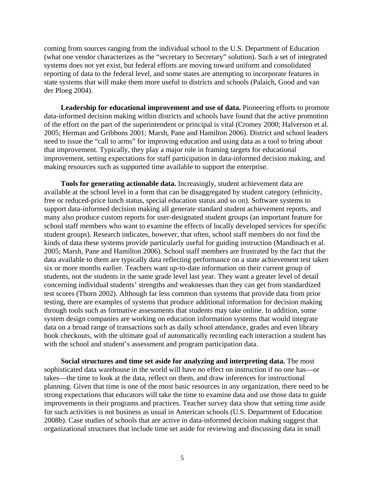coming from sources ranging from the individual school to the U.S. Department of Education (what one vendor characterizes as the "secretary to Secretary" solution). Such a set of integrated systems does not yet exist, but federal efforts are moving toward uniform and consolidated reporting of data to the federal level, and some states are attempting to incorporate features in state systems that will make them more useful to districts and schools (Palaich, Good and van der Ploeg 2004).

**Leadership for educational improvement and use of data.** Pioneering efforts to promote data-informed decision making within districts and schools have found that the active promotion of the effort on the part of the superintendent or principal is vital (Cromey 2000; Halverson et al. 2005; Herman and Gribbons 2001; Marsh, Pane and Hamilton 2006). District and school leaders need to issue the "call to arms" for improving education and using data as a tool to bring about that improvement. Typically, they play a major role in framing targets for educational improvement, setting expectations for staff participation in data-informed decision making, and making resources such as supported time available to support the enterprise.

**Tools for generating actionable data.** Increasingly, student achievement data are available at the school level in a form that can be disaggregated by student category (ethnicity, free or reduced-price lunch status, special education status and so on). Software systems to support data-informed decision making all generate standard student achievement reports, and many also produce custom reports for user-designated student groups (an important feature for school staff members who want to examine the effects of locally developed services for specific student groups). Research indicates, however, that often, school staff members do not find the kinds of data these systems provide particularly useful for guiding instruction (Mandinach et al. 2005; Marsh, Pane and Hamilton 2006). School staff members are frustrated by the fact that the data available to them are typically data reflecting performance on a state achievement test taken six or more months earlier. Teachers want up-to-date information on their current group of students, not the students in the same grade level last year. They want a greater level of detail concerning individual students' strengths and weaknesses than they can get from standardized test scores (Thorn 2002). Although far less common than systems that provide data from prior testing, there are examples of systems that produce additional information for decision making through tools such as formative assessments that students may take online. In addition, some system design companies are working on education information systems that would integrate data on a broad range of transactions such as daily school attendance, grades and even library book checkouts, with the ultimate goal of automatically recording each interaction a student has with the school and student's assessment and program participation data.

**Social structures and time set aside for analyzing and interpreting data.** The most sophisticated data warehouse in the world will have no effect on instruction if no one has—or takes—the time to look at the data, reflect on them, and draw inferences for instructional planning. Given that time is one of the most basic resources in any organization, there need to be strong expectations that educators will take the time to examine data and use those data to guide improvements in their programs and practices. Teacher survey data show that setting time aside for such activities is not business as usual in American schools (U.S. Department of Education 2008b). Case studies of schools that are active in data-informed decision making suggest that organizational structures that include time set aside for reviewing and discussing data in small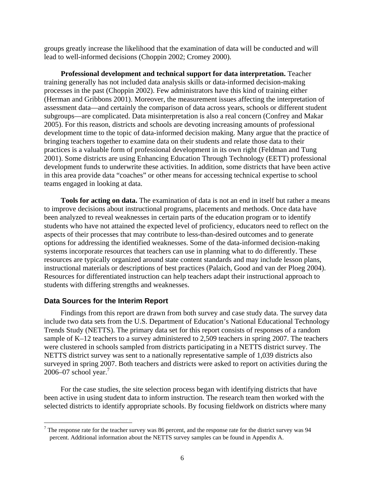groups greatly increase the likelihood that the examination of data will be conducted and will lead to well-informed decisions (Choppin 2002; Cromey 2000).

**Professional development and technical support for data interpretation.** Teacher training generally has not included data analysis skills or data-informed decision-making processes in the past (Choppin 2002). Few administrators have this kind of training either (Herman and Gribbons 2001). Moreover, the measurement issues affecting the interpretation of assessment data—and certainly the comparison of data across years, schools or different student subgroups—are complicated. Data misinterpretation is also a real concern (Confrey and Makar 2005). For this reason, districts and schools are devoting increasing amounts of professional development time to the topic of data-informed decision making. Many argue that the practice of bringing teachers together to examine data on their students and relate those data to their practices is a valuable form of professional development in its own right (Feldman and Tung 2001). Some districts are using Enhancing Education Through Technology (EETT) professional development funds to underwrite these activities. In addition, some districts that have been active in this area provide data "coaches" or other means for accessing technical expertise to school teams engaged in looking at data.

**Tools for acting on data.** The examination of data is not an end in itself but rather a means to improve decisions about instructional programs, placements and methods. Once data have been analyzed to reveal weaknesses in certain parts of the education program or to identify students who have not attained the expected level of proficiency, educators need to reflect on the aspects of their processes that may contribute to less-than-desired outcomes and to generate options for addressing the identified weaknesses. Some of the data-informed decision-making systems incorporate resources that teachers can use in planning what to do differently. These resources are typically organized around state content standards and may include lesson plans, instructional materials or descriptions of best practices (Palaich, Good and van der Ploeg 2004). Resources for differentiated instruction can help teachers adapt their instructional approach to students with differing strengths and weaknesses.

### **Data Sources for the Interim Report**

 $\overline{a}$ 

Findings from this report are drawn from both survey and case study data. The survey data include two data sets from the U.S. Department of Education's National Educational Technology Trends Study (NETTS). The primary data set for this report consists of responses of a random sample of K–12 teachers to a survey administered to 2,509 teachers in spring 2007. The teachers were clustered in schools sampled from districts participating in a NETTS district survey. The NETTS district survey was sent to a nationally representative sample of 1,039 districts also surveyed in spring 2007. Both teachers and districts were asked to report on activities during the 2006–07 school year.<sup>7</sup>

For the case studies, the site selection process began with identifying districts that have been active in using student data to inform instruction. The research team then worked with the selected districts to identify appropriate schools. By focusing fieldwork on districts where many

<sup>&</sup>lt;sup>7</sup> The response rate for the teacher survey was 86 percent, and the response rate for the district survey was 94 percent. Additional information about the NETTS survey samples can be found in Appendix A.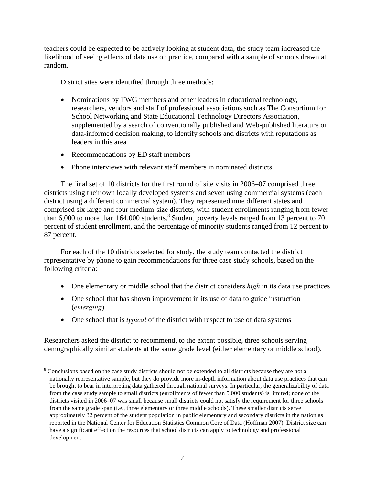teachers could be expected to be actively looking at student data, the study team increased the likelihood of seeing effects of data use on practice, compared with a sample of schools drawn at random.

District sites were identified through three methods:

- Nominations by TWG members and other leaders in educational technology, researchers, vendors and staff of professional associations such as The Consortium for School Networking and State Educational Technology Directors Association, supplemented by a search of conventionally published and Web-published literature on data-informed decision making, to identify schools and districts with reputations as leaders in this area
- Recommendations by ED staff members

 $\overline{a}$ 

Phone interviews with relevant staff members in nominated districts

The final set of 10 districts for the first round of site visits in 2006–07 comprised three districts using their own locally developed systems and seven using commercial systems (each district using a different commercial system). They represented nine different states and comprised six large and four medium-size districts, with student enrollments ranging from fewer than  $6,000$  to more than 164,000 students.<sup>8</sup> Student poverty levels ranged from 13 percent to 70 percent of student enrollment, and the percentage of minority students ranged from 12 percent to 87 percent.

For each of the 10 districts selected for study, the study team contacted the district representative by phone to gain recommendations for three case study schools, based on the following criteria:

- One elementary or middle school that the district considers *high* in its data use practices
- One school that has shown improvement in its use of data to guide instruction (*emerging*)
- One school that is *typical* of the district with respect to use of data systems

Researchers asked the district to recommend, to the extent possible, three schools serving demographically similar students at the same grade level (either elementary or middle school).

<sup>&</sup>lt;sup>8</sup> Conclusions based on the case study districts should not be extended to all districts because they are not a nationally representative sample, but they do provide more in-depth information about data use practices that can be brought to bear in interpreting data gathered through national surveys. In particular, the generalizability of data from the case study sample to small districts (enrollments of fewer than 5,000 students) is limited; none of the districts visited in 2006–07 was small because small districts could not satisfy the requirement for three schools from the same grade span (i.e., three elementary or three middle schools). These smaller districts serve approximately 32 percent of the student population in public elementary and secondary districts in the nation as reported in the National Center for Education Statistics Common Core of Data (Hoffman 2007). District size can have a significant effect on the resources that school districts can apply to technology and professional development.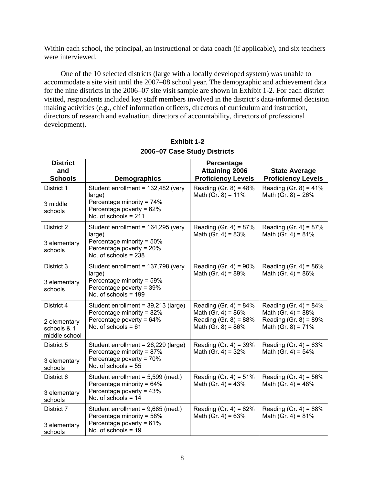Within each school, the principal, an instructional or data coach (if applicable), and six teachers were interviewed.

One of the 10 selected districts (large with a locally developed system) was unable to accommodate a site visit until the 2007–08 school year. The demographic and achievement data for the nine districts in the 2006–07 site visit sample are shown in Exhibit 1-2. For each district visited, respondents included key staff members involved in the district's data-informed decision making activities (e.g., chief information officers, directors of curriculum and instruction, directors of research and evaluation, directors of accountability, directors of professional development).

| <b>District</b>                                            |                                                                                                                                    | Percentage                                                                                                  |                                                                                                       |
|------------------------------------------------------------|------------------------------------------------------------------------------------------------------------------------------------|-------------------------------------------------------------------------------------------------------------|-------------------------------------------------------------------------------------------------------|
| and<br><b>Schools</b>                                      | <b>Demographics</b>                                                                                                                | <b>Attaining 2006</b><br><b>Proficiency Levels</b>                                                          | <b>State Average</b><br><b>Proficiency Levels</b>                                                     |
| District 1<br>3 middle<br>schools                          | Student enrollment = 132,482 (very<br>large)<br>Percentage minority = 74%<br>Percentage poverty = $62\%$<br>No. of schools $= 211$ | Reading (Gr. $8$ ) = 48%<br>Math (Gr. $8$ ) = 11%                                                           | Reading (Gr. $8$ ) = 41%<br>Math (Gr. $8$ ) = 26%                                                     |
| District 2<br>3 elementary<br>schools                      | Student enrollment = 164,295 (very<br>large)<br>Percentage minority = 50%<br>Percentage poverty = 20%<br>No. of schools $= 238$    | Reading (Gr. 4) = $87%$<br>Math (Gr. 4) = $83%$                                                             | Reading (Gr. 4) = $87%$<br>Math (Gr. 4) = $81\%$                                                      |
| District 3<br>3 elementary<br>schools                      | Student enrollment = 137,798 (very<br>large)<br>Percentage minority = 59%<br>Percentage poverty = 39%<br>No. of schools = 199      | Reading (Gr. 4) = $90\%$<br>Math (Gr. 4) = $89%$                                                            | Reading (Gr. 4) = $86%$<br>Math (Gr. 4) = $86%$                                                       |
| District 4<br>2 elementary<br>schools & 1<br>middle school | Student enrollment = 39,213 (large)<br>Percentage minority = 82%<br>Percentage poverty = 64%<br>No. of schools $= 61$              | Reading (Gr. 4) = $84\%$<br>Math (Gr. 4) = $86\%$<br>Reading (Gr. $8$ ) = $88%$<br>Math (Gr. $8$ ) = $86\%$ | Reading (Gr. 4) = $84\%$<br>Math (Gr. 4) = $88%$<br>Reading (Gr. $8$ ) = 89%<br>Math (Gr. $8$ ) = 71% |
| District 5<br>3 elementary<br>schools                      | Student enrollment = 26,229 (large)<br>Percentage minority = 87%<br>Percentage poverty = 70%<br>No. of schools $= 55$              | Reading (Gr. 4) = $39\%$<br>Math (Gr. 4) = $32%$                                                            | Reading (Gr. 4) = $63%$<br>Math (Gr. 4) = $54\%$                                                      |
| District 6<br>3 elementary<br>schools                      | Student enrollment = 5,599 (med.)<br>Percentage minority = 64%<br>Percentage poverty = 43%<br>No. of schools $= 14$                | Reading (Gr. 4) = $51\%$<br>Math (Gr. 4) = $43%$                                                            | Reading (Gr. 4) = $56\%$<br>Math (Gr. 4) = $48%$                                                      |
| District 7<br>3 elementary<br>schools                      | Student enrollment = 9,685 (med.)<br>Percentage minority = 58%<br>Percentage poverty = 61%<br>No. of schools $= 19$                | Reading (Gr. 4) = $82%$<br>Math (Gr. 4) = $63%$                                                             | Reading (Gr. 4) = $88%$<br>Math (Gr. 4) = $81\%$                                                      |

**Exhibit 1-2 2006–07 Case Study Districts**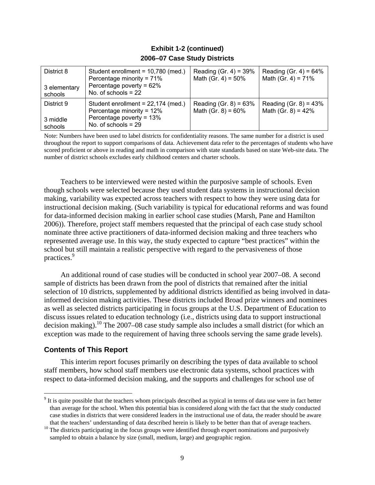| District 8<br>3 elementary<br>schools | Student enrollment = 10,780 (med.)<br>Percentage minority = 71%<br>Percentage poverty = $62\%$<br>No. of schools $= 22$ | Reading (Gr. 4) = $39\%$<br>Math (Gr. 4) = $50\%$ | Reading (Gr. 4) = $64\%$<br>Math (Gr. 4) = $71\%$ |
|---------------------------------------|-------------------------------------------------------------------------------------------------------------------------|---------------------------------------------------|---------------------------------------------------|
| District 9<br>3 middle<br>schools     | Student enrollment = 22,174 (med.)<br>Percentage minority = 12%<br>Percentage poverty = 13%<br>No. of schools $= 29$    | Reading (Gr. $8$ ) = 63%<br>Math (Gr. $8$ ) = 60% | Reading (Gr. $8$ ) = 43%<br>Math (Gr. 8) = $42\%$ |

## **Exhibit 1-2 (continued) 2006–07 Case Study Districts**

Note: Numbers have been used to label districts for confidentiality reasons. The same number for a district is used throughout the report to support comparisons of data. Achievement data refer to the percentages of students who have scored proficient or above in reading and math in comparison with state standards based on state Web-site data. The number of district schools excludes early childhood centers and charter schools.

Teachers to be interviewed were nested within the purposive sample of schools. Even though schools were selected because they used student data systems in instructional decision making, variability was expected across teachers with respect to how they were using data for instructional decision making. (Such variability is typical for educational reforms and was found for data-informed decision making in earlier school case studies (Marsh, Pane and Hamilton 2006)). Therefore, project staff members requested that the principal of each case study school nominate three active practitioners of data-informed decision making and three teachers who represented average use. In this way, the study expected to capture "best practices" within the school but still maintain a realistic perspective with regard to the pervasiveness of those practices.9

An additional round of case studies will be conducted in school year 2007–08. A second sample of districts has been drawn from the pool of districts that remained after the initial selection of 10 districts, supplemented by additional districts identified as being involved in datainformed decision making activities. These districts included Broad prize winners and nominees as well as selected districts participating in focus groups at the U.S. Department of Education to discuss issues related to education technology (i.e., districts using data to support instructional decision making).10 The 2007–08 case study sample also includes a small district (for which an exception was made to the requirement of having three schools serving the same grade levels).

## **Contents of This Report**

 $\overline{a}$ 

This interim report focuses primarily on describing the types of data available to school staff members, how school staff members use electronic data systems, school practices with respect to data-informed decision making, and the supports and challenges for school use of

 $9<sup>9</sup>$  It is quite possible that the teachers whom principals described as typical in terms of data use were in fact better than average for the school. When this potential bias is considered along with the fact that the study conducted case studies in districts that were considered leaders in the instructional use of data, the reader should be aware

that the teachers' understanding of data described herein is likely to be better than that of average teachers. 10 The districts participating in the focus groups were identified through expert nominations and purposively sampled to obtain a balance by size (small, medium, large) and geographic region.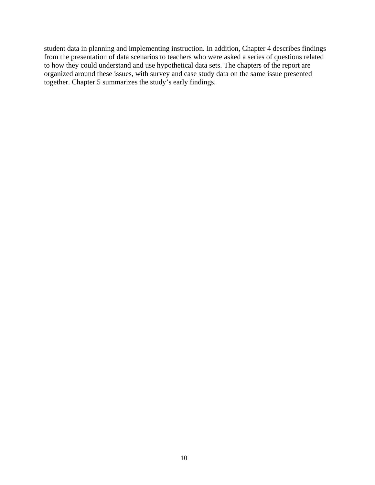student data in planning and implementing instruction. In addition, Chapter 4 describes findings from the presentation of data scenarios to teachers who were asked a series of questions related to how they could understand and use hypothetical data sets. The chapters of the report are organized around these issues, with survey and case study data on the same issue presented together. Chapter 5 summarizes the study's early findings.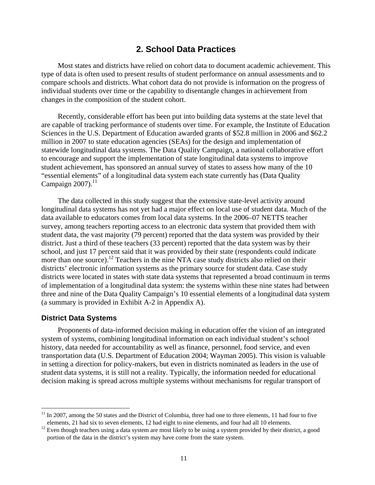## **2. School Data Practices**

Most states and districts have relied on cohort data to document academic achievement. This type of data is often used to present results of student performance on annual assessments and to compare schools and districts. What cohort data do not provide is information on the progress of individual students over time or the capability to disentangle changes in achievement from changes in the composition of the student cohort.

Recently, considerable effort has been put into building data systems at the state level that are capable of tracking performance of students over time. For example, the Institute of Education Sciences in the U.S. Department of Education awarded grants of \$52.8 million in 2006 and \$62.2 million in 2007 to state education agencies (SEAs) for the design and implementation of statewide longitudinal data systems. The Data Quality Campaign, a national collaborative effort to encourage and support the implementation of state longitudinal data systems to improve student achievement, has sponsored an annual survey of states to assess how many of the 10 "essential elements" of a longitudinal data system each state currently has (Data Quality Campaign  $2007$ ).<sup>11</sup>

The data collected in this study suggest that the extensive state-level activity around longitudinal data systems has not yet had a major effect on local use of student data. Much of the data available to educators comes from local data systems. In the 2006–07 NETTS teacher survey, among teachers reporting access to an electronic data system that provided them with student data, the vast majority (79 percent) reported that the data system was provided by their district. Just a third of these teachers (33 percent) reported that the data system was by their school, and just 17 percent said that it was provided by their state (respondents could indicate more than one source).<sup>12</sup> Teachers in the nine NTA case study districts also relied on their districts' electronic information systems as the primary source for student data. Case study districts were located in states with state data systems that represented a broad continuum in terms of implementation of a longitudinal data system: the systems within these nine states had between three and nine of the Data Quality Campaign's 10 essential elements of a longitudinal data system (a summary is provided in Exhibit A-2 in Appendix A).

### **District Data Systems**

 $\overline{a}$ 

Proponents of data-informed decision making in education offer the vision of an integrated system of systems, combining longitudinal information on each individual student's school history, data needed for accountability as well as finance, personnel, food service, and even transportation data (U.S. Department of Education 2004; Wayman 2005). This vision is valuable in setting a direction for policy-makers, but even in districts nominated as leaders in the use of student data systems, it is still not a reality. Typically, the information needed for educational decision making is spread across multiple systems without mechanisms for regular transport of

 $11$  In 2007, among the 50 states and the District of Columbia, three had one to three elements, 11 had four to five

elements, 21 had six to seven elements, 12 had eight to nine elements, and four had all 10 elements.<br><sup>12</sup> Even though teachers using a data system are most likely to be using a system provided by their district, a good portion of the data in the district's system may have come from the state system.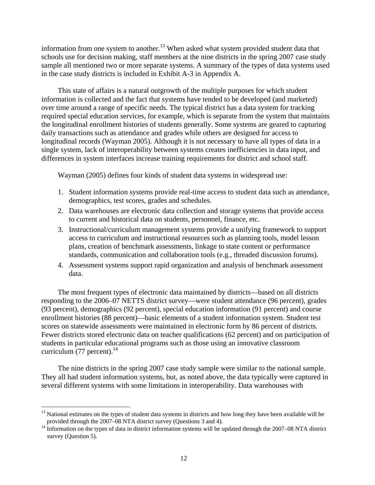information from one system to another.<sup>13</sup> When asked what system provided student data that schools use for decision making, staff members at the nine districts in the spring 2007 case study sample all mentioned two or more separate systems. A summary of the types of data systems used in the case study districts is included in Exhibit A-3 in Appendix A.

This state of affairs is a natural outgrowth of the multiple purposes for which student information is collected and the fact that systems have tended to be developed (and marketed) over time around a range of specific needs. The typical district has a data system for tracking required special education services, for example, which is separate from the system that maintains the longitudinal enrollment histories of students generally. Some systems are geared to capturing daily transactions such as attendance and grades while others are designed for access to longitudinal records (Wayman 2005). Although it is not necessary to have all types of data in a single system, lack of interoperability between systems creates inefficiencies in data input, and differences in system interfaces increase training requirements for district and school staff.

Wayman (2005) defines four kinds of student data systems in widespread use:

- 1. Student information systems provide real-time access to student data such as attendance, demographics, test scores, grades and schedules.
- 2. Data warehouses are electronic data collection and storage systems that provide access to current and historical data on students, personnel, finance, etc.
- 3. Instructional/curriculum management systems provide a unifying framework to support access to curriculum and instructional resources such as planning tools, model lesson plans, creation of benchmark assessments, linkage to state content or performance standards, communication and collaboration tools (e.g., threaded discussion forums).
- 4. Assessment systems support rapid organization and analysis of benchmark assessment data.

The most frequent types of electronic data maintained by districts—based on all districts responding to the 2006–07 NETTS district survey—were student attendance (96 percent), grades (93 percent), demographics (92 percent), special education information (91 percent) and course enrollment histories (88 percent)—basic elements of a student information system. Student test scores on statewide assessments were maintained in electronic form by 86 percent of districts. Fewer districts stored electronic data on teacher qualifications (62 percent) and on participation of students in particular educational programs such as those using an innovative classroom curriculum  $(77$  percent).<sup>14</sup>

The nine districts in the spring 2007 case study sample were similar to the national sample. They all had student information systems, but, as noted above, the data typically were captured in several different systems with some limitations in interoperability. Data warehouses with

1

<sup>&</sup>lt;sup>13</sup> National estimates on the types of student data systems in districts and how long they have been available will be provided through the 2007–08 NTA district survey (Questions 3 and 4).

<sup>&</sup>lt;sup>14</sup> Information on the types of data in district information systems will be updated through the 2007–08 NTA district survey (Question 5).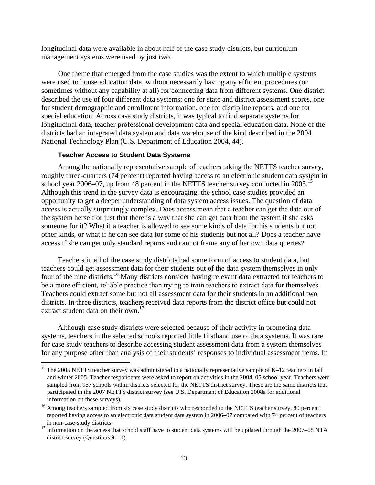longitudinal data were available in about half of the case study districts, but curriculum management systems were used by just two.

One theme that emerged from the case studies was the extent to which multiple systems were used to house education data, without necessarily having any efficient procedures (or sometimes without any capability at all) for connecting data from different systems. One district described the use of four different data systems: one for state and district assessment scores, one for student demographic and enrollment information, one for discipline reports, and one for special education. Across case study districts, it was typical to find separate systems for longitudinal data, teacher professional development data and special education data. None of the districts had an integrated data system and data warehouse of the kind described in the 2004 National Technology Plan (U.S. Department of Education 2004, 44).

#### **Teacher Access to Student Data Systems**

1

Among the nationally representative sample of teachers taking the NETTS teacher survey, roughly three-quarters (74 percent) reported having access to an electronic student data system in school year 2006–07, up from 48 percent in the NETTS teacher survey conducted in 2005.<sup>15</sup> Although this trend in the survey data is encouraging, the school case studies provided an opportunity to get a deeper understanding of data system access issues. The question of data access is actually surprisingly complex. Does access mean that a teacher can get the data out of the system herself or just that there is a way that she can get data from the system if she asks someone for it? What if a teacher is allowed to see some kinds of data for his students but not other kinds, or what if he can see data for some of his students but not all? Does a teacher have access if she can get only standard reports and cannot frame any of her own data queries?

Teachers in all of the case study districts had some form of access to student data, but teachers could get assessment data for their students out of the data system themselves in only four of the nine districts.16 Many districts consider having relevant data extracted for teachers to be a more efficient, reliable practice than trying to train teachers to extract data for themselves. Teachers could extract some but not all assessment data for their students in an additional two districts. In three districts, teachers received data reports from the district office but could not extract student data on their own. $^{17}$ 

Although case study districts were selected because of their activity in promoting data systems, teachers in the selected schools reported little firsthand use of data systems. It was rare for case study teachers to describe accessing student assessment data from a system themselves for any purpose other than analysis of their students' responses to individual assessment items. In

<sup>&</sup>lt;sup>15</sup> The 2005 NETTS teacher survey was administered to a nationally representative sample of K–12 teachers in fall and winter 2005. Teacher respondents were asked to report on activities in the 2004–05 school year. Teachers were sampled from 957 schools within districts selected for the NETTS district survey. These are the same districts that participated in the 2007 NETTS district survey (see U.S. Department of Education 2008a for additional information on these surveys).

<sup>&</sup>lt;sup>16</sup> Among teachers sampled from six case study districts who responded to the NETTS teacher survey, 80 percent reported having access to an electronic data student data system in 2006–07 compared with 74 percent of teachers in non-case-study districts. 17 Information on the access that school staff have to student data systems will be updated through the 2007–08 NTA

district survey (Questions 9–11).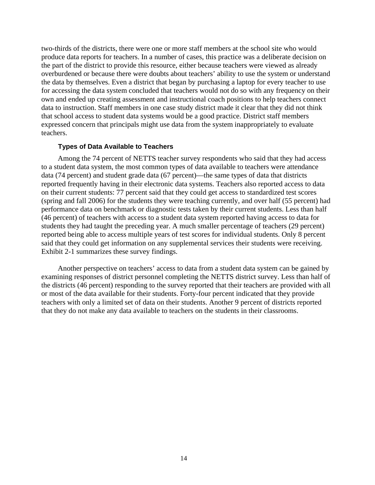two-thirds of the districts, there were one or more staff members at the school site who would produce data reports for teachers. In a number of cases, this practice was a deliberate decision on the part of the district to provide this resource, either because teachers were viewed as already overburdened or because there were doubts about teachers' ability to use the system or understand the data by themselves. Even a district that began by purchasing a laptop for every teacher to use for accessing the data system concluded that teachers would not do so with any frequency on their own and ended up creating assessment and instructional coach positions to help teachers connect data to instruction. Staff members in one case study district made it clear that they did not think that school access to student data systems would be a good practice. District staff members expressed concern that principals might use data from the system inappropriately to evaluate teachers.

## **Types of Data Available to Teachers**

Among the 74 percent of NETTS teacher survey respondents who said that they had access to a student data system, the most common types of data available to teachers were attendance data (74 percent) and student grade data (67 percent)—the same types of data that districts reported frequently having in their electronic data systems. Teachers also reported access to data on their current students: 77 percent said that they could get access to standardized test scores (spring and fall 2006) for the students they were teaching currently, and over half (55 percent) had performance data on benchmark or diagnostic tests taken by their current students. Less than half (46 percent) of teachers with access to a student data system reported having access to data for students they had taught the preceding year. A much smaller percentage of teachers (29 percent) reported being able to access multiple years of test scores for individual students. Only 8 percent said that they could get information on any supplemental services their students were receiving. Exhibit 2-1 summarizes these survey findings.

Another perspective on teachers' access to data from a student data system can be gained by examining responses of district personnel completing the NETTS district survey. Less than half of the districts (46 percent) responding to the survey reported that their teachers are provided with all or most of the data available for their students. Forty-four percent indicated that they provide teachers with only a limited set of data on their students. Another 9 percent of districts reported that they do not make any data available to teachers on the students in their classrooms.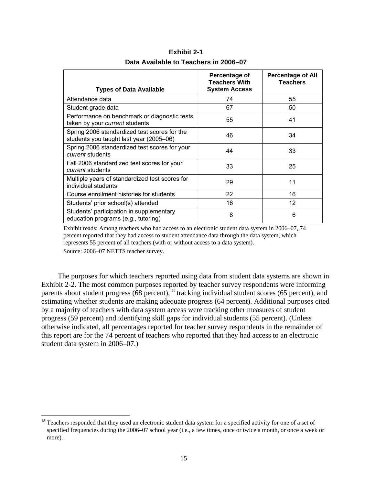| <b>Types of Data Available</b>                                                          | Percentage of<br><b>Teachers With</b><br><b>System Access</b> | <b>Percentage of All</b><br><b>Teachers</b> |
|-----------------------------------------------------------------------------------------|---------------------------------------------------------------|---------------------------------------------|
| Attendance data                                                                         | 74                                                            | 55                                          |
| Student grade data                                                                      | 67                                                            | 50                                          |
| Performance on benchmark or diagnostic tests<br>taken by your current students          | 55                                                            | 41                                          |
| Spring 2006 standardized test scores for the<br>students you taught last year (2005–06) | 46                                                            | 34                                          |
| Spring 2006 standardized test scores for your<br>current students                       | 44                                                            | 33                                          |
| Fall 2006 standardized test scores for your<br><i>current</i> students                  | 33                                                            | 25                                          |
| Multiple years of standardized test scores for<br>individual students                   | 29                                                            | 11                                          |
| Course enrollment histories for students                                                | 22                                                            | 16                                          |
| Students' prior school(s) attended                                                      | 16                                                            | 12                                          |
| Students' participation in supplementary<br>education programs (e.g., tutoring)         | 8                                                             | 6                                           |

**Exhibit 2-1 Data Available to Teachers in 2006–07** 

Exhibit reads: Among teachers who had access to an electronic student data system in 2006–07, 74 percent reported that they had access to student attendance data through the data system, which represents 55 percent of all teachers (with or without access to a data system).

Source: 2006–07 NETTS teacher survey.

1

The purposes for which teachers reported using data from student data systems are shown in Exhibit 2-2. The most common purposes reported by teacher survey respondents were informing parents about student progress  $(68 \text{ percent})$ ,<sup>18</sup> tracking individual student scores  $(65 \text{ percent})$ , and estimating whether students are making adequate progress (64 percent). Additional purposes cited by a majority of teachers with data system access were tracking other measures of student progress (59 percent) and identifying skill gaps for individual students (55 percent). (Unless otherwise indicated, all percentages reported for teacher survey respondents in the remainder of this report are for the 74 percent of teachers who reported that they had access to an electronic student data system in 2006–07.)

<sup>&</sup>lt;sup>18</sup> Teachers responded that they used an electronic student data system for a specified activity for one of a set of specified frequencies during the 2006–07 school year (i.e., a few times, once or twice a month, or once a week or more).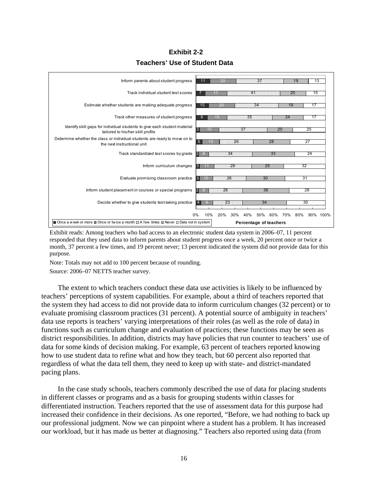**Exhibit 2-2 Teachers' Use of Student Data** 



Exhibit reads: Among teachers who had access to an electronic student data system in 2006–07, 11 percent responded that they used data to inform parents about student progress once a week, 20 percent once or twice a month, 37 percent a few times, and 19 percent never; 13 percent indicated the system did not provide data for this purpose.

Note: Totals may not add to 100 percent because of rounding.

Source: 2006–07 NETTS teacher survey.

The extent to which teachers conduct these data use activities is likely to be influenced by teachers' perceptions of system capabilities. For example, about a third of teachers reported that the system they had access to did not provide data to inform curriculum changes (32 percent) or to evaluate promising classroom practices (31 percent). A potential source of ambiguity in teachers' data use reports is teachers' varying interpretations of their roles (as well as the role of data) in functions such as curriculum change and evaluation of practices; these functions may be seen as district responsibilities. In addition, districts may have policies that run counter to teachers' use of data for some kinds of decision making. For example, 63 percent of teachers reported knowing how to use student data to refine what and how they teach, but 60 percent also reported that regardless of what the data tell them, they need to keep up with state- and district-mandated pacing plans.

In the case study schools, teachers commonly described the use of data for placing students in different classes or programs and as a basis for grouping students within classes for differentiated instruction. Teachers reported that the use of assessment data for this purpose had increased their confidence in their decisions. As one reported, "Before, we had nothing to back up our professional judgment. Now we can pinpoint where a student has a problem. It has increased our workload, but it has made us better at diagnosing." Teachers also reported using data (from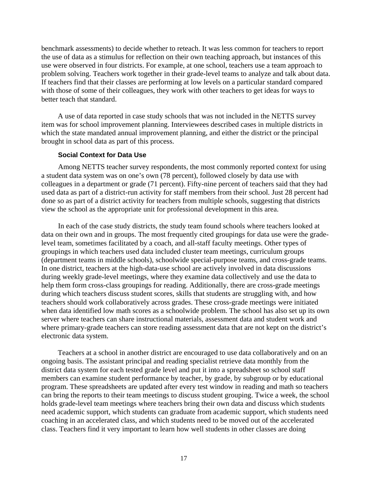benchmark assessments) to decide whether to reteach. It was less common for teachers to report the use of data as a stimulus for reflection on their own teaching approach, but instances of this use were observed in four districts. For example, at one school, teachers use a team approach to problem solving. Teachers work together in their grade-level teams to analyze and talk about data. If teachers find that their classes are performing at low levels on a particular standard compared with those of some of their colleagues, they work with other teachers to get ideas for ways to better teach that standard.

A use of data reported in case study schools that was not included in the NETTS survey item was for school improvement planning. Interviewees described cases in multiple districts in which the state mandated annual improvement planning, and either the district or the principal brought in school data as part of this process.

#### **Social Context for Data Use**

Among NETTS teacher survey respondents, the most commonly reported context for using a student data system was on one's own (78 percent), followed closely by data use with colleagues in a department or grade (71 percent). Fifty-nine percent of teachers said that they had used data as part of a district-run activity for staff members from their school. Just 28 percent had done so as part of a district activity for teachers from multiple schools, suggesting that districts view the school as the appropriate unit for professional development in this area.

In each of the case study districts, the study team found schools where teachers looked at data on their own and in groups. The most frequently cited groupings for data use were the gradelevel team, sometimes facilitated by a coach, and all-staff faculty meetings. Other types of groupings in which teachers used data included cluster team meetings, curriculum groups (department teams in middle schools), schoolwide special-purpose teams, and cross-grade teams. In one district, teachers at the high-data-use school are actively involved in data discussions during weekly grade-level meetings, where they examine data collectively and use the data to help them form cross-class groupings for reading. Additionally, there are cross-grade meetings during which teachers discuss student scores, skills that students are struggling with, and how teachers should work collaboratively across grades. These cross-grade meetings were initiated when data identified low math scores as a schoolwide problem. The school has also set up its own server where teachers can share instructional materials, assessment data and student work and where primary-grade teachers can store reading assessment data that are not kept on the district's electronic data system.

Teachers at a school in another district are encouraged to use data collaboratively and on an ongoing basis. The assistant principal and reading specialist retrieve data monthly from the district data system for each tested grade level and put it into a spreadsheet so school staff members can examine student performance by teacher, by grade, by subgroup or by educational program. These spreadsheets are updated after every test window in reading and math so teachers can bring the reports to their team meetings to discuss student grouping. Twice a week, the school holds grade-level team meetings where teachers bring their own data and discuss which students need academic support, which students can graduate from academic support, which students need coaching in an accelerated class, and which students need to be moved out of the accelerated class. Teachers find it very important to learn how well students in other classes are doing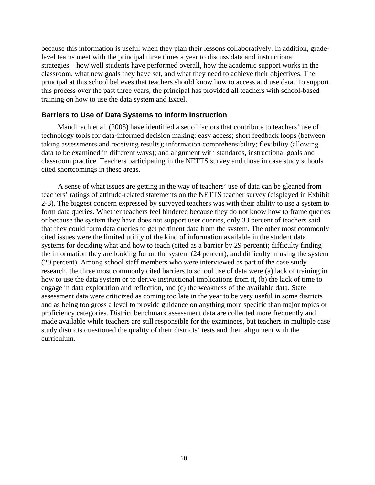because this information is useful when they plan their lessons collaboratively. In addition, gradelevel teams meet with the principal three times a year to discuss data and instructional strategies—how well students have performed overall, how the academic support works in the classroom, what new goals they have set, and what they need to achieve their objectives. The principal at this school believes that teachers should know how to access and use data. To support this process over the past three years, the principal has provided all teachers with school-based training on how to use the data system and Excel.

## **Barriers to Use of Data Systems to Inform Instruction**

Mandinach et al. (2005) have identified a set of factors that contribute to teachers' use of technology tools for data-informed decision making: easy access; short feedback loops (between taking assessments and receiving results); information comprehensibility; flexibility (allowing data to be examined in different ways); and alignment with standards, instructional goals and classroom practice. Teachers participating in the NETTS survey and those in case study schools cited shortcomings in these areas.

A sense of what issues are getting in the way of teachers' use of data can be gleaned from teachers' ratings of attitude-related statements on the NETTS teacher survey (displayed in Exhibit 2-3). The biggest concern expressed by surveyed teachers was with their ability to use a system to form data queries. Whether teachers feel hindered because they do not know how to frame queries or because the system they have does not support user queries, only 33 percent of teachers said that they could form data queries to get pertinent data from the system. The other most commonly cited issues were the limited utility of the kind of information available in the student data systems for deciding what and how to teach (cited as a barrier by 29 percent); difficulty finding the information they are looking for on the system (24 percent); and difficulty in using the system (20 percent). Among school staff members who were interviewed as part of the case study research, the three most commonly cited barriers to school use of data were (a) lack of training in how to use the data system or to derive instructional implications from it, (b) the lack of time to engage in data exploration and reflection, and (c) the weakness of the available data. State assessment data were criticized as coming too late in the year to be very useful in some districts and as being too gross a level to provide guidance on anything more specific than major topics or proficiency categories. District benchmark assessment data are collected more frequently and made available while teachers are still responsible for the examinees, but teachers in multiple case study districts questioned the quality of their districts' tests and their alignment with the curriculum.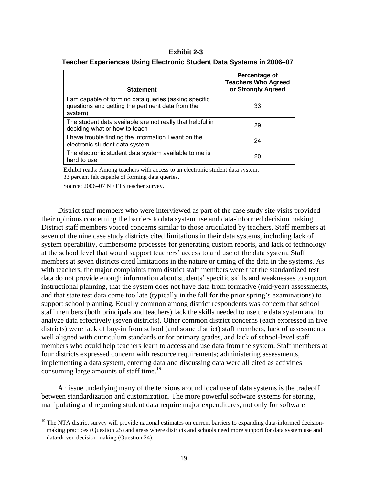### **Exhibit 2-3**

#### **Teacher Experiences Using Electronic Student Data Systems in 2006–07**

| <b>Statement</b>                                                                                                      | Percentage of<br><b>Teachers Who Agreed</b><br>or Strongly Agreed |
|-----------------------------------------------------------------------------------------------------------------------|-------------------------------------------------------------------|
| I am capable of forming data queries (asking specific<br>questions and getting the pertinent data from the<br>system) | 33                                                                |
| The student data available are not really that helpful in<br>deciding what or how to teach                            | 29                                                                |
| I have trouble finding the information I want on the<br>electronic student data system                                | 24                                                                |
| The electronic student data system available to me is<br>hard to use                                                  | 20                                                                |

Exhibit reads: Among teachers with access to an electronic student data system, 33 percent felt capable of forming data queries.

Source: 2006–07 NETTS teacher survey.

 $\overline{a}$ 

District staff members who were interviewed as part of the case study site visits provided their opinions concerning the barriers to data system use and data-informed decision making. District staff members voiced concerns similar to those articulated by teachers. Staff members at seven of the nine case study districts cited limitations in their data systems, including lack of system operability, cumbersome processes for generating custom reports, and lack of technology at the school level that would support teachers' access to and use of the data system. Staff members at seven districts cited limitations in the nature or timing of the data in the systems. As with teachers, the major complaints from district staff members were that the standardized test data do not provide enough information about students' specific skills and weaknesses to support instructional planning, that the system does not have data from formative (mid-year) assessments, and that state test data come too late (typically in the fall for the prior spring's examinations) to support school planning. Equally common among district respondents was concern that school staff members (both principals and teachers) lack the skills needed to use the data system and to analyze data effectively (seven districts). Other common district concerns (each expressed in five districts) were lack of buy-in from school (and some district) staff members, lack of assessments well aligned with curriculum standards or for primary grades, and lack of school-level staff members who could help teachers learn to access and use data from the system. Staff members at four districts expressed concern with resource requirements; administering assessments, implementing a data system, entering data and discussing data were all cited as activities consuming large amounts of staff time.<sup>19</sup>

An issue underlying many of the tensions around local use of data systems is the tradeoff between standardization and customization. The more powerful software systems for storing, manipulating and reporting student data require major expenditures, not only for software

<sup>&</sup>lt;sup>19</sup> The NTA district survey will provide national estimates on current barriers to expanding data-informed decisionmaking practices (Question 25) and areas where districts and schools need more support for data system use and data-driven decision making (Question 24).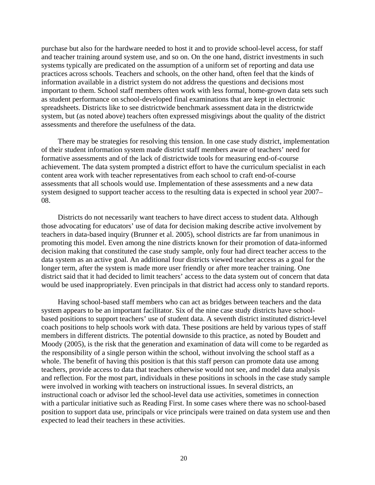purchase but also for the hardware needed to host it and to provide school-level access, for staff and teacher training around system use, and so on. On the one hand, district investments in such systems typically are predicated on the assumption of a uniform set of reporting and data use practices across schools. Teachers and schools, on the other hand, often feel that the kinds of information available in a district system do not address the questions and decisions most important to them. School staff members often work with less formal, home-grown data sets such as student performance on school-developed final examinations that are kept in electronic spreadsheets. Districts like to see districtwide benchmark assessment data in the districtwide system, but (as noted above) teachers often expressed misgivings about the quality of the district assessments and therefore the usefulness of the data.

There may be strategies for resolving this tension. In one case study district, implementation of their student information system made district staff members aware of teachers' need for formative assessments and of the lack of districtwide tools for measuring end-of-course achievement. The data system prompted a district effort to have the curriculum specialist in each content area work with teacher representatives from each school to craft end-of-course assessments that all schools would use. Implementation of these assessments and a new data system designed to support teacher access to the resulting data is expected in school year 2007– 08.

Districts do not necessarily want teachers to have direct access to student data. Although those advocating for educators' use of data for decision making describe active involvement by teachers in data-based inquiry (Brunner et al. 2005), school districts are far from unanimous in promoting this model. Even among the nine districts known for their promotion of data-informed decision making that constituted the case study sample, only four had direct teacher access to the data system as an active goal. An additional four districts viewed teacher access as a goal for the longer term, after the system is made more user friendly or after more teacher training. One district said that it had decided to limit teachers' access to the data system out of concern that data would be used inappropriately. Even principals in that district had access only to standard reports.

Having school-based staff members who can act as bridges between teachers and the data system appears to be an important facilitator. Six of the nine case study districts have schoolbased positions to support teachers' use of student data. A seventh district instituted district-level coach positions to help schools work with data. These positions are held by various types of staff members in different districts. The potential downside to this practice, as noted by Boudett and Moody (2005), is the risk that the generation and examination of data will come to be regarded as the responsibility of a single person within the school, without involving the school staff as a whole. The benefit of having this position is that this staff person can promote data use among teachers, provide access to data that teachers otherwise would not see, and model data analysis and reflection. For the most part, individuals in these positions in schools in the case study sample were involved in working with teachers on instructional issues. In several districts, an instructional coach or advisor led the school-level data use activities, sometimes in connection with a particular initiative such as Reading First. In some cases where there was no school-based position to support data use, principals or vice principals were trained on data system use and then expected to lead their teachers in these activities.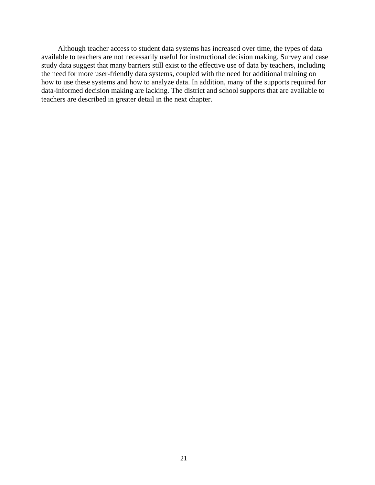Although teacher access to student data systems has increased over time, the types of data available to teachers are not necessarily useful for instructional decision making. Survey and case study data suggest that many barriers still exist to the effective use of data by teachers, including the need for more user-friendly data systems, coupled with the need for additional training on how to use these systems and how to analyze data. In addition, many of the supports required for data-informed decision making are lacking. The district and school supports that are available to teachers are described in greater detail in the next chapter.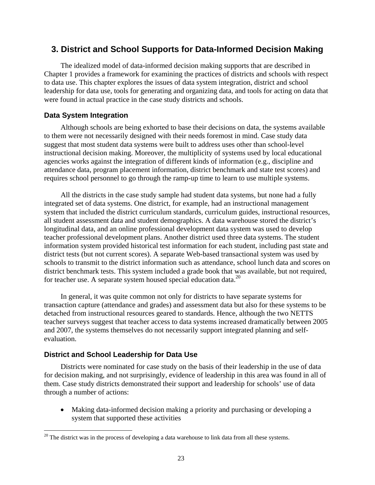# **3. District and School Supports for Data-Informed Decision Making**

The idealized model of data-informed decision making supports that are described in Chapter 1 provides a framework for examining the practices of districts and schools with respect to data use. This chapter explores the issues of data system integration, district and school leadership for data use, tools for generating and organizing data, and tools for acting on data that were found in actual practice in the case study districts and schools.

## **Data System Integration**

Although schools are being exhorted to base their decisions on data, the systems available to them were not necessarily designed with their needs foremost in mind. Case study data suggest that most student data systems were built to address uses other than school-level instructional decision making. Moreover, the multiplicity of systems used by local educational agencies works against the integration of different kinds of information (e.g., discipline and attendance data, program placement information, district benchmark and state test scores) and requires school personnel to go through the ramp-up time to learn to use multiple systems.

All the districts in the case study sample had student data systems, but none had a fully integrated set of data systems. One district, for example, had an instructional management system that included the district curriculum standards, curriculum guides, instructional resources, all student assessment data and student demographics. A data warehouse stored the district's longitudinal data, and an online professional development data system was used to develop teacher professional development plans. Another district used three data systems. The student information system provided historical test information for each student, including past state and district tests (but not current scores). A separate Web-based transactional system was used by schools to transmit to the district information such as attendance, school lunch data and scores on district benchmark tests. This system included a grade book that was available, but not required, for teacher use. A separate system housed special education data.<sup>20</sup>

In general, it was quite common not only for districts to have separate systems for transaction capture (attendance and grades) and assessment data but also for these systems to be detached from instructional resources geared to standards. Hence, although the two NETTS teacher surveys suggest that teacher access to data systems increased dramatically between 2005 and 2007, the systems themselves do not necessarily support integrated planning and selfevaluation.

### **District and School Leadership for Data Use**

 $\overline{a}$ 

Districts were nominated for case study on the basis of their leadership in the use of data for decision making, and not surprisingly, evidence of leadership in this area was found in all of them. Case study districts demonstrated their support and leadership for schools' use of data through a number of actions:

 Making data-informed decision making a priority and purchasing or developing a system that supported these activities

 $20$  The district was in the process of developing a data warehouse to link data from all these systems.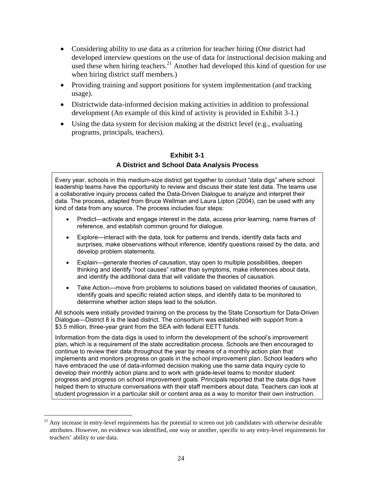- Considering ability to use data as a criterion for teacher hiring (One district had developed interview questions on the use of data for instructional decision making and used these when hiring teachers.<sup>21</sup> Another had developed this kind of question for use when hiring district staff members.)
- Providing training and support positions for system implementation (and tracking usage).
- Districtwide data-informed decision making activities in addition to professional development (An example of this kind of activity is provided in Exhibit 3-1.)
- Using the data system for decision making at the district level (e.g., evaluating programs, principals, teachers).

## **Exhibit 3-1 A District and School Data Analysis Process**

Every year, schools in this medium-size district get together to conduct "data digs" where school leadership teams have the opportunity to review and discuss their state test data. The teams use a collaborative inquiry process called the Data-Driven Dialogue to analyze and interpret their data. The process, adapted from Bruce Wellman and Laura Lipton (2004), can be used with any kind of data from any source. The process includes four steps:

- Predict—activate and engage interest in the data, access prior learning, name frames of reference, and establish common ground for dialogue.
- Explore—interact with the data, look for patterns and trends, identify data facts and surprises, make observations without inference, identify questions raised by the data, and develop problem statements.
- Explain—generate theories of causation, stay open to multiple possibilities, deepen thinking and identify "root causes" rather than symptoms, make inferences about data, and identify the additional data that will validate the theories of causation.
- Take Action—move from problems to solutions based on validated theories of causation, identify goals and specific related action steps, and identify data to be monitored to determine whether action steps lead to the solution.

All schools were initially provided training on the process by the State Consortium for Data-Driven Dialogue—District 8 is the lead district. The consortium was established with support from a \$3.5 million, three-year grant from the SEA with federal EETT funds.

Information from the data digs is used to inform the development of the school's improvement plan, which is a requirement of the state accreditation process. Schools are then encouraged to continue to review their data throughout the year by means of a monthly action plan that implements and monitors progress on goals in the school improvement plan. School leaders who have embraced the use of data-informed decision making use the same data inquiry cycle to develop their monthly action plans and to work with grade-level teams to monitor student progress and progress on school improvement goals. Principals reported that the data digs have helped them to structure conversations with their staff members about data. Teachers can look at student progression in a particular skill or content area as a way to monitor their own instruction.

 $\overline{a}$ 

 $21$  Any increase in entry-level requirements has the potential to screen out job candidates with otherwise desirable attributes. However, no evidence was identified, one way or another, specific to any entry-level requirements for teachers' ability to use data.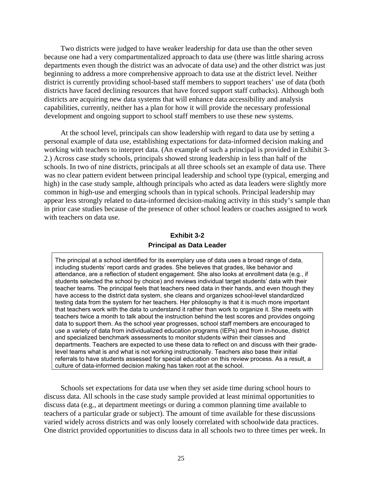Two districts were judged to have weaker leadership for data use than the other seven because one had a very compartmentalized approach to data use (there was little sharing across departments even though the district was an advocate of data use) and the other district was just beginning to address a more comprehensive approach to data use at the district level. Neither district is currently providing school-based staff members to support teachers' use of data (both districts have faced declining resources that have forced support staff cutbacks). Although both districts are acquiring new data systems that will enhance data accessibility and analysis capabilities, currently, neither has a plan for how it will provide the necessary professional development and ongoing support to school staff members to use these new systems.

At the school level, principals can show leadership with regard to data use by setting a personal example of data use, establishing expectations for data-informed decision making and working with teachers to interpret data. (An example of such a principal is provided in Exhibit 3- 2.) Across case study schools, principals showed strong leadership in less than half of the schools. In two of nine districts, principals at all three schools set an example of data use. There was no clear pattern evident between principal leadership and school type (typical, emerging and high) in the case study sample, although principals who acted as data leaders were slightly more common in high-use and emerging schools than in typical schools. Principal leadership may appear less strongly related to data-informed decision-making activity in this study's sample than in prior case studies because of the presence of other school leaders or coaches assigned to work with teachers on data use.

# **Exhibit 3-2 Principal as Data Leader**

The principal at a school identified for its exemplary use of data uses a broad range of data, including students' report cards and grades. She believes that grades, like behavior and attendance, are a reflection of student engagement. She also looks at enrollment data (e.g., if students selected the school by choice) and reviews individual target students' data with their teacher teams. The principal feels that teachers need data in their hands, and even though they have access to the district data system, she cleans and organizes school-level standardized testing data from the system for her teachers. Her philosophy is that it is much more important that teachers work with the data to understand it rather than work to organize it. She meets with teachers twice a month to talk about the instruction behind the test scores and provides ongoing data to support them. As the school year progresses, school staff members are encouraged to use a variety of data from individualized education programs (IEPs) and from in-house, district and specialized benchmark assessments to monitor students within their classes and departments. Teachers are expected to use these data to reflect on and discuss with their gradelevel teams what is and what is not working instructionally. Teachers also base their initial referrals to have students assessed for special education on this review process. As a result, a culture of data-informed decision making has taken root at the school.

Schools set expectations for data use when they set aside time during school hours to discuss data. All schools in the case study sample provided at least minimal opportunities to discuss data (e.g., at department meetings or during a common planning time available to teachers of a particular grade or subject). The amount of time available for these discussions varied widely across districts and was only loosely correlated with schoolwide data practices. One district provided opportunities to discuss data in all schools two to three times per week. In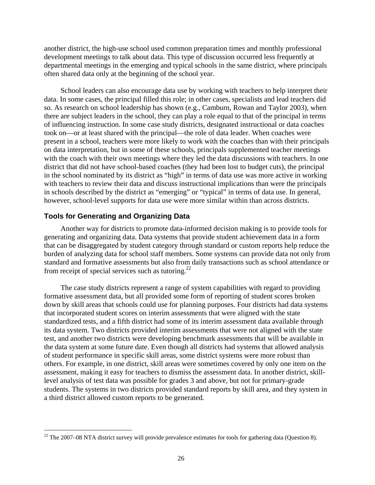another district, the high-use school used common preparation times and monthly professional development meetings to talk about data. This type of discussion occurred less frequently at departmental meetings in the emerging and typical schools in the same district, where principals often shared data only at the beginning of the school year.

School leaders can also encourage data use by working with teachers to help interpret their data. In some cases, the principal filled this role; in other cases, specialists and lead teachers did so. As research on school leadership has shown (e.g., Camburn, Rowan and Taylor 2003), when there are subject leaders in the school, they can play a role equal to that of the principal in terms of influencing instruction. In some case study districts, designated instructional or data coaches took on—or at least shared with the principal—the role of data leader. When coaches were present in a school, teachers were more likely to work with the coaches than with their principals on data interpretation, but in some of these schools, principals supplemented teacher meetings with the coach with their own meetings where they led the data discussions with teachers. In one district that did not have school-based coaches (they had been lost to budget cuts), the principal in the school nominated by its district as "high" in terms of data use was more active in working with teachers to review their data and discuss instructional implications than were the principals in schools described by the district as "emerging" or "typical" in terms of data use. In general, however, school-level supports for data use were more similar within than across districts.

### **Tools for Generating and Organizing Data**

 $\overline{a}$ 

Another way for districts to promote data-informed decision making is to provide tools for generating and organizing data. Data systems that provide student achievement data in a form that can be disaggregated by student category through standard or custom reports help reduce the burden of analyzing data for school staff members. Some systems can provide data not only from standard and formative assessments but also from daily transactions such as school attendance or from receipt of special services such as tutoring.<sup>22</sup>

The case study districts represent a range of system capabilities with regard to providing formative assessment data, but all provided some form of reporting of student scores broken down by skill areas that schools could use for planning purposes. Four districts had data systems that incorporated student scores on interim assessments that were aligned with the state standardized tests, and a fifth district had some of its interim assessment data available through its data system. Two districts provided interim assessments that were not aligned with the state test, and another two districts were developing benchmark assessments that will be available in the data system at some future date. Even though all districts had systems that allowed analysis of student performance in specific skill areas, some district systems were more robust than others. For example, in one district, skill areas were sometimes covered by only one item on the assessment, making it easy for teachers to dismiss the assessment data. In another district, skilllevel analysis of test data was possible for grades 3 and above, but not for primary-grade students. The systems in two districts provided standard reports by skill area, and they system in a third district allowed custom reports to be generated.

 $22$  The 2007–08 NTA district survey will provide prevalence estimates for tools for gathering data (Question 8).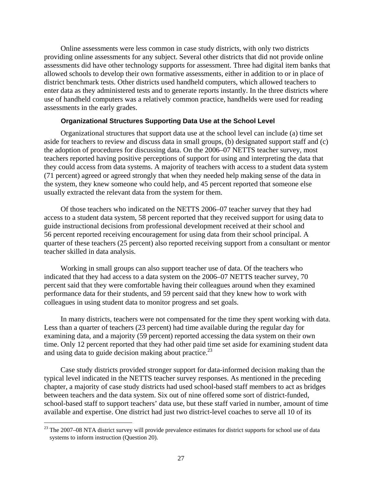Online assessments were less common in case study districts, with only two districts providing online assessments for any subject. Several other districts that did not provide online assessments did have other technology supports for assessment. Three had digital item banks that allowed schools to develop their own formative assessments, either in addition to or in place of district benchmark tests. Other districts used handheld computers, which allowed teachers to enter data as they administered tests and to generate reports instantly. In the three districts where use of handheld computers was a relatively common practice, handhelds were used for reading assessments in the early grades.

### **Organizational Structures Supporting Data Use at the School Level**

Organizational structures that support data use at the school level can include (a) time set aside for teachers to review and discuss data in small groups, (b) designated support staff and (c) the adoption of procedures for discussing data. On the 2006–07 NETTS teacher survey, most teachers reported having positive perceptions of support for using and interpreting the data that they could access from data systems. A majority of teachers with access to a student data system (71 percent) agreed or agreed strongly that when they needed help making sense of the data in the system, they knew someone who could help, and 45 percent reported that someone else usually extracted the relevant data from the system for them.

Of those teachers who indicated on the NETTS 2006–07 teacher survey that they had access to a student data system, 58 percent reported that they received support for using data to guide instructional decisions from professional development received at their school and 56 percent reported receiving encouragement for using data from their school principal. A quarter of these teachers (25 percent) also reported receiving support from a consultant or mentor teacher skilled in data analysis.

Working in small groups can also support teacher use of data. Of the teachers who indicated that they had access to a data system on the 2006–07 NETTS teacher survey, 70 percent said that they were comfortable having their colleagues around when they examined performance data for their students, and 59 percent said that they knew how to work with colleagues in using student data to monitor progress and set goals.

In many districts, teachers were not compensated for the time they spent working with data. Less than a quarter of teachers (23 percent) had time available during the regular day for examining data, and a majority (59 percent) reported accessing the data system on their own time. Only 12 percent reported that they had other paid time set aside for examining student data and using data to guide decision making about practice.<sup>23</sup>

Case study districts provided stronger support for data-informed decision making than the typical level indicated in the NETTS teacher survey responses. As mentioned in the preceding chapter, a majority of case study districts had used school-based staff members to act as bridges between teachers and the data system. Six out of nine offered some sort of district-funded, school-based staff to support teachers' data use, but these staff varied in number, amount of time available and expertise. One district had just two district-level coaches to serve all 10 of its

 $\overline{a}$ 

<sup>&</sup>lt;sup>23</sup> The 2007–08 NTA district survey will provide prevalence estimates for district supports for school use of data systems to inform instruction (Question 20).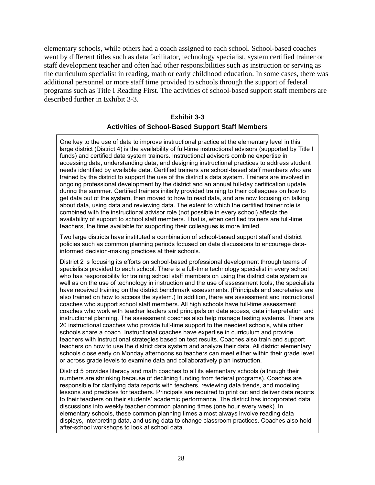elementary schools, while others had a coach assigned to each school. School-based coaches went by different titles such as data facilitator, technology specialist, system certified trainer or staff development teacher and often had other responsibilities such as instruction or serving as the curriculum specialist in reading, math or early childhood education. In some cases, there was additional personnel or more staff time provided to schools through the support of federal programs such as Title I Reading First. The activities of school-based support staff members are described further in Exhibit 3-3.

# **Exhibit 3-3 Activities of School-Based Support Staff Members**

One key to the use of data to improve instructional practice at the elementary level in this large district (District 4) is the availability of full-time instructional advisors (supported by Title I funds) and certified data system trainers. Instructional advisors combine expertise in accessing data, understanding data, and designing instructional practices to address student needs identified by available data. Certified trainers are school-based staff members who are trained by the district to support the use of the district's data system. Trainers are involved in ongoing professional development by the district and an annual full-day certification update during the summer. Certified trainers initially provided training to their colleagues on how to get data out of the system, then moved to how to read data, and are now focusing on talking about data, using data and reviewing data. The extent to which the certified trainer role is combined with the instructional advisor role (not possible in every school) affects the availability of support to school staff members. That is, when certified trainers are full-time teachers, the time available for supporting their colleagues is more limited.

Two large districts have instituted a combination of school-based support staff and district policies such as common planning periods focused on data discussions to encourage datainformed decision-making practices at their schools.

District 2 is focusing its efforts on school-based professional development through teams of specialists provided to each school. There is a full-time technology specialist in every school who has responsibility for training school staff members on using the district data system as well as on the use of technology in instruction and the use of assessment tools; the specialists have received training on the district benchmark assessments. (Principals and secretaries are also trained on how to access the system.) In addition, there are assessment and instructional coaches who support school staff members. All high schools have full-time assessment coaches who work with teacher leaders and principals on data access, data interpretation and instructional planning. The assessment coaches also help manage testing systems. There are 20 instructional coaches who provide full-time support to the neediest schools, while other schools share a coach. Instructional coaches have expertise in curriculum and provide teachers with instructional strategies based on test results. Coaches also train and support teachers on how to use the district data system and analyze their data. All district elementary schools close early on Monday afternoons so teachers can meet either within their grade level or across grade levels to examine data and collaboratively plan instruction.

District 5 provides literacy and math coaches to all its elementary schools (although their numbers are shrinking because of declining funding from federal programs). Coaches are responsible for clarifying data reports with teachers, reviewing data trends, and modeling lessons and practices for teachers. Principals are required to print out and deliver data reports to their teachers on their students' academic performance. The district has incorporated data discussions into weekly teacher common planning times (one hour every week). In elementary schools, these common planning times almost always involve reading data displays, interpreting data, and using data to change classroom practices. Coaches also hold after-school workshops to look at school data.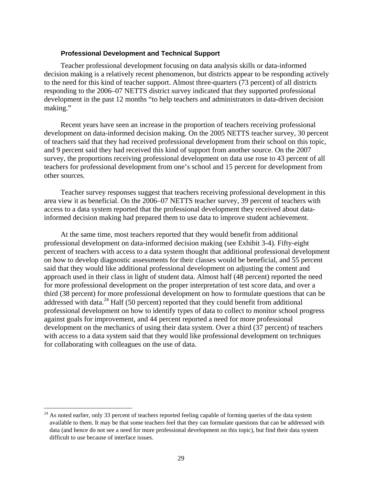#### **Professional Development and Technical Support**

Teacher professional development focusing on data analysis skills or data-informed decision making is a relatively recent phenomenon, but districts appear to be responding actively to the need for this kind of teacher support. Almost three-quarters (73 percent) of all districts responding to the 2006–07 NETTS district survey indicated that they supported professional development in the past 12 months "to help teachers and administrators in data-driven decision making."

Recent years have seen an increase in the proportion of teachers receiving professional development on data-informed decision making. On the 2005 NETTS teacher survey, 30 percent of teachers said that they had received professional development from their school on this topic, and 9 percent said they had received this kind of support from another source. On the 2007 survey, the proportions receiving professional development on data use rose to 43 percent of all teachers for professional development from one's school and 15 percent for development from other sources.

Teacher survey responses suggest that teachers receiving professional development in this area view it as beneficial. On the 2006–07 NETTS teacher survey, 39 percent of teachers with access to a data system reported that the professional development they received about datainformed decision making had prepared them to use data to improve student achievement.

At the same time, most teachers reported that they would benefit from additional professional development on data-informed decision making (see Exhibit 3-4). Fifty-eight percent of teachers with access to a data system thought that additional professional development on how to develop diagnostic assessments for their classes would be beneficial, and 55 percent said that they would like additional professional development on adjusting the content and approach used in their class in light of student data. Almost half (48 percent) reported the need for more professional development on the proper interpretation of test score data, and over a third (38 percent) for more professional development on how to formulate questions that can be addressed with data. $^{24}$  Half (50 percent) reported that they could benefit from additional professional development on how to identify types of data to collect to monitor school progress against goals for improvement, and 44 percent reported a need for more professional development on the mechanics of using their data system. Over a third (37 percent) of teachers with access to a data system said that they would like professional development on techniques for collaborating with colleagues on the use of data.

 $\overline{a}$ 

 $^{24}$  As noted earlier, only 33 percent of teachers reported feeling capable of forming queries of the data system available to them. It may be that some teachers feel that they can formulate questions that can be addressed with data (and hence do not see a need for more professional development on this topic), but find their data system difficult to use because of interface issues.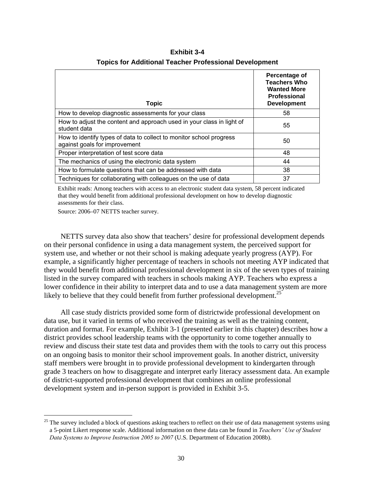| <b>Topic</b>                                                                                         | Percentage of<br><b>Teachers Who</b><br><b>Wanted More</b><br><b>Professional</b><br><b>Development</b> |
|------------------------------------------------------------------------------------------------------|---------------------------------------------------------------------------------------------------------|
| How to develop diagnostic assessments for your class                                                 | 58                                                                                                      |
| How to adjust the content and approach used in your class in light of<br>student data                | 55                                                                                                      |
| How to identify types of data to collect to monitor school progress<br>against goals for improvement | 50                                                                                                      |
| Proper interpretation of test score data                                                             | 48                                                                                                      |
| The mechanics of using the electronic data system                                                    | 44                                                                                                      |
| How to formulate questions that can be addressed with data                                           | 38                                                                                                      |
| Techniques for collaborating with colleagues on the use of data                                      | 37                                                                                                      |

**Exhibit 3-4 Topics for Additional Teacher Professional Development** 

Exhibit reads: Among teachers with access to an electronic student data system, 58 percent indicated that they would benefit from additional professional development on how to develop diagnostic assessments for their class.

Source: 2006–07 NETTS teacher survey.

 $\overline{a}$ 

NETTS survey data also show that teachers' desire for professional development depends on their personal confidence in using a data management system, the perceived support for system use, and whether or not their school is making adequate yearly progress (AYP). For example, a significantly higher percentage of teachers in schools not meeting AYP indicated that they would benefit from additional professional development in six of the seven types of training listed in the survey compared with teachers in schools making AYP. Teachers who express a lower confidence in their ability to interpret data and to use a data management system are more likely to believe that they could benefit from further professional development.<sup>25</sup>

All case study districts provided some form of districtwide professional development on data use, but it varied in terms of who received the training as well as the training content, duration and format. For example, Exhibit 3-1 (presented earlier in this chapter) describes how a district provides school leadership teams with the opportunity to come together annually to review and discuss their state test data and provides them with the tools to carry out this process on an ongoing basis to monitor their school improvement goals. In another district, university staff members were brought in to provide professional development to kindergarten through grade 3 teachers on how to disaggregate and interpret early literacy assessment data. An example of district-supported professional development that combines an online professional development system and in-person support is provided in Exhibit 3-5.

 $^{25}$  The survey included a block of questions asking teachers to reflect on their use of data management systems using a 5-point Likert response scale. Additional information on these data can be found in *Teachers' Use of Student Data Systems to Improve Instruction 2005 to 2007* (U.S. Department of Education 2008b).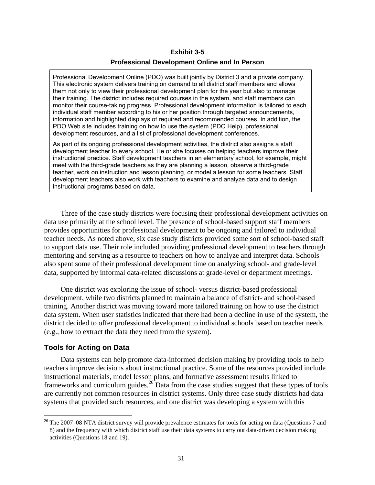# **Exhibit 3-5 Professional Development Online and In Person**

Professional Development Online (PDO) was built jointly by District 3 and a private company. This electronic system delivers training on demand to all district staff members and allows them not only to view their professional development plan for the year but also to manage their training. The district includes required courses in the system, and staff members can monitor their course-taking progress. Professional development information is tailored to each individual staff member according to his or her position through targeted announcements, information and highlighted displays of required and recommended courses. In addition, the PDO Web site includes training on how to use the system (PDO Help), professional development resources, and a list of professional development conferences.

As part of its ongoing professional development activities, the district also assigns a staff development teacher to every school. He or she focuses on helping teachers improve their instructional practice. Staff development teachers in an elementary school, for example, might meet with the third-grade teachers as they are planning a lesson, observe a third-grade teacher, work on instruction and lesson planning, or model a lesson for some teachers. Staff development teachers also work with teachers to examine and analyze data and to design instructional programs based on data.

Three of the case study districts were focusing their professional development activities on data use primarily at the school level. The presence of school-based support staff members provides opportunities for professional development to be ongoing and tailored to individual teacher needs. As noted above, six case study districts provided some sort of school-based staff to support data use. Their role included providing professional development to teachers through mentoring and serving as a resource to teachers on how to analyze and interpret data. Schools also spent some of their professional development time on analyzing school- and grade-level data, supported by informal data-related discussions at grade-level or department meetings.

One district was exploring the issue of school- versus district-based professional development, while two districts planned to maintain a balance of district- and school-based training. Another district was moving toward more tailored training on how to use the district data system. When user statistics indicated that there had been a decline in use of the system, the district decided to offer professional development to individual schools based on teacher needs (e.g., how to extract the data they need from the system).

### **Tools for Acting on Data**

 $\overline{a}$ 

Data systems can help promote data-informed decision making by providing tools to help teachers improve decisions about instructional practice. Some of the resources provided include instructional materials, model lesson plans, and formative assessment results linked to frameworks and curriculum guides.<sup>26</sup> Data from the case studies suggest that these types of tools are currently not common resources in district systems. Only three case study districts had data systems that provided such resources, and one district was developing a system with this

 $^{26}$  The 2007–08 NTA district survey will provide prevalence estimates for tools for acting on data (Questions 7 and 8) and the frequency with which district staff use their data systems to carry out data-driven decision making activities (Questions 18 and 19).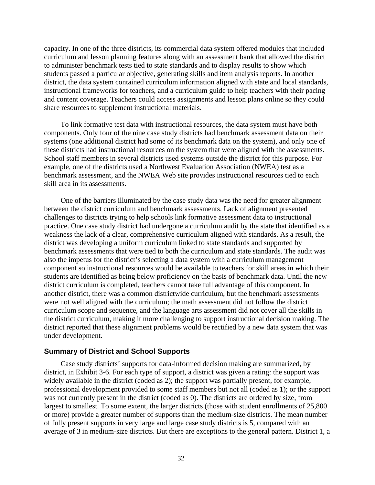capacity. In one of the three districts, its commercial data system offered modules that included curriculum and lesson planning features along with an assessment bank that allowed the district to administer benchmark tests tied to state standards and to display results to show which students passed a particular objective, generating skills and item analysis reports. In another district, the data system contained curriculum information aligned with state and local standards, instructional frameworks for teachers, and a curriculum guide to help teachers with their pacing and content coverage. Teachers could access assignments and lesson plans online so they could share resources to supplement instructional materials.

To link formative test data with instructional resources, the data system must have both components. Only four of the nine case study districts had benchmark assessment data on their systems (one additional district had some of its benchmark data on the system), and only one of these districts had instructional resources on the system that were aligned with the assessments. School staff members in several districts used systems outside the district for this purpose. For example, one of the districts used a Northwest Evaluation Association (NWEA) test as a benchmark assessment, and the NWEA Web site provides instructional resources tied to each skill area in its assessments.

One of the barriers illuminated by the case study data was the need for greater alignment between the district curriculum and benchmark assessments. Lack of alignment presented challenges to districts trying to help schools link formative assessment data to instructional practice. One case study district had undergone a curriculum audit by the state that identified as a weakness the lack of a clear, comprehensive curriculum aligned with standards. As a result, the district was developing a uniform curriculum linked to state standards and supported by benchmark assessments that were tied to both the curriculum and state standards. The audit was also the impetus for the district's selecting a data system with a curriculum management component so instructional resources would be available to teachers for skill areas in which their students are identified as being below proficiency on the basis of benchmark data. Until the new district curriculum is completed, teachers cannot take full advantage of this component. In another district, there was a common districtwide curriculum, but the benchmark assessments were not well aligned with the curriculum; the math assessment did not follow the district curriculum scope and sequence, and the language arts assessment did not cover all the skills in the district curriculum, making it more challenging to support instructional decision making. The district reported that these alignment problems would be rectified by a new data system that was under development.

### **Summary of District and School Supports**

Case study districts' supports for data-informed decision making are summarized, by district, in Exhibit 3-6. For each type of support, a district was given a rating: the support was widely available in the district (coded as 2); the support was partially present, for example, professional development provided to some staff members but not all (coded as 1); or the support was not currently present in the district (coded as 0). The districts are ordered by size, from largest to smallest. To some extent, the larger districts (those with student enrollments of 25,800 or more) provide a greater number of supports than the medium-size districts. The mean number of fully present supports in very large and large case study districts is 5, compared with an average of 3 in medium-size districts. But there are exceptions to the general pattern. District 1, a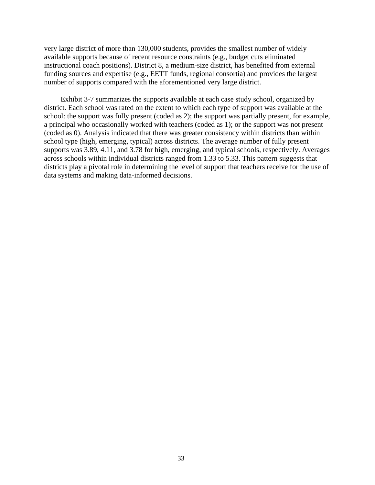very large district of more than 130,000 students, provides the smallest number of widely available supports because of recent resource constraints (e.g., budget cuts eliminated instructional coach positions). District 8, a medium-size district, has benefited from external funding sources and expertise (e.g., EETT funds, regional consortia) and provides the largest number of supports compared with the aforementioned very large district.

Exhibit 3-7 summarizes the supports available at each case study school, organized by district. Each school was rated on the extent to which each type of support was available at the school: the support was fully present (coded as 2); the support was partially present, for example, a principal who occasionally worked with teachers (coded as 1); or the support was not present (coded as 0). Analysis indicated that there was greater consistency within districts than within school type (high, emerging, typical) across districts. The average number of fully present supports was 3.89, 4.11, and 3.78 for high, emerging, and typical schools, respectively. Averages across schools within individual districts ranged from 1.33 to 5.33. This pattern suggests that districts play a pivotal role in determining the level of support that teachers receive for the use of data systems and making data-informed decisions.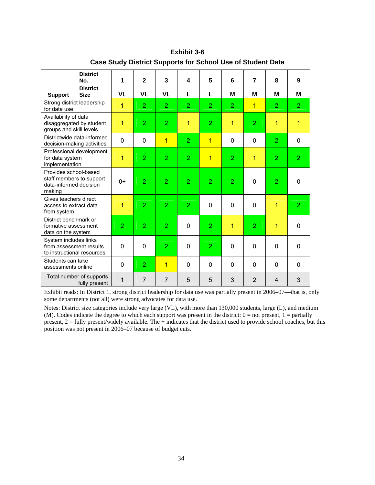|                                                                                       | <b>District</b><br>No.                                   | 1              | $\mathbf{2}$   | 3              | 4              | 5              | 6              | $\overline{7}$ | 8              | 9              |
|---------------------------------------------------------------------------------------|----------------------------------------------------------|----------------|----------------|----------------|----------------|----------------|----------------|----------------|----------------|----------------|
| <b>Support</b>                                                                        | <b>District</b><br><b>Size</b>                           | <b>VL</b>      | <b>VL</b>      | <b>VL</b>      | L              | L              | M              | м              | М              | М              |
| Strong district leadership<br>for data use                                            |                                                          | $\overline{1}$ | $\overline{2}$ | $\overline{2}$ | $\overline{2}$ | $\overline{2}$ | $\overline{2}$ | $\overline{1}$ | $\overline{2}$ | $\overline{2}$ |
| Availability of data<br>disaggregated by student<br>groups and skill levels           |                                                          | 1              | $\overline{2}$ | $\overline{2}$ | $\mathbf{1}$   | $\overline{2}$ | $\overline{1}$ | $\overline{2}$ | 1              | 1              |
|                                                                                       | Districtwide data-informed<br>decision-making activities | $\mathbf 0$    | $\mathbf 0$    | $\overline{1}$ | $\overline{2}$ | $\overline{1}$ | $\mathbf 0$    | $\mathbf 0$    | $\overline{2}$ | 0              |
| Professional development<br>for data system<br>implementation                         |                                                          | 1              | $\overline{2}$ | $\overline{2}$ | $\overline{2}$ | $\overline{1}$ | $\overline{2}$ | $\overline{1}$ | $\overline{2}$ | $\overline{2}$ |
| Provides school-based<br>staff members to support<br>data-informed decision<br>making |                                                          | $0+$           | $\overline{2}$ | $\overline{2}$ | $\overline{2}$ | $\overline{2}$ | $\overline{2}$ | $\mathbf 0$    | $\overline{2}$ | 0              |
| Gives teachers direct<br>access to extract data<br>from system                        |                                                          | 1              | $\overline{2}$ | $\overline{2}$ | $\overline{2}$ | $\Omega$       | $\mathbf 0$    | $\mathbf 0$    | 1              | $\overline{2}$ |
| District benchmark or<br>formative assessment<br>data on the system                   |                                                          | $\overline{2}$ | $\overline{2}$ | $\overline{2}$ | $\mathbf 0$    | $\overline{2}$ | $\overline{1}$ | $\overline{2}$ | 1              | 0              |
| System includes links<br>from assessment results<br>to instructional resources        |                                                          | $\Omega$       | $\Omega$       | $\overline{2}$ | $\Omega$       | $\overline{2}$ | 0              | $\mathbf 0$    | $\mathbf 0$    | 0              |
| Students can take<br>assessments online                                               |                                                          | 0              | $\overline{2}$ | $\overline{1}$ | $\mathbf 0$    | $\Omega$       | 0              | $\mathbf 0$    | $\mathbf 0$    | 0              |
|                                                                                       | Total number of supports<br>fully present                | 1              | $\overline{7}$ | $\overline{7}$ | 5              | 5              | 3              | $\overline{2}$ | 4              | 3              |

**Exhibit 3-6 Case Study District Supports for School Use of Student Data** 

Exhibit reads: In District 1, strong district leadership for data use was partially present in 2006–07—that is, only some departments (not all) were strong advocates for data use.

Notes: District size categories include very large (VL), with more than 130,000 students, large (L), and medium (M). Codes indicate the degree to which each support was present in the district:  $0 =$  not present,  $1 =$  partially present, 2 = fully present/widely available. The + indicates that the district used to provide school coaches, but this position was not present in 2006–07 because of budget cuts.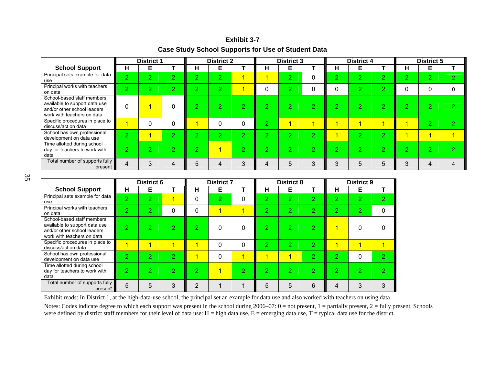#### **Exhibit 3-7**

## **Case Study School Supports for Use of Student Data**

|                                                                                                                          | <b>District 1</b> |          | <b>District 2</b> |            | <b>District 3</b> |                 |             | <b>District 4</b> |             |        | <b>District 5</b>  |                |               |                |                |
|--------------------------------------------------------------------------------------------------------------------------|-------------------|----------|-------------------|------------|-------------------|-----------------|-------------|-------------------|-------------|--------|--------------------|----------------|---------------|----------------|----------------|
| <b>School Support</b>                                                                                                    | н                 | Е        |                   | н          | Е                 |                 | н           | Е                 |             | н      | Е                  |                | н             | Е              |                |
| Principal sets example for data<br>use                                                                                   | $\Omega$          | $\sigma$ | $\Omega$          | o          | $\overline{2}$    |                 |             | $\overline{2}$    | $\Omega$    | o.     | $\sigma$<br>∠      | $\overline{2}$ | $\Omega$<br>∠ | $\overline{2}$ | $\overline{2}$ |
| Principal works with teachers<br>on data                                                                                 | $\Omega$          | $\Omega$ | $\sim$<br>∠       | $\sqrt{2}$ | $\Omega$<br>∠     |                 | 0           | 2                 | 0           |        | $\mathcal{D}$<br>∠ | $\overline{2}$ |               | 0              | $\Omega$       |
| School-based staff members<br>available to support data use<br>and/or other school leaders<br>work with teachers on data |                   |          |                   |            | $\Omega$<br>27    | $\sqrt{2}$<br>∠ | $\sim$<br>∼ | $\overline{2}$    | $\sim$<br>▰ | $\sim$ | റ<br>L             | $\sim$<br>z,   | o<br>L        | $\overline{2}$ | $\overline{2}$ |
| Specific procedures in place to<br>discuss/act on data                                                                   |                   | 0        |                   |            | 0                 | 0               | $\sim$      | и                 | и           |        |                    | л              |               | $\overline{2}$ | $\overline{2}$ |
| School has own professional<br>development on data use                                                                   | $\Omega$          |          | 2                 | റ          | 2                 | 2               | o.          | $\overline{2}$    | 2           |        | $\sigma$           | $\overline{2}$ |               | 4              | $\overline{4}$ |
| Time allotted during school<br>day for teachers to work with<br>data                                                     | o.                | 0        | $\sim$            | ົ          |                   | $\Omega$        | o           | $\overline{2}$    | $\Omega$    | റ      | $\mathcal{D}$<br>∠ | $\Omega$<br>∠  | o             | $\mathcal{D}$  | $\mathcal{P}$  |
| Total number of supports fully<br>present                                                                                | 4                 | 3        |                   |            | 4                 | 3               |             | 5                 | 3           | 3      | 5                  | 5              | 3             |                | 4              |

 35  $35$ 

|                                                                                                                          |                | District 6     |                | <b>District 7</b> |                |                | <b>District 8</b> |                |                | <b>District 9</b> |                |   |
|--------------------------------------------------------------------------------------------------------------------------|----------------|----------------|----------------|-------------------|----------------|----------------|-------------------|----------------|----------------|-------------------|----------------|---|
| <b>School Support</b>                                                                                                    | н              | Е              |                | н                 | Е              |                | н                 | Е              |                | н                 | Е              |   |
| Principal sets example for data<br>use                                                                                   | $\overline{2}$ | $\overline{2}$ |                | $\Omega$          | $\overline{2}$ | $\mathbf 0$    | 2                 | $\overline{2}$ | $\overline{2}$ | $\overline{2}$    | $\overline{2}$ | 2 |
| Principal works with teachers<br>on data                                                                                 | $\overline{2}$ | 2              | 0              | 0                 | 1              | 1              | 2                 | 2              | 2              | 2                 | 2              | 0 |
| School-based staff members<br>available to support data use<br>and/or other school leaders<br>work with teachers on data | 2              | 2              | 2              | 2                 | 0              | 0              | 2                 | 2              | 2              |                   | 0              | 0 |
| Specific procedures in place to<br>discuss/act on data                                                                   |                |                |                | и                 | $\Omega$       | $\Omega$       | $\overline{2}$    | 2              | $\overline{2}$ |                   | 1              |   |
| School has own professional<br>development on data use                                                                   | റ              | 2              | 2              |                   | $\Omega$       | $\overline{1}$ | и                 | 1              | $\overline{2}$ | 2                 | 0              | 2 |
| Time allotted during school<br>day for teachers to work with<br>data                                                     | $\overline{2}$ | 2              | $\overline{2}$ | 2                 |                | $\overline{2}$ | 2                 | 2              | $\overline{2}$ | 2                 | 2              | 0 |
| Total number of supports fully<br>present                                                                                | 5              | 5              | 3              | っ                 |                |                | 5                 | 5              | 6              | 4                 | 3              | 3 |

Exhibit reads: In District 1, at the high-data-use school, the principal set an example for data use and also worked with teachers on using data.

Notes: Codes indicate degree to which each support was present in the school during 2006–07: 0 = not present, 1 = partially present, 2 = fully present. Schools were defined by district staff members for their level of data use:  $H = high$  data use,  $E =$  emerging data use,  $T =$  typical data use for the district.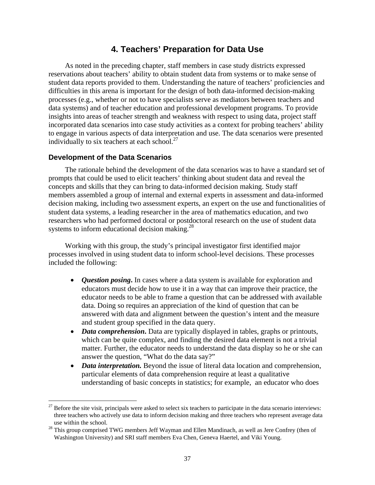# **4. Teachers' Preparation for Data Use**

As noted in the preceding chapter, staff members in case study districts expressed reservations about teachers' ability to obtain student data from systems or to make sense of student data reports provided to them. Understanding the nature of teachers' proficiencies and difficulties in this arena is important for the design of both data-informed decision-making processes (e.g., whether or not to have specialists serve as mediators between teachers and data systems) and of teacher education and professional development programs. To provide insights into areas of teacher strength and weakness with respect to using data, project staff incorporated data scenarios into case study activities as a context for probing teachers' ability to engage in various aspects of data interpretation and use. The data scenarios were presented individually to six teachers at each school. $27$ 

## **Development of the Data Scenarios**

 $\overline{a}$ 

The rationale behind the development of the data scenarios was to have a standard set of prompts that could be used to elicit teachers' thinking about student data and reveal the concepts and skills that they can bring to data-informed decision making. Study staff members assembled a group of internal and external experts in assessment and data-informed decision making, including two assessment experts, an expert on the use and functionalities of student data systems, a leading researcher in the area of mathematics education, and two researchers who had performed doctoral or postdoctoral research on the use of student data systems to inform educational decision making.<sup>28</sup>

Working with this group, the study's principal investigator first identified major processes involved in using student data to inform school-level decisions. These processes included the following:

- *Question posing***.** In cases where a data system is available for exploration and educators must decide how to use it in a way that can improve their practice, the educator needs to be able to frame a question that can be addressed with available data. Doing so requires an appreciation of the kind of question that can be answered with data and alignment between the question's intent and the measure and student group specified in the data query.
- *Data comprehension***.** Data are typically displayed in tables, graphs or printouts, which can be quite complex, and finding the desired data element is not a trivial matter. Further, the educator needs to understand the data display so he or she can answer the question, "What do the data say?"
- *Data interpretation*. Beyond the issue of literal data location and comprehension, particular elements of data comprehension require at least a qualitative understanding of basic concepts in statistics; for example, an educator who does

 $27$  Before the site visit, principals were asked to select six teachers to participate in the data scenario interviews: three teachers who actively use data to inform decision making and three teachers who represent average data

use within the school.<br><sup>28</sup> This group comprised TWG members Jeff Wayman and Ellen Mandinach, as well as Jere Confrey (then of Washington University) and SRI staff members Eva Chen, Geneva Haertel, and Viki Young.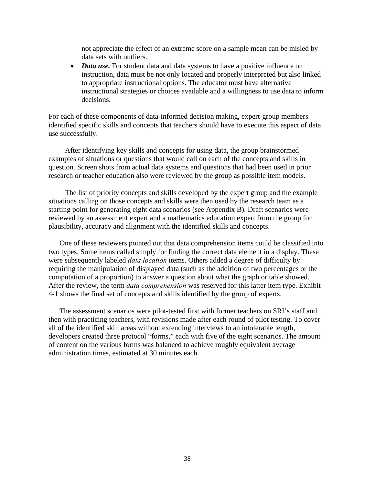not appreciate the effect of an extreme score on a sample mean can be misled by data sets with outliers.

• *Data use*. For student data and data systems to have a positive influence on instruction, data must be not only located and properly interpreted but also linked to appropriate instructional options. The educator must have alternative instructional strategies or choices available and a willingness to use data to inform decisions.

For each of these components of data-informed decision making, expert-group members identified specific skills and concepts that teachers should have to execute this aspect of data use successfully.

After identifying key skills and concepts for using data, the group brainstormed examples of situations or questions that would call on each of the concepts and skills in question. Screen shots from actual data systems and questions that had been used in prior research or teacher education also were reviewed by the group as possible item models.

The list of priority concepts and skills developed by the expert group and the example situations calling on those concepts and skills were then used by the research team as a starting point for generating eight data scenarios (see Appendix B). Draft scenarios were reviewed by an assessment expert and a mathematics education expert from the group for plausibility, accuracy and alignment with the identified skills and concepts.

One of these reviewers pointed out that data comprehension items could be classified into two types. Some items called simply for finding the correct data element in a display. These were subsequently labeled *data location* items. Others added a degree of difficulty by requiring the manipulation of displayed data (such as the addition of two percentages or the computation of a proportion) to answer a question about what the graph or table showed. After the review, the term *data comprehension* was reserved for this latter item type. Exhibit 4-1 shows the final set of concepts and skills identified by the group of experts.

The assessment scenarios were pilot-tested first with former teachers on SRI's staff and then with practicing teachers, with revisions made after each round of pilot testing. To cover all of the identified skill areas without extending interviews to an intolerable length, developers created three protocol "forms," each with five of the eight scenarios. The amount of content on the various forms was balanced to achieve roughly equivalent average administration times, estimated at 30 minutes each.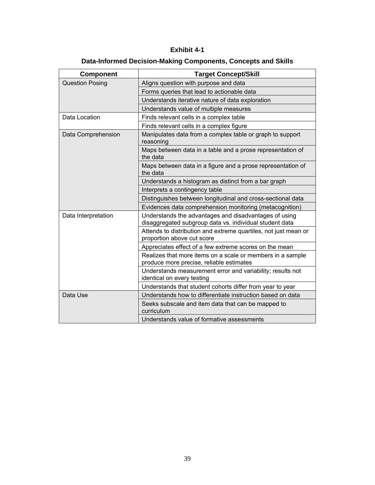# **Exhibit 4-1**

# **Data-Informed Decision-Making Components, Concepts and Skills**

| <b>Component</b>       | <b>Target Concept/Skill</b>                                                                                      |
|------------------------|------------------------------------------------------------------------------------------------------------------|
| <b>Question Posing</b> | Aligns question with purpose and data                                                                            |
|                        | Forms queries that lead to actionable data                                                                       |
|                        | Understands iterative nature of data exploration                                                                 |
|                        | Understands value of multiple measures                                                                           |
| Data Location          | Finds relevant cells in a complex table                                                                          |
|                        | Finds relevant cells in a complex figure                                                                         |
| Data Comprehension     | Manipulates data from a complex table or graph to support<br>reasoning                                           |
|                        | Maps between data in a table and a prose representation of<br>the data                                           |
|                        | Maps between data in a figure and a prose representation of<br>the data                                          |
|                        | Understands a histogram as distinct from a bar graph                                                             |
|                        | Interprets a contingency table                                                                                   |
|                        | Distinguishes between longitudinal and cross-sectional data                                                      |
|                        | Evidences data comprehension monitoring (metacognition)                                                          |
| Data Interpretation    | Understands the advantages and disadvantages of using<br>disaggregated subgroup data vs. individual student data |
|                        | Attends to distribution and extreme quartiles, not just mean or<br>proportion above cut score                    |
|                        | Appreciates effect of a few extreme scores on the mean                                                           |
|                        | Realizes that more items on a scale or members in a sample<br>produce more precise, reliable estimates           |
|                        | Understands measurement error and variability; results not<br>identical on every testing                         |
|                        | Understands that student cohorts differ from year to year                                                        |
| Data Use               | Understands how to differentiate instruction based on data                                                       |
|                        | Seeks subscale and item data that can be mapped to<br>curriculum                                                 |
|                        | Understands value of formative assessments                                                                       |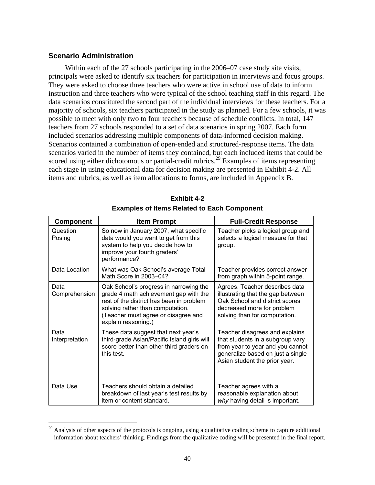### **Scenario Administration**

 $\overline{a}$ 

Within each of the 27 schools participating in the 2006–07 case study site visits, principals were asked to identify six teachers for participation in interviews and focus groups. They were asked to choose three teachers who were active in school use of data to inform instruction and three teachers who were typical of the school teaching staff in this regard. The data scenarios constituted the second part of the individual interviews for these teachers. For a majority of schools, six teachers participated in the study as planned. For a few schools, it was possible to meet with only two to four teachers because of schedule conflicts. In total, 147 teachers from 27 schools responded to a set of data scenarios in spring 2007. Each form included scenarios addressing multiple components of data-informed decision making. Scenarios contained a combination of open-ended and structured-response items. The data scenarios varied in the number of items they contained, but each included items that could be scored using either dichotomous or partial-credit rubrics.<sup>29</sup> Examples of items representing each stage in using educational data for decision making are presented in Exhibit 4-2. All items and rubrics, as well as item allocations to forms, are included in Appendix B.

| <b>Component</b>       | <b>Item Prompt</b>                                                                                                                                                                                                            | <b>Full-Credit Response</b>                                                                                                                                                  |
|------------------------|-------------------------------------------------------------------------------------------------------------------------------------------------------------------------------------------------------------------------------|------------------------------------------------------------------------------------------------------------------------------------------------------------------------------|
| Question<br>Posing     | So now in January 2007, what specific<br>data would you want to get from this<br>system to help you decide how to<br>improve your fourth graders'<br>performance?                                                             | Teacher picks a logical group and<br>selects a logical measure for that<br>group.                                                                                            |
| Data Location          | What was Oak School's average Total<br>Math Score in 2003-04?                                                                                                                                                                 | Teacher provides correct answer<br>from graph within 5-point range.                                                                                                          |
| Data<br>Comprehension  | Oak School's progress in narrowing the<br>grade 4 math achievement gap with the<br>rest of the district has been in problem<br>solving rather than computation.<br>(Teacher must agree or disagree and<br>explain reasoning.) | Agrees. Teacher describes data<br>illustrating that the gap between<br>Oak School and district scores<br>decreased more for problem<br>solving than for computation.         |
| Data<br>Interpretation | These data suggest that next year's<br>third-grade Asian/Pacific Island girls will<br>score better than other third graders on<br>this test.                                                                                  | Teacher disagrees and explains<br>that students in a subgroup vary<br>from year to year and you cannot<br>generalize based on just a single<br>Asian student the prior year. |
| Data Use               | Teachers should obtain a detailed<br>breakdown of last year's test results by<br>item or content standard.                                                                                                                    | Teacher agrees with a<br>reasonable explanation about<br>why having detail is important.                                                                                     |

**Exhibit 4-2 Examples of Items Related to Each Component** 

<sup>&</sup>lt;sup>29</sup> Analysis of other aspects of the protocols is ongoing, using a qualitative coding scheme to capture additional information about teachers' thinking. Findings from the qualitative coding will be presented in the final report.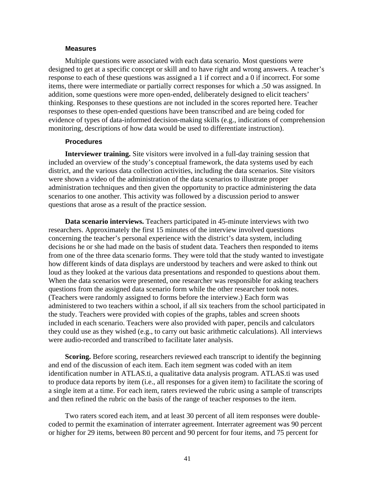#### **Measures**

Multiple questions were associated with each data scenario. Most questions were designed to get at a specific concept or skill and to have right and wrong answers. A teacher's response to each of these questions was assigned a 1 if correct and a 0 if incorrect. For some items, there were intermediate or partially correct responses for which a .50 was assigned. In addition, some questions were more open-ended, deliberately designed to elicit teachers' thinking. Responses to these questions are not included in the scores reported here. Teacher responses to these open-ended questions have been transcribed and are being coded for evidence of types of data-informed decision-making skills (e.g., indications of comprehension monitoring, descriptions of how data would be used to differentiate instruction).

#### **Procedures**

**Interviewer training.** Site visitors were involved in a full-day training session that included an overview of the study's conceptual framework, the data systems used by each district, and the various data collection activities, including the data scenarios. Site visitors were shown a video of the administration of the data scenarios to illustrate proper administration techniques and then given the opportunity to practice administering the data scenarios to one another. This activity was followed by a discussion period to answer questions that arose as a result of the practice session.

**Data scenario interviews.** Teachers participated in 45-minute interviews with two researchers. Approximately the first 15 minutes of the interview involved questions concerning the teacher's personal experience with the district's data system, including decisions he or she had made on the basis of student data. Teachers then responded to items from one of the three data scenario forms. They were told that the study wanted to investigate how different kinds of data displays are understood by teachers and were asked to think out loud as they looked at the various data presentations and responded to questions about them. When the data scenarios were presented, one researcher was responsible for asking teachers questions from the assigned data scenario form while the other researcher took notes. (Teachers were randomly assigned to forms before the interview.) Each form was administered to two teachers within a school, if all six teachers from the school participated in the study. Teachers were provided with copies of the graphs, tables and screen shoots included in each scenario. Teachers were also provided with paper, pencils and calculators they could use as they wished (e.g., to carry out basic arithmetic calculations). All interviews were audio-recorded and transcribed to facilitate later analysis.

**Scoring.** Before scoring, researchers reviewed each transcript to identify the beginning and end of the discussion of each item. Each item segment was coded with an item identification number in ATLAS.ti, a qualitative data analysis program. ATLAS.ti was used to produce data reports by item (i.e., all responses for a given item) to facilitate the scoring of a single item at a time. For each item, raters reviewed the rubric using a sample of transcripts and then refined the rubric on the basis of the range of teacher responses to the item.

Two raters scored each item, and at least 30 percent of all item responses were doublecoded to permit the examination of interrater agreement. Interrater agreement was 90 percent or higher for 29 items, between 80 percent and 90 percent for four items, and 75 percent for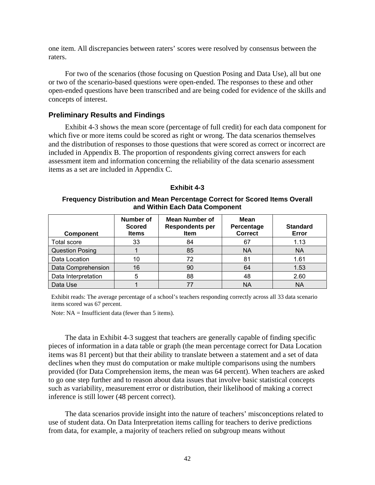one item. All discrepancies between raters' scores were resolved by consensus between the raters.

For two of the scenarios (those focusing on Question Posing and Data Use), all but one or two of the scenario-based questions were open-ended. The responses to these and other open-ended questions have been transcribed and are being coded for evidence of the skills and concepts of interest.

### **Preliminary Results and Findings**

Exhibit 4-3 shows the mean score (percentage of full credit) for each data component for which five or more items could be scored as right or wrong. The data scenarios themselves and the distribution of responses to those questions that were scored as correct or incorrect are included in Appendix B. The proportion of respondents giving correct answers for each assessment item and information concerning the reliability of the data scenario assessment items as a set are included in Appendix C.

| <b>Exhibit 4-3</b> |  |  |
|--------------------|--|--|
|--------------------|--|--|

#### **Frequency Distribution and Mean Percentage Correct for Scored Items Overall and Within Each Data Component**

| <b>Component</b>       | <b>Number of</b><br><b>Scored</b><br><b>Items</b> | Mean Number of<br><b>Respondents per</b><br>Item | <b>Mean</b><br>Percentage<br><b>Correct</b> | <b>Standard</b><br>Error |
|------------------------|---------------------------------------------------|--------------------------------------------------|---------------------------------------------|--------------------------|
| <b>Total score</b>     | 33                                                | 84                                               | 67                                          | 1.13                     |
| <b>Question Posing</b> |                                                   | 85                                               | <b>NA</b>                                   | <b>NA</b>                |
| Data Location          | 10                                                | 72                                               | 81                                          | 1.61                     |
| Data Comprehension     | 16                                                | 90                                               | 64                                          | 1.53                     |
| Data Interpretation    | 5                                                 | 88                                               | 48                                          | 2.60                     |
| Data Use               |                                                   | 77                                               | ΝA                                          | ΝA                       |

Exhibit reads: The average percentage of a school's teachers responding correctly across all 33 data scenario items scored was 67 percent.

Note: NA = Insufficient data (fewer than 5 items).

The data in Exhibit 4-3 suggest that teachers are generally capable of finding specific pieces of information in a data table or graph (the mean percentage correct for Data Location items was 81 percent) but that their ability to translate between a statement and a set of data declines when they must do computation or make multiple comparisons using the numbers provided (for Data Comprehension items, the mean was 64 percent). When teachers are asked to go one step further and to reason about data issues that involve basic statistical concepts such as variability, measurement error or distribution, their likelihood of making a correct inference is still lower (48 percent correct).

The data scenarios provide insight into the nature of teachers' misconceptions related to use of student data. On Data Interpretation items calling for teachers to derive predictions from data, for example, a majority of teachers relied on subgroup means without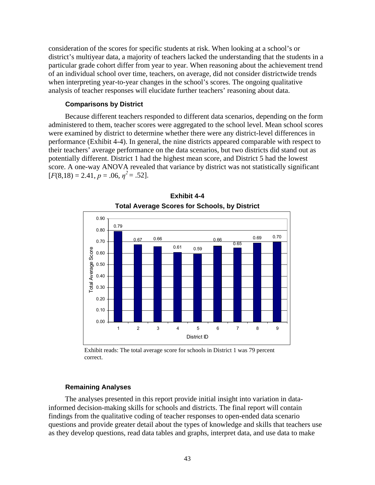consideration of the scores for specific students at risk. When looking at a school's or district's multiyear data, a majority of teachers lacked the understanding that the students in a particular grade cohort differ from year to year. When reasoning about the achievement trend of an individual school over time, teachers, on average, did not consider districtwide trends when interpreting year-to-year changes in the school's scores. The ongoing qualitative analysis of teacher responses will elucidate further teachers' reasoning about data.

#### **Comparisons by District**

Because different teachers responded to different data scenarios, depending on the form administered to them, teacher scores were aggregated to the school level. Mean school scores were examined by district to determine whether there were any district-level differences in performance (Exhibit 4-4). In general, the nine districts appeared comparable with respect to their teachers' average performance on the data scenarios, but two districts did stand out as potentially different. District 1 had the highest mean score, and District 5 had the lowest score. A one-way ANOVA revealed that variance by district was not statistically significant  $[F(8,18) = 2.41, p = .06, \eta^2 = .52].$ 





Exhibit reads: The total average score for schools in District 1 was 79 percent correct.

### **Remaining Analyses**

The analyses presented in this report provide initial insight into variation in datainformed decision-making skills for schools and districts. The final report will contain findings from the qualitative coding of teacher responses to open-ended data scenario questions and provide greater detail about the types of knowledge and skills that teachers use as they develop questions, read data tables and graphs, interpret data, and use data to make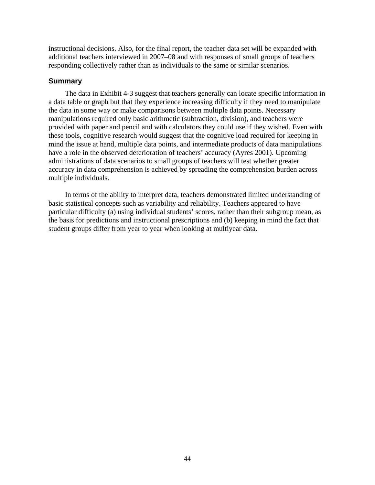instructional decisions. Also, for the final report, the teacher data set will be expanded with additional teachers interviewed in 2007–08 and with responses of small groups of teachers responding collectively rather than as individuals to the same or similar scenarios.

### **Summary**

The data in Exhibit 4-3 suggest that teachers generally can locate specific information in a data table or graph but that they experience increasing difficulty if they need to manipulate the data in some way or make comparisons between multiple data points. Necessary manipulations required only basic arithmetic (subtraction, division), and teachers were provided with paper and pencil and with calculators they could use if they wished. Even with these tools, cognitive research would suggest that the cognitive load required for keeping in mind the issue at hand, multiple data points, and intermediate products of data manipulations have a role in the observed deterioration of teachers' accuracy (Ayres 2001). Upcoming administrations of data scenarios to small groups of teachers will test whether greater accuracy in data comprehension is achieved by spreading the comprehension burden across multiple individuals.

In terms of the ability to interpret data, teachers demonstrated limited understanding of basic statistical concepts such as variability and reliability. Teachers appeared to have particular difficulty (a) using individual students' scores, rather than their subgroup mean, as the basis for predictions and instructional prescriptions and (b) keeping in mind the fact that student groups differ from year to year when looking at multiyear data.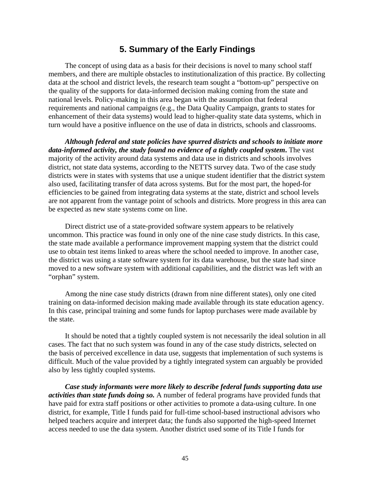# **5. Summary of the Early Findings**

The concept of using data as a basis for their decisions is novel to many school staff members, and there are multiple obstacles to institutionalization of this practice. By collecting data at the school and district levels, the research team sought a "bottom-up" perspective on the quality of the supports for data-informed decision making coming from the state and national levels. Policy-making in this area began with the assumption that federal requirements and national campaigns (e.g., the Data Quality Campaign, grants to states for enhancement of their data systems) would lead to higher-quality state data systems, which in turn would have a positive influence on the use of data in districts, schools and classrooms.

*Although federal and state policies have spurred districts and schools to initiate more data-informed activity, the study found no evidence of a tightly coupled system***.** The vast majority of the activity around data systems and data use in districts and schools involves district, not state data systems, according to the NETTS survey data. Two of the case study districts were in states with systems that use a unique student identifier that the district system also used, facilitating transfer of data across systems. But for the most part, the hoped-for efficiencies to be gained from integrating data systems at the state, district and school levels are not apparent from the vantage point of schools and districts. More progress in this area can be expected as new state systems come on line.

Direct district use of a state-provided software system appears to be relatively uncommon. This practice was found in only one of the nine case study districts. In this case, the state made available a performance improvement mapping system that the district could use to obtain test items linked to areas where the school needed to improve. In another case, the district was using a state software system for its data warehouse, but the state had since moved to a new software system with additional capabilities, and the district was left with an "orphan" system.

Among the nine case study districts (drawn from nine different states), only one cited training on data-informed decision making made available through its state education agency. In this case, principal training and some funds for laptop purchases were made available by the state.

It should be noted that a tightly coupled system is not necessarily the ideal solution in all cases. The fact that no such system was found in any of the case study districts, selected on the basis of perceived excellence in data use, suggests that implementation of such systems is difficult. Much of the value provided by a tightly integrated system can arguably be provided also by less tightly coupled systems.

*Case study informants were more likely to describe federal funds supporting data use activities than state funds doing so.* A number of federal programs have provided funds that have paid for extra staff positions or other activities to promote a data-using culture. In one district, for example, Title I funds paid for full-time school-based instructional advisors who helped teachers acquire and interpret data; the funds also supported the high-speed Internet access needed to use the data system. Another district used some of its Title I funds for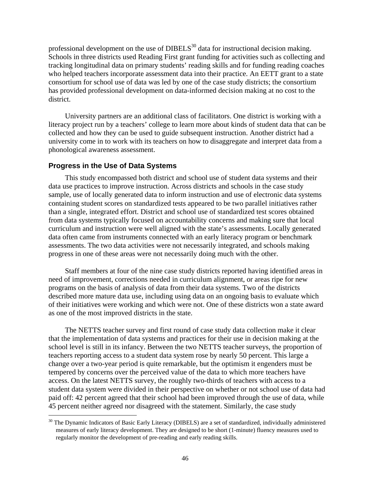professional development on the use of DIBELS<sup>30</sup> data for instructional decision making. Schools in three districts used Reading First grant funding for activities such as collecting and tracking longitudinal data on primary students' reading skills and for funding reading coaches who helped teachers incorporate assessment data into their practice. An EETT grant to a state consortium for school use of data was led by one of the case study districts; the consortium has provided professional development on data-informed decision making at no cost to the district.

University partners are an additional class of facilitators. One district is working with a literacy project run by a teachers' college to learn more about kinds of student data that can be collected and how they can be used to guide subsequent instruction. Another district had a university come in to work with its teachers on how to disaggregate and interpret data from a phonological awareness assessment.

### **Progress in the Use of Data Systems**

 $\overline{a}$ 

This study encompassed both district and school use of student data systems and their data use practices to improve instruction. Across districts and schools in the case study sample, use of locally generated data to inform instruction and use of electronic data systems containing student scores on standardized tests appeared to be two parallel initiatives rather than a single, integrated effort. District and school use of standardized test scores obtained from data systems typically focused on accountability concerns and making sure that local curriculum and instruction were well aligned with the state's assessments. Locally generated data often came from instruments connected with an early literacy program or benchmark assessments. The two data activities were not necessarily integrated, and schools making progress in one of these areas were not necessarily doing much with the other.

Staff members at four of the nine case study districts reported having identified areas in need of improvement, corrections needed in curriculum alignment, or areas ripe for new programs on the basis of analysis of data from their data systems. Two of the districts described more mature data use, including using data on an ongoing basis to evaluate which of their initiatives were working and which were not. One of these districts won a state award as one of the most improved districts in the state.

The NETTS teacher survey and first round of case study data collection make it clear that the implementation of data systems and practices for their use in decision making at the school level is still in its infancy. Between the two NETTS teacher surveys, the proportion of teachers reporting access to a student data system rose by nearly 50 percent. This large a change over a two-year period is quite remarkable, but the optimism it engenders must be tempered by concerns over the perceived value of the data to which more teachers have access. On the latest NETTS survey, the roughly two-thirds of teachers with access to a student data system were divided in their perspective on whether or not school use of data had paid off: 42 percent agreed that their school had been improved through the use of data, while 45 percent neither agreed nor disagreed with the statement. Similarly, the case study

<sup>&</sup>lt;sup>30</sup> The Dynamic Indicators of Basic Early Literacy (DIBELS) are a set of standardized, individually administered measures of early literacy development. They are designed to be short (1-minute) fluency measures used to regularly monitor the development of pre-reading and early reading skills.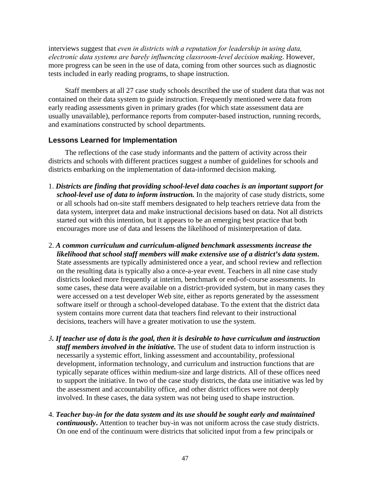interviews suggest that *even in districts with a reputation for leadership in using data, electronic data systems are barely influencing classroom-level decision making*. However, more progress can be seen in the use of data, coming from other sources such as diagnostic tests included in early reading programs, to shape instruction.

Staff members at all 27 case study schools described the use of student data that was not contained on their data system to guide instruction. Frequently mentioned were data from early reading assessments given in primary grades (for which state assessment data are usually unavailable), performance reports from computer-based instruction, running records, and examinations constructed by school departments.

## **Lessons Learned for Implementation**

The reflections of the case study informants and the pattern of activity across their districts and schools with different practices suggest a number of guidelines for schools and districts embarking on the implementation of data-informed decision making.

- 1. *Districts are finding that providing school-level data coaches is an important support for school-level use of data to inform instruction.* In the majority of case study districts, some or all schools had on-site staff members designated to help teachers retrieve data from the data system, interpret data and make instructional decisions based on data. Not all districts started out with this intention, but it appears to be an emerging best practice that both encourages more use of data and lessens the likelihood of misinterpretation of data.
- 2. *A common curriculum and curriculum-aligned benchmark assessments increase the likelihood that school staff members will make extensive use of a district's data system***.** State assessments are typically administered once a year, and school review and reflection on the resulting data is typically also a once-a-year event. Teachers in all nine case study districts looked more frequently at interim, benchmark or end-of-course assessments. In some cases, these data were available on a district-provided system, but in many cases they were accessed on a test developer Web site, either as reports generated by the assessment software itself or through a school-developed database. To the extent that the district data system contains more current data that teachers find relevant to their instructional decisions, teachers will have a greater motivation to use the system.
- *3. If teacher use of data is the goal, then it is desirable to have curriculum and instruction staff members involved in the initiative.* The use of student data to inform instruction is necessarily a systemic effort, linking assessment and accountability, professional development, information technology, and curriculum and instruction functions that are typically separate offices within medium-size and large districts. All of these offices need to support the initiative. In two of the case study districts, the data use initiative was led by the assessment and accountability office, and other district offices were not deeply involved. In these cases, the data system was not being used to shape instruction.
- 4. *Teacher buy-in for the data system and its use should be sought early and maintained continuously***.** Attention to teacher buy-in was not uniform across the case study districts. On one end of the continuum were districts that solicited input from a few principals or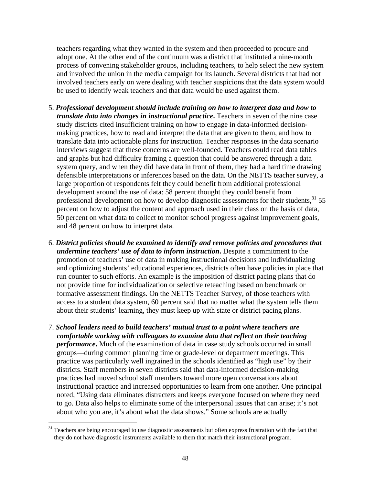teachers regarding what they wanted in the system and then proceeded to procure and adopt one. At the other end of the continuum was a district that instituted a nine-month process of convening stakeholder groups, including teachers, to help select the new system and involved the union in the media campaign for its launch. Several districts that had not involved teachers early on were dealing with teacher suspicions that the data system would be used to identify weak teachers and that data would be used against them.

- 5. *Professional development should include training on how to interpret data and how to translate data into changes in instructional practice***.** Teachers in seven of the nine case study districts cited insufficient training on how to engage in data-informed decisionmaking practices, how to read and interpret the data that are given to them, and how to translate data into actionable plans for instruction. Teacher responses in the data scenario interviews suggest that these concerns are well-founded. Teachers could read data tables and graphs but had difficulty framing a question that could be answered through a data system query, and when they did have data in front of them, they had a hard time drawing defensible interpretations or inferences based on the data. On the NETTS teacher survey, a large proportion of respondents felt they could benefit from additional professional development around the use of data: 58 percent thought they could benefit from professional development on how to develop diagnostic assessments for their students,  $31\,55$ percent on how to adjust the content and approach used in their class on the basis of data, 50 percent on what data to collect to monitor school progress against improvement goals, and 48 percent on how to interpret data.
- 6. *District policies should be examined to identify and remove policies and procedures that undermine teachers' use of data to inform instruction***.** Despite a commitment to the promotion of teachers' use of data in making instructional decisions and individualizing and optimizing students' educational experiences, districts often have policies in place that run counter to such efforts. An example is the imposition of district pacing plans that do not provide time for individualization or selective reteaching based on benchmark or formative assessment findings. On the NETTS Teacher Survey, of those teachers with access to a student data system, 60 percent said that no matter what the system tells them about their students' learning, they must keep up with state or district pacing plans.
- 7. *School leaders need to build teachers' mutual trust to a point where teachers are comfortable working with colleagues to examine data that reflect on their teaching performance***.** Much of the examination of data in case study schools occurred in small groups—during common planning time or grade-level or department meetings. This practice was particularly well ingrained in the schools identified as "high use" by their districts. Staff members in seven districts said that data-informed decision-making practices had moved school staff members toward more open conversations about instructional practice and increased opportunities to learn from one another. One principal noted, "Using data eliminates distracters and keeps everyone focused on where they need to go. Data also helps to eliminate some of the interpersonal issues that can arise; it's not about who you are, it's about what the data shows." Some schools are actually

 $\overline{a}$ 

<sup>&</sup>lt;sup>31</sup> Teachers are being encouraged to use diagnostic assessments but often express frustration with the fact that they do not have diagnostic instruments available to them that match their instructional program.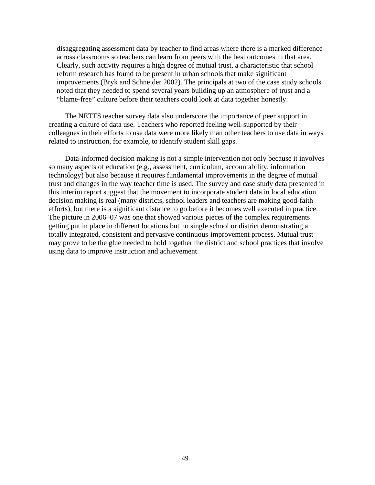disaggregating assessment data by teacher to find areas where there is a marked difference across classrooms so teachers can learn from peers with the best outcomes in that area. Clearly, such activity requires a high degree of mutual trust, a characteristic that school reform research has found to be present in urban schools that make significant improvements (Bryk and Schneider 2002). The principals at two of the case study schools noted that they needed to spend several years building up an atmosphere of trust and a "blame-free" culture before their teachers could look at data together honestly.

The NETTS teacher survey data also underscore the importance of peer support in creating a culture of data use. Teachers who reported feeling well-supported by their colleagues in their efforts to use data were more likely than other teachers to use data in ways related to instruction, for example, to identify student skill gaps.

Data-informed decision making is not a simple intervention not only because it involves so many aspects of education (e.g., assessment, curriculum, accountability, information technology) but also because it requires fundamental improvements in the degree of mutual trust and changes in the way teacher time is used. The survey and case study data presented in this interim report suggest that the movement to incorporate student data in local education decision making is real (many districts, school leaders and teachers are making good-faith efforts), but there is a significant distance to go before it becomes well executed in practice. The picture in 2006–07 was one that showed various pieces of the complex requirements getting put in place in different locations but no single school or district demonstrating a totally integrated, consistent and pervasive continuous-improvement process. Mutual trust may prove to be the glue needed to hold together the district and school practices that involve using data to improve instruction and achievement.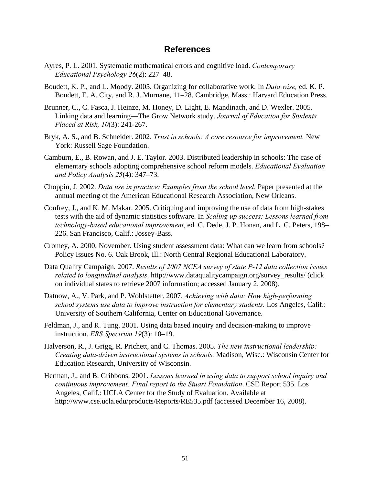## **References**

- Ayres, P. L. 2001. Systematic mathematical errors and cognitive load. *Contemporary Educational Psychology 26*(2): 227–48.
- Boudett, K. P., and L. Moody. 2005. Organizing for collaborative work. In *Data wise,* ed. K. P. Boudett, E. A. City, and R. J. Murnane, 11–28. Cambridge, Mass.: Harvard Education Press.
- Brunner, C., C. Fasca, J. Heinze, M. Honey, D. Light, E. Mandinach, and D. Wexler. 2005. Linking data and learning—The Grow Network study. *Journal of Education for Students Placed at Risk, 10*(3): 241-267.
- Bryk, A. S., and B. Schneider. 2002. *Trust in schools: A core resource for improvement.* New York: Russell Sage Foundation.
- Camburn, E., B. Rowan, and J. E. Taylor. 2003. Distributed leadership in schools: The case of elementary schools adopting comprehensive school reform models. *Educational Evaluation and Policy Analysis 25*(4): 347–73.
- Choppin, J. 2002. *Data use in practice: Examples from the school level.* Paper presented at the annual meeting of the American Educational Research Association, New Orleans.
- Confrey, J., and K. M. Makar. 2005. Critiquing and improving the use of data from high-stakes tests with the aid of dynamic statistics software. In *Scaling up success: Lessons learned from technology-based educational improvement,* ed. C. Dede, J. P. Honan, and L. C. Peters, 198– 226. San Francisco, Calif.: Jossey-Bass.
- Cromey, A. 2000, November. Using student assessment data: What can we learn from schools? Policy Issues No. 6. Oak Brook, Ill.: North Central Regional Educational Laboratory.
- Data Quality Campaign. 2007. *Results of 2007 NCEA survey of state P-12 data collection issues related to longitudinal analysis*. http://www.dataqualitycampaign.org/survey\_results/ (click on individual states to retrieve 2007 information; accessed January 2, 2008).
- Datnow, A., V. Park, and P. Wohlstetter. 2007. *Achieving with data: How high-performing school systems use data to improve instruction for elementary students.* Los Angeles, Calif.: University of Southern California, Center on Educational Governance.
- Feldman, J., and R. Tung. 2001. Using data based inquiry and decision-making to improve instruction. *ERS Spectrum 19*(3): 10–19.
- Halverson, R., J. Grigg, R. Prichett, and C. Thomas. 2005. *The new instructional leadership: Creating data-driven instructional systems in schools.* Madison, Wisc.: Wisconsin Center for Education Research, University of Wisconsin.
- Herman, J., and B. Gribbons. 2001. *Lessons learned in using data to support school inquiry and continuous improvement: Final report to the Stuart Foundation*. CSE Report 535. Los Angeles, Calif.: UCLA Center for the Study of Evaluation. Available at http://www.cse.ucla.edu/products/Reports/RE535.pdf (accessed December 16, 2008).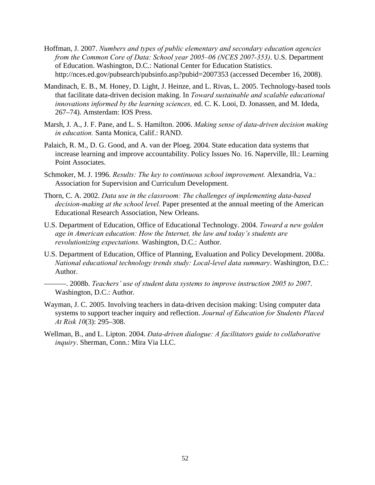- Hoffman, J. 2007. *Numbers and types of public elementary and secondary education agencies from the Common Core of Data: School year 2005–06 (NCES 2007-353)*. U.S. Department of Education. Washington, D.C.: National Center for Education Statistics. http://nces.ed.gov/pubsearch/pubsinfo.asp?pubid=2007353 (accessed December 16, 2008).
- Mandinach, E. B., M. Honey, D. Light, J. Heinze, and L. Rivas, L. 2005. Technology-based tools that facilitate data-driven decision making. In *Toward sustainable and scalable educational innovations informed by the learning sciences,* ed. C. K. Looi, D. Jonassen, and M. Ideda, 267–74). Amsterdam: IOS Press.
- Marsh, J. A., J. F. Pane, and L. S. Hamilton. 2006. *Making sense of data-driven decision making in education.* Santa Monica, Calif.: RAND.
- Palaich, R. M., D. G. Good, and A. van der Ploeg. 2004. State education data systems that increase learning and improve accountability. Policy Issues No. 16. Naperville, Ill.: Learning Point Associates.
- Schmoker, M. J. 1996. *Results: The key to continuous school improvement.* Alexandria, Va.: Association for Supervision and Curriculum Development.
- Thorn, C. A. 2002. *Data use in the classroom: The challenges of implementing data-based decision-making at the school level.* Paper presented at the annual meeting of the American Educational Research Association, New Orleans.
- U.S. Department of Education, Office of Educational Technology. 2004. *Toward a new golden age in American education: How the Internet, the law and today's students are revolutionizing expectations.* Washington, D.C.: Author.
- U.S. Department of Education, Office of Planning, Evaluation and Policy Development. 2008a. *National educational technology trends study: Local-level data summary*. Washington, D.C.: Author.
- ———. 2008b. *Teachers' use of student data systems to improve instruction 2005 to 2007*. Washington, D.C.: Author.
- Wayman, J. C. 2005. Involving teachers in data-driven decision making: Using computer data systems to support teacher inquiry and reflection. *Journal of Education for Students Placed At Risk 10*(3): 295–308.
- Wellman, B., and L. Lipton. 2004. *Data-driven dialogue: A facilitators guide to collaborative inquiry*. Sherman, Conn.: Mira Via LLC.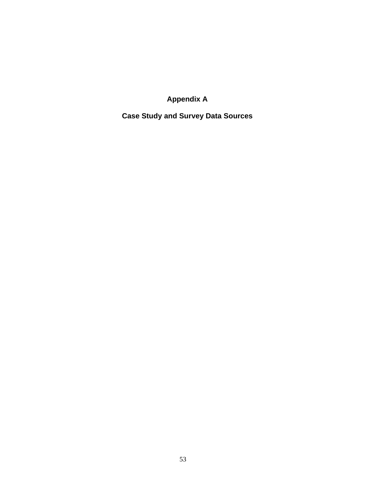**Appendix A** 

**Case Study and Survey Data Sources**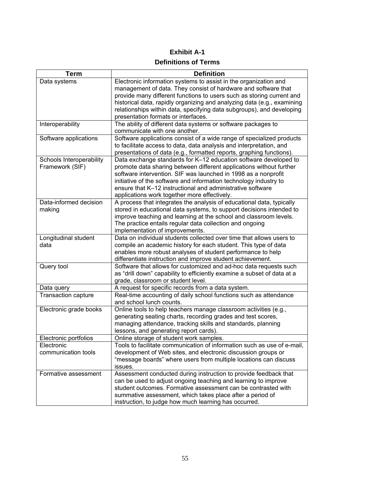# **Exhibit A-1 Definitions of Terms**

| Term                     | <b>Definition</b>                                                                                                               |
|--------------------------|---------------------------------------------------------------------------------------------------------------------------------|
| Data systems             | Electronic information systems to assist in the organization and                                                                |
|                          | management of data. They consist of hardware and software that                                                                  |
|                          | provide many different functions to users such as storing current and                                                           |
|                          | historical data, rapidly organizing and analyzing data (e.g., examining                                                         |
|                          | relationships within data, specifying data subgroups), and developing                                                           |
|                          | presentation formats or interfaces.                                                                                             |
| Interoperability         | The ability of different data systems or software packages to                                                                   |
|                          | communicate with one another.                                                                                                   |
| Software applications    | Software applications consist of a wide range of specialized products                                                           |
|                          | to facilitate access to data, data analysis and interpretation, and                                                             |
|                          | presentations of data (e.g., formatted reports, graphing functions).                                                            |
| Schools Interoperability | Data exchange standards for K-12 education software developed to                                                                |
| Framework (SIF)          | promote data sharing between different applications without further                                                             |
|                          | software intervention. SIF was launched in 1998 as a nonprofit                                                                  |
|                          | initiative of the software and information technology industry to                                                               |
|                          | ensure that K-12 instructional and administrative software                                                                      |
| Data-informed decision   | applications work together more effectively.<br>A process that integrates the analysis of educational data, typically           |
| making                   | stored in educational data systems, to support decisions intended to                                                            |
|                          | improve teaching and learning at the school and classroom levels.                                                               |
|                          | The practice entails regular data collection and ongoing                                                                        |
|                          | implementation of improvements.                                                                                                 |
| Longitudinal student     | Data on individual students collected over time that allows users to                                                            |
| data                     | compile an academic history for each student. This type of data                                                                 |
|                          | enables more robust analyses of student performance to help                                                                     |
|                          | differentiate instruction and improve student achievement.                                                                      |
| Query tool               | Software that allows for customized and ad-hoc data requests such                                                               |
|                          | as "drill down" capability to efficiently examine a subset of data at a                                                         |
|                          | grade, classroom or student level.                                                                                              |
| Data query               | A request for specific records from a data system.                                                                              |
| Transaction capture      | Real-time accounting of daily school functions such as attendance                                                               |
|                          | and school lunch counts.                                                                                                        |
| Electronic grade books   | Online tools to help teachers manage classroom activities (e.g.,                                                                |
|                          | generating seating charts, recording grades and test scores,                                                                    |
|                          | managing attendance, tracking skills and standards, planning                                                                    |
|                          | lessons, and generating report cards).                                                                                          |
| Electronic portfolios    | Online storage of student work samples.                                                                                         |
| <b>Electronic</b>        | Tools to facilitate communication of information such as use of e-mail,                                                         |
| communication tools      | development of Web sites, and electronic discussion groups or                                                                   |
|                          | "message boards" where users from multiple locations can discuss                                                                |
|                          | issues.                                                                                                                         |
| Formative assessment     | Assessment conducted during instruction to provide feedback that                                                                |
|                          | can be used to adjust ongoing teaching and learning to improve<br>student outcomes. Formative assessment can be contrasted with |
|                          | summative assessment, which takes place after a period of                                                                       |
|                          |                                                                                                                                 |
|                          | instruction, to judge how much learning has occurred.                                                                           |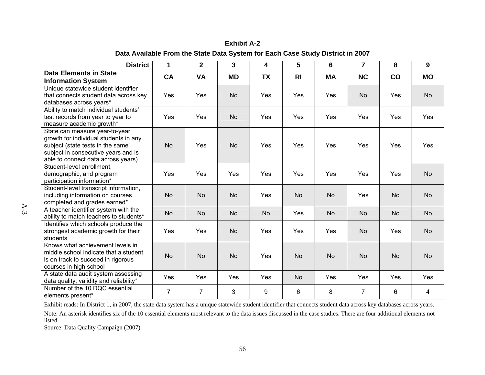| <b>District</b>                                                                                                                                                                          | 1              | $\overline{2}$ | 3         | 4         | 5              | 6         | $\overline{7}$ | 8         | 9         |
|------------------------------------------------------------------------------------------------------------------------------------------------------------------------------------------|----------------|----------------|-----------|-----------|----------------|-----------|----------------|-----------|-----------|
| <b>Data Elements in State</b><br><b>Information System</b>                                                                                                                               | CA             | <b>VA</b>      | <b>MD</b> | <b>TX</b> | R <sub>l</sub> | <b>MA</b> | <b>NC</b>      | co        | <b>MO</b> |
| Unique statewide student identifier<br>that connects student data across key<br>databases across years*                                                                                  | Yes            | Yes            | <b>No</b> | Yes       | Yes            | Yes       | <b>No</b>      | Yes       | <b>No</b> |
| Ability to match individual students'<br>test records from year to year to<br>measure academic growth*                                                                                   | <b>Yes</b>     | Yes            | <b>No</b> | Yes       | Yes            | Yes       | Yes            | Yes       | Yes       |
| State can measure year-to-year<br>growth for individual students in any<br>subject (state tests in the same<br>subject in consecutive years and is<br>able to connect data across years) | <b>No</b>      | Yes            | <b>No</b> | Yes       | Yes            | Yes       | Yes            | Yes       | Yes       |
| Student-level enrollment,<br>demographic, and program<br>participation information*                                                                                                      | Yes            | Yes            | Yes       | Yes       | Yes            | Yes       | Yes            | Yes       | <b>No</b> |
| Student-level transcript information,<br>including information on courses<br>completed and grades earned*                                                                                | <b>No</b>      | <b>No</b>      | <b>No</b> | Yes       | <b>No</b>      | <b>No</b> | Yes            | <b>No</b> | <b>No</b> |
| A teacher identifier system with the<br>ability to match teachers to students*                                                                                                           | <b>No</b>      | <b>No</b>      | <b>No</b> | <b>No</b> | Yes            | <b>No</b> | <b>No</b>      | <b>No</b> | <b>No</b> |
| Identifies which schools produce the<br>strongest academic growth for their<br>students                                                                                                  | Yes            | Yes            | <b>No</b> | Yes       | Yes            | Yes       | <b>No</b>      | Yes       | <b>No</b> |
| Knows what achievement levels in<br>middle school indicate that a student<br>is on track to succeed in rigorous<br>courses in high school                                                | <b>No</b>      | <b>No</b>      | <b>No</b> | Yes       | <b>No</b>      | <b>No</b> | <b>No</b>      | <b>No</b> | <b>No</b> |
| A state data audit system assessing<br>data quality, validity and reliability*                                                                                                           | Yes            | Yes            | Yes       | Yes       | <b>No</b>      | Yes       | Yes            | Yes       | Yes       |
| Number of the 10 DQC essential<br>elements present*                                                                                                                                      | $\overline{7}$ | $\overline{7}$ | 3         | 9         | 6              | 8         | $\overline{7}$ | 6         | 4         |

**Exhibit A-2 Data Available From the State Data System for Each Case Study District in 2007** 

Exhibit reads: In District 1, in 2007, the state data system has a unique statewide student identifier that connects student data across key databases across years.

Note: An asterisk identifies six of the 10 essential elements most relevant to the data issues discussed in the case studies. There are four additional elements not listed.

Source: Data Quality Campaign (2007).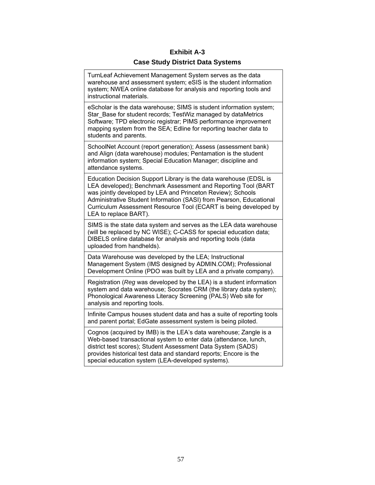# **Exhibit A-3 Case Study District Data Systems**

TurnLeaf Achievement Management System serves as the data warehouse and assessment system; eSIS is the student information system; NWEA online database for analysis and reporting tools and instructional materials.

eScholar is the data warehouse; SIMS is student information system; Star\_Base for student records; TestWiz managed by dataMetrics Software; TPD electronic registrar; PIMS performance improvement mapping system from the SEA; Edline for reporting teacher data to students and parents.

SchoolNet Account (report generation); Assess (assessment bank) and Align (data warehouse) modules; Pentamation is the student information system; Special Education Manager; discipline and attendance systems.

Education Decision Support Library is the data warehouse (EDSL is LEA developed); Benchmark Assessment and Reporting Tool (BART was jointly developed by LEA and Princeton Review); Schools Administrative Student Information (SASI) from Pearson, Educational Curriculum Assessment Resource Tool (ECART is being developed by LEA to replace BART).

SIMS is the state data system and serves as the LEA data warehouse (will be replaced by NC WISE); C-CASS for special education data; DIBELS online database for analysis and reporting tools (data uploaded from handhelds).

Data Warehouse was developed by the LEA; Instructional Management System (IMS designed by ADMIN.COM); Professional Development Online (PDO was built by LEA and a private company).

Registration (*Reg* was developed by the LEA) is a student information system and data warehouse; Socrates CRM (the library data system); Phonological Awareness Literacy Screening (PALS) Web site for analysis and reporting tools.

Infinite Campus houses student data and has a suite of reporting tools and parent portal; EdGate assessment system is being piloted.

Cognos (acquired by IMB) is the LEA's data warehouse; Zangle is a Web-based transactional system to enter data (attendance, lunch, district test scores); Student Assessment Data System (SADS) provides historical test data and standard reports; Encore is the special education system (LEA-developed systems).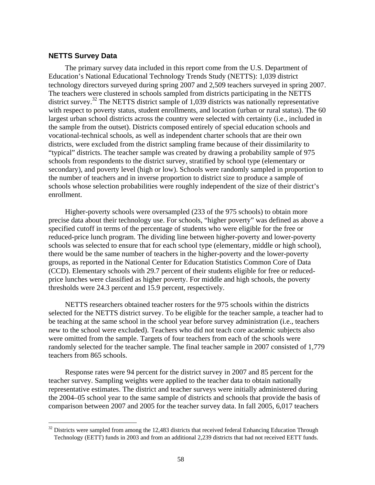## **NETTS Survey Data**

 $\overline{a}$ 

The primary survey data included in this report come from the U.S. Department of Education's National Educational Technology Trends Study (NETTS): 1,039 district technology directors surveyed during spring 2007 and 2,509 teachers surveyed in spring 2007. The teachers were clustered in schools sampled from districts participating in the NETTS district survey.<sup>32</sup> The NETTS district sample of 1,039 districts was nationally representative with respect to poverty status, student enrollments, and location (urban or rural status). The 60 largest urban school districts across the country were selected with certainty (i.e., included in the sample from the outset). Districts composed entirely of special education schools and vocational-technical schools, as well as independent charter schools that are their own districts, were excluded from the district sampling frame because of their dissimilarity to "typical" districts. The teacher sample was created by drawing a probability sample of 975 schools from respondents to the district survey, stratified by school type (elementary or secondary), and poverty level (high or low). Schools were randomly sampled in proportion to the number of teachers and in inverse proportion to district size to produce a sample of schools whose selection probabilities were roughly independent of the size of their district's enrollment.

Higher-poverty schools were oversampled (233 of the 975 schools) to obtain more precise data about their technology use. For schools, "higher poverty" was defined as above a specified cutoff in terms of the percentage of students who were eligible for the free or reduced-price lunch program. The dividing line between higher-poverty and lower-poverty schools was selected to ensure that for each school type (elementary, middle or high school), there would be the same number of teachers in the higher-poverty and the lower-poverty groups, as reported in the National Center for Education Statistics Common Core of Data (CCD). Elementary schools with 29.7 percent of their students eligible for free or reducedprice lunches were classified as higher poverty. For middle and high schools, the poverty thresholds were 24.3 percent and 15.9 percent, respectively.

NETTS researchers obtained teacher rosters for the 975 schools within the districts selected for the NETTS district survey. To be eligible for the teacher sample, a teacher had to be teaching at the same school in the school year before survey administration (i.e., teachers new to the school were excluded). Teachers who did not teach core academic subjects also were omitted from the sample. Targets of four teachers from each of the schools were randomly selected for the teacher sample. The final teacher sample in 2007 consisted of 1,779 teachers from 865 schools.

Response rates were 94 percent for the district survey in 2007 and 85 percent for the teacher survey. Sampling weights were applied to the teacher data to obtain nationally representative estimates. The district and teacher surveys were initially administered during the 2004–05 school year to the same sample of districts and schools that provide the basis of comparison between 2007 and 2005 for the teacher survey data. In fall 2005, 6,017 teachers

<sup>&</sup>lt;sup>32</sup> Districts were sampled from among the 12,483 districts that received federal Enhancing Education Through Technology (EETT) funds in 2003 and from an additional 2,239 districts that had not received EETT funds.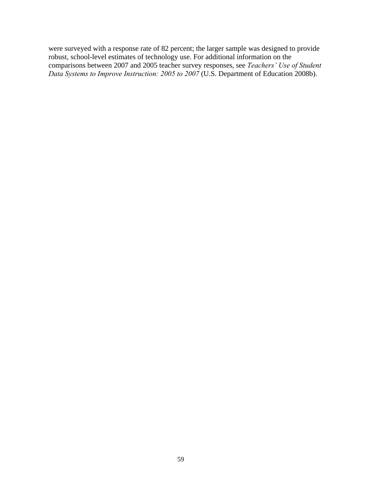were surveyed with a response rate of 82 percent; the larger sample was designed to provide robust, school-level estimates of technology use. For additional information on the comparisons between 2007 and 2005 teacher survey responses, see *Teachers' Use of Student Data Systems to Improve Instruction: 2005 to 2007* (U.S. Department of Education 2008b).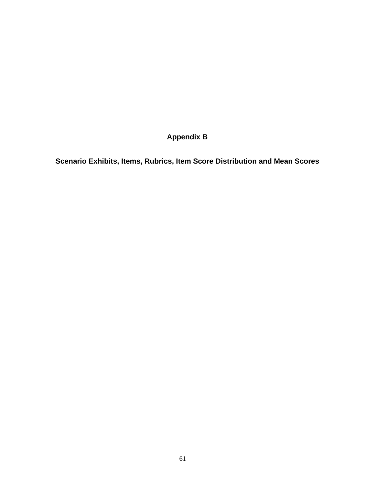**Appendix B** 

**Scenario Exhibits, Items, Rubrics, Item Score Distribution and Mean Scores**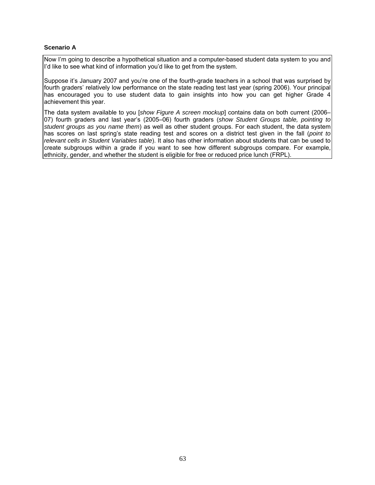## **Scenario A**

Now I'm going to describe a hypothetical situation and a computer-based student data system to you and I'd like to see what kind of information you'd like to get from the system.

Suppose it's January 2007 and you're one of the fourth-grade teachers in a school that was surprised by fourth graders' relatively low performance on the state reading test last year (spring 2006). Your principal has encouraged you to use student data to gain insights into how you can get higher Grade 4 achievement this year.

The data system available to you [*show Figure A screen mockup*] contains data on both current (2006– 07) fourth graders and last year's (2005–06) fourth graders (*show Student Groups table, pointing to student groups as you name them*) as well as other student groups. For each student, the data system has scores on last spring's state reading test and scores on a district test given in the fall (*point to relevant cells in Student Variables table*). It also has other information about students that can be used to create subgroups within a grade if you want to see how different subgroups compare. For example, ethnicity, gender, and whether the student is eligible for free or reduced price lunch (FRPL).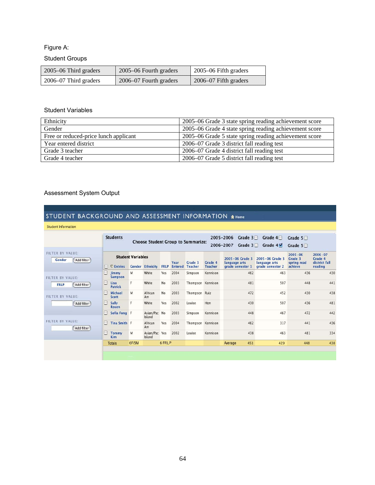# Figure A:

# Student Groups

| 2005–06 Third graders     | 2005–06 Fourth graders | 2005–06 Fifth graders |
|---------------------------|------------------------|-----------------------|
| $2006 - 07$ Third graders | 2006–07 Fourth graders | 2006–07 Fifth graders |

## Student Variables

| Ethnicity                             | 2005–06 Grade 3 state spring reading achievement score |
|---------------------------------------|--------------------------------------------------------|
| Gender                                | 2005–06 Grade 4 state spring reading achievement score |
| Free or reduced-price lunch applicant | 2005–06 Grade 5 state spring reading achievement score |
| Year entered district                 | 2006–07 Grade 3 district fall reading test             |
| Grade 3 teacher                       | 2006–07 Grade 4 district fall reading test             |
| Grade 4 teacher                       | 2006–07 Grade 5 district fall reading test             |

# Assessment System Output

# STUDENT BACKGROUND AND ASSESSMENT INFORMATION & Home

|                                          |                        | <b>Students</b>                                     |       |                         |             |                        | <b>Choose Student Group to Summarize:</b> |                           | 2005-2006<br>Grade $3$<br>2006-2007<br>Grade $3\Box$ | Grade $4\Box$<br>Grade $4\sqrt{ }$                       | Grade $5\square$<br>Grade $5\square$             |                                                    |
|------------------------------------------|------------------------|-----------------------------------------------------|-------|-------------------------|-------------|------------------------|-------------------------------------------|---------------------------|------------------------------------------------------|----------------------------------------------------------|--------------------------------------------------|----------------------------------------------------|
| FILTER BY VALUE:<br>Gender<br>Add filter | ⊟                      | <b>Student Variables</b><br><b><i>C</i></b> Entries |       | <b>Gender Ethnicity</b> | <b>FRLP</b> | Year<br><b>Entered</b> | Grade 3<br><b>Teacher</b>                 | Grade 4<br><b>Teacher</b> | 2005-06 Grade 3<br>language arts<br>grade semester 1 | $2005 - 06$ Grade 3<br>language arts<br>grade semester 2 | $2005 - 06$<br>Grade 3<br>spring read<br>achieve | $2006 - 07$<br>Grade 4<br>district fall<br>reading |
| FILTER BY VALUE:                         | $1 - 1$                | <b>Jimmy</b><br><b>Sampson</b>                      | M     | White                   | Yes         | 2004                   | Simpson                                   | Kennison                  | 462                                                  | 463                                                      | 436                                              | 430                                                |
| Add filter<br><b>FRLP</b>                | <b>June</b>            | Lisa<br>Patrick                                     | F     | White                   | No          | 2003                   | Thompson                                  | Kennison                  | 481                                                  | 507                                                      | 448                                              | 441                                                |
| FILTER BY VALUE:                         | $\sim$                 | Michael<br>Scott                                    | M     | African<br>Am           | No          | 2003                   | Thompson Ruiz                             |                           | 472                                                  | 452                                                      | 430                                              | 438                                                |
| Add filter                               | $\left  \cdot \right $ | Sally<br><b>Rosen</b>                               | F     | White                   | Yes         | 2002                   | Louise                                    | Hon                       | 430                                                  | 507                                                      | 436                                              | 481                                                |
|                                          | $\mathbb{H}$           | Sofia Fong F                                        |       | Asian/Pac No<br>Island  |             | 2003                   | Simpson                                   | Kennison                  | 448                                                  | 467                                                      | 472                                              | 442                                                |
| FILTER BY VALUE:<br>Add filter           | $\mathbb{I}$           | Tina Smith F                                        |       | African<br>Am           | Yes         | 2004                   | Thompson Kennison                         |                           | 462                                                  | 317                                                      | 441                                              | 436                                                |
|                                          | n                      | <b>Tommy</b><br><b>Kim</b>                          | M     | Asian/Pac Yes<br>Island |             | 2002                   | Louise                                    | Kennison                  | 438                                                  | 463                                                      | 481                                              | 334                                                |
|                                          |                        | <b>Totals</b>                                       | 6F/5M |                         | 6 FRLP      |                        |                                           |                           | 451<br>Average                                       | 429                                                      | 448                                              | 438                                                |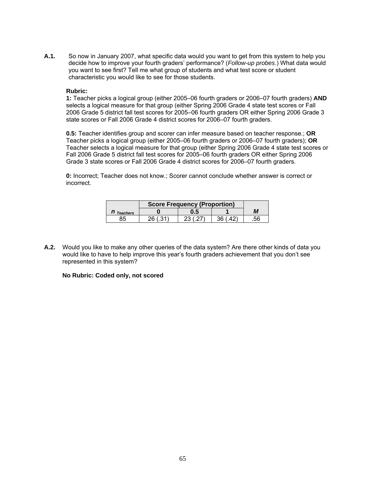**A.1.** So now in January 2007, what specific data would you want to get from this system to help you decide how to improve your fourth graders' performance? (*Follow-up probes*.) What data would you want to see first? Tell me what group of students and what test score or student characteristic you would like to see for those students.

#### **Rubric:**

**1:** Teacher picks a logical group (either 2005–06 fourth graders or 2006–07 fourth graders) **AND** selects a logical measure for that group (either Spring 2006 Grade 4 state test scores or Fall 2006 Grade 5 district fall test scores for 2005–06 fourth graders OR either Spring 2006 Grade 3 state scores or Fall 2006 Grade 4 district scores for 2006–07 fourth graders.

**0.5:** Teacher identifies group and scorer can infer measure based on teacher response.; **OR** Teacher picks a logical group (either 2005–06 fourth graders or 2006–07 fourth graders); **OR** Teacher selects a logical measure for that group (either Spring 2006 Grade 4 state test scores or Fall 2006 Grade 5 district fall test scores for 2005–06 fourth graders OR either Spring 2006 Grade 3 state scores or Fall 2006 Grade 4 district scores for 2006–07 fourth graders.

**0:** Incorrect; Teacher does not know.; Scorer cannot conclude whether answer is correct or incorrect.

|                 | <b>Score Frequency (Proportion)</b> |     |    |    |
|-----------------|-------------------------------------|-----|----|----|
| <b>Teachers</b> |                                     | ບ.ວ |    | IИ |
|                 |                                     |     | າຂ |    |

**A.2.** Would you like to make any other queries of the data system? Are there other kinds of data you would like to have to help improve this year's fourth graders achievement that you don't see represented in this system?

## **No Rubric: Coded only, not scored**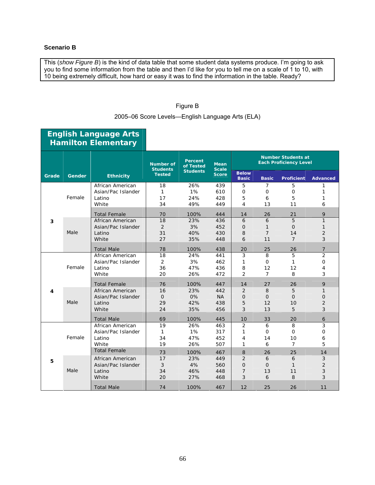## **Scenario B**

This (*show Figure B*) is the kind of data table that some student data systems produce. I'm going to ask you to find some information from the table and then I'd like for you to tell me on a scale of 1 to 10, with 10 being extremely difficult, how hard or easy it was to find the information in the table. Ready?

## Figure B

2005–06 Score Levels—English Language Arts (ELA)

|       |                  | <b>Hamilton Elementary</b> |                                     |                      |                             |                              |                |                                                            |                 |
|-------|------------------|----------------------------|-------------------------------------|----------------------|-----------------------------|------------------------------|----------------|------------------------------------------------------------|-----------------|
|       |                  |                            | <b>Number of</b><br><b>Students</b> | Percent<br>of Tested | <b>Mean</b><br><b>Scale</b> |                              |                | <b>Number Students at</b><br><b>Each Proficiency Level</b> |                 |
| Grade | Gender           | <b>Ethnicity</b>           | <b>Tested</b>                       | <b>Students</b>      | <b>Score</b>                | <b>Below</b><br><b>Basic</b> | <b>Basic</b>   | <b>Proficient</b>                                          | <b>Advanced</b> |
|       |                  | African American           | 18                                  | 26%                  | 439                         | 5                            | 7              | 5                                                          | 1               |
|       |                  | Asian/Pac Islander         | 1                                   | 1%                   | 610                         | $\mathbf 0$                  | 0              | 0                                                          | 1               |
|       | Female           | Latino                     | 17                                  | 24%                  | 428                         | 5                            | 6              | 5                                                          | 1               |
|       |                  | White                      | 34                                  | 49%                  | 449                         | 4                            | 13             | 11                                                         | 6               |
|       |                  | <b>Total Female</b>        | 70                                  | 100%                 | 444                         | 14                           | 26             | 21                                                         | 9               |
| 3     |                  | African American           | 18                                  | 23%                  | 436                         | 6                            | 6              | 5                                                          | $\mathbf{1}$    |
|       |                  | Asian/Pac Islander         | $\overline{2}$                      | 3%                   | 452                         | $\mathsf{O}$                 | $\mathbf{1}$   | $\overline{O}$                                             | 1               |
|       | Male             | Latino                     | 31                                  | 40%                  | 430                         | 8                            | $\overline{7}$ | 14                                                         | $\overline{2}$  |
|       | White            | 27                         | 35%                                 | 448                  | 6                           | 11                           | $\overline{7}$ | 3                                                          |                 |
|       |                  | <b>Total Male</b>          | 78                                  | 100%                 | 438                         | 20                           | 25             | 26                                                         | 7               |
|       | African American | 18                         | 24%                                 | 441                  | 3                           | 8                            | 5              | $\overline{2}$                                             |                 |
|       |                  | Asian/Pac Islander         | $\overline{2}$                      | 3%                   | 462                         | $\mathbf{1}$                 | $\mathbf{O}$   | 1                                                          | $\mathbf{O}$    |
|       | Female           | Latino                     | 36                                  | 47%                  | 436                         | 8                            | 12             | 12                                                         | 4               |
|       |                  | White                      | 20                                  | 26%                  | 472                         | 2                            | $\overline{7}$ | 8                                                          | 3               |
|       |                  | <b>Total Female</b>        | 76                                  | 100%                 | 447                         | 14                           | 27             | 26                                                         | 9               |
| 4     |                  | African American           | 16                                  | 23%                  | 442                         | 2                            | 8              | 5                                                          | $\mathbf{1}$    |
|       |                  | Asian/Pac Islander         | $\overline{O}$                      | 0%                   | <b>NA</b>                   | $\overline{O}$               | $\overline{O}$ | $\Omega$                                                   | $\overline{O}$  |
|       | Male             | Latino                     | 29                                  | 42%                  | 438                         | 5                            | 12             | 10                                                         | $\overline{2}$  |
|       |                  | White                      | 24                                  | 35%                  | 456                         | 3                            | 13             | 5                                                          | 3               |
|       |                  | <b>Total Male</b>          | 69                                  | 100%                 | 445                         | 10                           | 33             | 20                                                         | 6               |
|       |                  | African American           | 19                                  | 26%                  | 463                         | 2                            | 6              | 8                                                          | 3               |
|       |                  | Asian/Pac Islander         | 1                                   | 1%                   | 317                         | $\mathbf{1}$                 | $\mathbf 0$    | 0                                                          | $\mathbf{O}$    |
|       | Female           | Latino                     | 34                                  | 47%                  | 452                         | 4                            | 14             | 10                                                         | 6               |
|       |                  | White                      | 19                                  | 26%                  | 507                         | 1                            | 6              | $\overline{7}$                                             | 5               |
|       |                  | <b>Total Female</b>        | 73                                  | 100%                 | 467                         | 8                            | 26             | 25                                                         | 14              |
| 5     |                  | African American           | 17                                  | 23%                  | 449                         | 2                            | 6              | 6                                                          | 3               |
|       |                  | Asian/Pac Islander         | 3                                   | 4%                   | 560                         | $\overline{O}$               | $\overline{O}$ | $\mathbf{1}$                                               | $\overline{2}$  |
|       | Male             | Latino                     | 34                                  | 46%                  | 448                         | $\overline{7}$               | 13             | 11                                                         | 3               |
|       |                  | White                      | 20                                  | 27%                  | 468                         | 3                            | 6              | 8                                                          | 3               |
|       |                  | <b>Total Male</b>          | 74                                  | 100%                 | 467                         | 12                           | 25             | 26                                                         | 11              |

# **English Language Arts**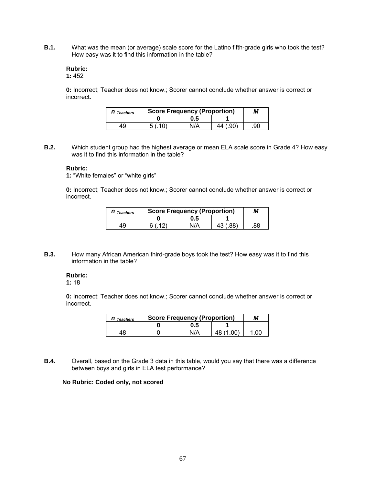**B.1.** What was the mean (or average) scale score for the Latino fifth-grade girls who took the test? How easy was it to find this information in the table?

## **Rubric:**

## **1:** 452

**0:** Incorrect; Teacher does not know.; Scorer cannot conclude whether answer is correct or incorrect.

| $n_{\mathit{\:}~\mathit{\tau}$ Teachers | <b>Score Frequency (Proportion)</b> | М   |          |     |
|-----------------------------------------|-------------------------------------|-----|----------|-----|
|                                         |                                     | 0.5 |          |     |
| 49                                      | 5(10)                               | N/A | 44 (.90) | .90 |

**B.2.** Which student group had the highest average or mean ELA scale score in Grade 4? How easy was it to find this information in the table?

#### **Rubric:**

**1:** "White females" or "white girls"

**0:** Incorrect; Teacher does not know.; Scorer cannot conclude whether answer is correct or incorrect.

| Teachers | <b>Score Frequency (Proportion)</b> |  |  |
|----------|-------------------------------------|--|--|
|          |                                     |  |  |
|          |                                     |  |  |

**B.3.** How many African American third-grade boys took the test? How easy was it to find this information in the table?

#### **Rubric:**

**1:** 18

**0:** Incorrect; Teacher does not know.; Scorer cannot conclude whether answer is correct or incorrect.

| <b>Teachers</b> | <b>Score Frequency (Proportion)</b> | M    |  |    |
|-----------------|-------------------------------------|------|--|----|
|                 |                                     | ს.5  |  |    |
|                 |                                     | NI/A |  | 00 |

**B.4.** Overall, based on the Grade 3 data in this table, would you say that there was a difference between boys and girls in ELA test performance?

## **No Rubric: Coded only, not scored**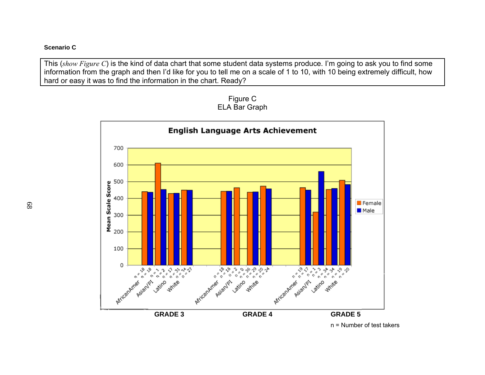## **Scenario C**

This (*show Figure C*) is the kind of data chart that some student data systems produce. I'm going to ask you to find some information from the graph and then I'd like for you to tell me on a scale of 1 to 10, with 10 being extremely difficult, how hard or easy it was to find the information in the chart. Ready?



Figure C ELA Bar Graph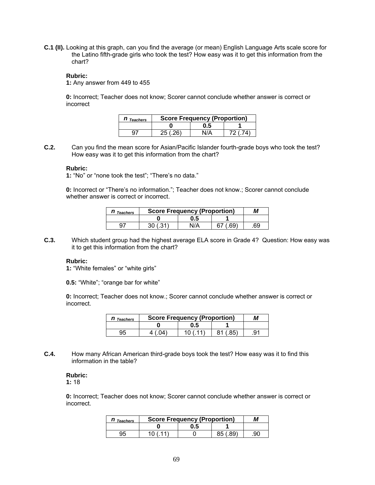**C.1 (II).** Looking at this graph, can you find the average (or mean) English Language Arts scale score for the Latino fifth-grade girls who took the test? How easy was it to get this information from the chart?

#### **Rubric:**

**1:** Any answer from 449 to 455

**0:** Incorrect; Teacher does not know; Scorer cannot conclude whether answer is correct or incorrect

| $n_{\mathit{\:}~\mathit{\tau}$ reachers | <b>Score Frequency (Proportion)</b> |     |  |  |  |  |
|-----------------------------------------|-------------------------------------|-----|--|--|--|--|
|                                         |                                     | 0.5 |  |  |  |  |
|                                         | 20                                  |     |  |  |  |  |

**C.2.** Can you find the mean score for Asian/Pacific Islander fourth-grade boys who took the test? How easy was it to get this information from the chart?

#### **Rubric:**

**1:** "No" or "none took the test"; "There's no data."

**0:** Incorrect or "There's no information."; Teacher does not know.; Scorer cannot conclude whether answer is correct or incorrect.

| <b>Teachers</b> | <b>Score Frequency (Proportion)</b> | M    |           |    |
|-----------------|-------------------------------------|------|-----------|----|
|                 |                                     | 0.5  |           |    |
| 97              | $^{\circ}$<br>30 (                  | NI/Δ | AQ'<br>67 | 69 |

**C.3.** Which student group had the highest average ELA score in Grade 4? Question: How easy was it to get this information from the chart?

#### **Rubric:**

**1:** "White females" or "white girls"

**0.5:** "White"; "orange bar for white"

**0:** Incorrect; Teacher does not know.; Scorer cannot conclude whether answer is correct or incorrect.

| Teachers | <b>Score Frequency (Proportion)</b> |     |  |    |
|----------|-------------------------------------|-----|--|----|
|          |                                     | J.5 |  |    |
|          |                                     |     |  | а1 |

**C.4.** How many African American third-grade boys took the test? How easy was it to find this information in the table?

**Rubric: 1:** 18

**0:** Incorrect; Teacher does not know; Scorer cannot conclude whether answer is correct or incorrect.

| <b><i>I</i></b> Teachers | <b>Score Frequency (Proportion)</b> |  |    |  |  |
|--------------------------|-------------------------------------|--|----|--|--|
|                          | כ.נ                                 |  |    |  |  |
| 35                       |                                     |  | ۵٢ |  |  |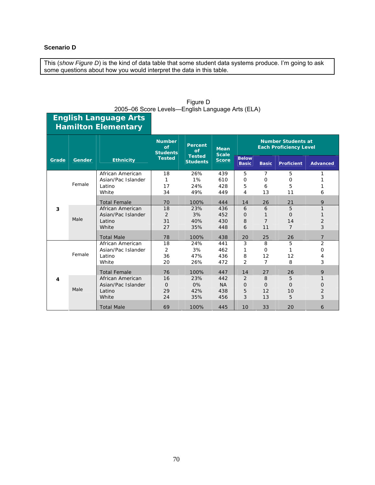## **Scenario D**

**English Language Arts** 

This (*show Figure D*) is the kind of data table that some student data systems produce. I'm going to ask some questions about how you would interpret the data in this table.

|       | <b>Hamilton Elementary</b> |                     |                                                                                                                     |                             |                                                            |                              |                |                   |                 |
|-------|----------------------------|---------------------|---------------------------------------------------------------------------------------------------------------------|-----------------------------|------------------------------------------------------------|------------------------------|----------------|-------------------|-----------------|
|       |                            |                     | <b>Number</b><br><b>Percent</b><br>of<br>of<br><b>Students</b><br><b>Tested</b><br><b>Tested</b><br><b>Students</b> | <b>Mean</b><br><b>Scale</b> | <b>Number Students at</b><br><b>Each Proficiency Level</b> |                              |                |                   |                 |
| Grade | Gender                     | <b>Ethnicity</b>    |                                                                                                                     |                             | <b>Score</b>                                               | <b>Below</b><br><b>Basic</b> | <b>Basic</b>   | <b>Proficient</b> | <b>Advanced</b> |
|       |                            | African American    | 18                                                                                                                  | 26%                         | 439                                                        | 5                            | 7              | 5                 | 1               |
|       |                            | Asian/Pac Islander  | 1                                                                                                                   | 1%                          | 610                                                        | $\Omega$                     | O              | $\Omega$          |                 |
| 3     | Female                     | Latino              | 17                                                                                                                  | 24%                         | 428                                                        | 5                            | 6              | 5                 | 1               |
|       |                            | White               | 34                                                                                                                  | 49%                         | 449                                                        | 4                            | 13             | 11                | 6               |
|       |                            | <b>Total Female</b> | 70                                                                                                                  | 100%                        | 444                                                        | 14                           | 26             | 21                | 9               |
|       | Male                       | African American    | 18                                                                                                                  | 23%                         | 436                                                        | 6                            | 6              | 5                 | 1               |
|       |                            | Asian/Pac Islander  | 2                                                                                                                   | 3%                          | 452                                                        | $\Omega$                     | 1              | $\Omega$          | 1               |
|       |                            | Latino              | 31                                                                                                                  | 40%                         | 430                                                        | 8                            | $\overline{7}$ | 14                | $\overline{2}$  |
|       |                            | White               | 27                                                                                                                  | 35%                         | 448                                                        | 6                            | 11             | $\overline{7}$    | 3               |
|       |                            | <b>Total Male</b>   | 78                                                                                                                  | 100%                        | 438                                                        | 20                           | 25             | 26                | $\overline{7}$  |
|       |                            | African American    | 18                                                                                                                  | 24%                         | 441                                                        | 3                            | 8              | 5                 | 2               |
|       |                            | Asian/Pac Islander  | 2                                                                                                                   | 3%                          | 462                                                        | 1                            | O              | 1                 | $\Omega$        |
|       | Female                     | Latino              | 36                                                                                                                  | 47%                         | 436                                                        | 8                            | 12             | 12                | 4               |
|       |                            | White               | 20                                                                                                                  | 26%                         | 472                                                        | 2                            | 7              | 8                 | 3               |
|       |                            | <b>Total Female</b> | 76                                                                                                                  | 100%                        | 447                                                        | 14                           | 27             | 26                | 9               |
| 4     |                            | African American    | 16                                                                                                                  | 23%                         | 442                                                        | 2                            | 8              | 5                 | 1               |
|       |                            | Asian/Pac Islander  | $\Omega$                                                                                                            | 0%                          | <b>NA</b>                                                  | $\Omega$                     | $\Omega$       | $\Omega$          | 0               |
|       | Male                       | Latino              | 29                                                                                                                  | 42%                         | 438                                                        | 5                            | 12             | 10                | $\overline{2}$  |
|       |                            | White               | 24                                                                                                                  | 35%                         | 456                                                        | 3                            | 13             | 5                 | 3               |
|       |                            | <b>Total Male</b>   | 69                                                                                                                  | 100%                        | 445                                                        | 10                           | 33             | 20                | 6               |

| Figure D                                         |
|--------------------------------------------------|
| 2005–06 Score Levels–English Language Arts (ELA) |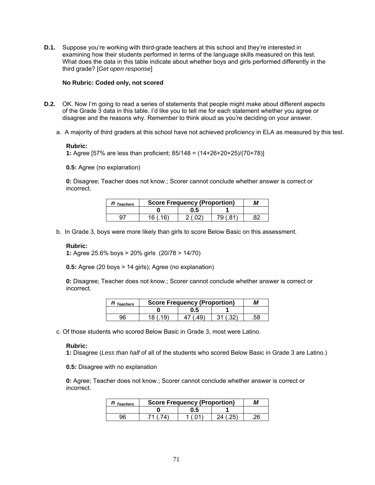**D.1.** Suppose you're working with third-grade teachers at this school and they're interested in examining how their students performed in terms of the language skills measured on this test. What does the data in this table indicate about whether boys and girls performed differently in the third grade? [*Get open response*]

#### **No Rubric: Coded only, not scored**

- **D.2.** OK. Now I'm going to read a series of statements that people might make about different aspects of the Grade 3 data in this table. I'd like you to tell me for each statement whether you agree or disagree and the reasons why. Remember to think aloud as you're deciding on your answer.
	- a. A majority of third graders at this school have not achieved proficiency in ELA as measured by this test.

## **Rubric:**

**1:** Agree [57% are less than proficient; 85/148 = (14+26+20+25)/(70+78)]

**0.5:** Agree (no explanation)

**0:** Disagree; Teacher does not know.; Scorer cannot conclude whether answer is correct or incorrect.

| <b>Teachers</b> |    | <b>Score Frequency (Proportion)</b> |    |  |  |
|-----------------|----|-------------------------------------|----|--|--|
|                 |    | 0.5                                 |    |  |  |
|                 | 16 |                                     | 79 |  |  |

b. In Grade 3, boys were more likely than girls to score Below Basic on this assessment.

## **Rubric:**

**1:** Agree 25.6% boys > 20% girls (20/78 > 14/70)

**0.5:** Agree (20 boys > 14 girls); Agree (no explanation)

**0:** Disagree; Teacher does not know.; Scorer cannot conclude whether answer is correct or incorrect.

| <b>Teachers</b> | <b>Score Frequency (Proportion)</b> | M |     |
|-----------------|-------------------------------------|---|-----|
|                 |                                     |   |     |
| 96              | 18                                  |   | .58 |

c. Of those students who scored Below Basic in Grade 3, most were Latino.

#### **Rubric:**

**1:** Disagree (*Less than half* of all of the students who scored Below Basic in Grade 3 are Latino.)

**0.5:** Disagree with no explanation

**0:** Agree; Teacher does not know.; Scorer cannot conclude whether answer is correct or incorrect.

| <b>Teachers</b> | <b>Score Frequency (Proportion)</b> | M    |    |    |
|-----------------|-------------------------------------|------|----|----|
|                 |                                     | U. 5 |    |    |
| ۹R              |                                     |      | つぶ | ገድ |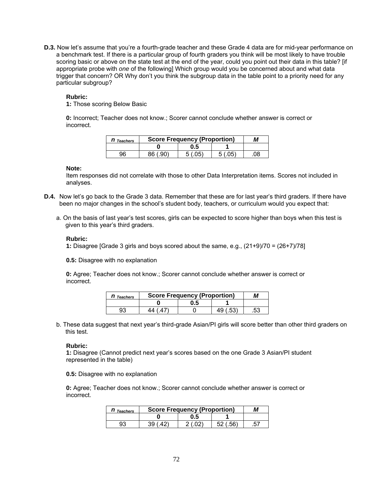**D.3.** Now let's assume that you're a fourth-grade teacher and these Grade 4 data are for mid-year performance on a benchmark test. If there is a particular group of fourth graders you think will be most likely to have trouble scoring basic or above on the state test at the end of the year, could you point out their data in this table? [if appropriate probe with *one* of the following] Which group would you be concerned about and what data trigger that concern? OR Why don't you think the subgroup data in the table point to a priority need for any particular subgroup?

#### **Rubric:**

**1:** Those scoring Below Basic

**0:** Incorrect; Teacher does not know.; Scorer cannot conclude whether answer is correct or incorrect.

| <b>Teachers</b> | <b>Score Frequency (Proportion)</b> |      |     | M  |
|-----------------|-------------------------------------|------|-----|----|
|                 |                                     | J.5  |     |    |
| 96              | an۱<br>86                           | _በድ` | በፍ` | 08 |

#### **Note:**

Item responses did not correlate with those to other Data Interpretation items. Scores not included in analyses.

- **D.4.** Now let's go back to the Grade 3 data. Remember that these are for last year's third graders. If there have been no major changes in the school's student body, teachers, or curriculum would you expect that:
	- a. On the basis of last year's test scores, girls can be expected to score higher than boys when this test is given to this year's third graders.

#### **Rubric:**

**1:** Disagree [Grade 3 girls and boys scored about the same, e.g., (21+9)/70 = (26+7)/78]

**0.5:** Disagree with no explanation

**0:** Agree; Teacher does not know.; Scorer cannot conclude whether answer is correct or incorrect.

| II Teachers |    | <b>Score Frequency (Proportion)</b> |     |     |  |
|-------------|----|-------------------------------------|-----|-----|--|
|             |    | U. 5                                |     |     |  |
| 93          | 44 |                                     | 49. | .53 |  |

b. These data suggest that next year's third-grade Asian/PI girls will score better than other third graders on this test.

#### **Rubric:**

**1:** Disagree (Cannot predict next year's scores based on the one Grade 3 Asian/PI student represented in the table)

**0.5:** Disagree with no explanation

**0:** Agree; Teacher does not know.; Scorer cannot conclude whether answer is correct or incorrect.

| <b>Teachers</b> | <b>Score Frequency (Proportion)</b> |  |  |
|-----------------|-------------------------------------|--|--|
|                 |                                     |  |  |
| 92              |                                     |  |  |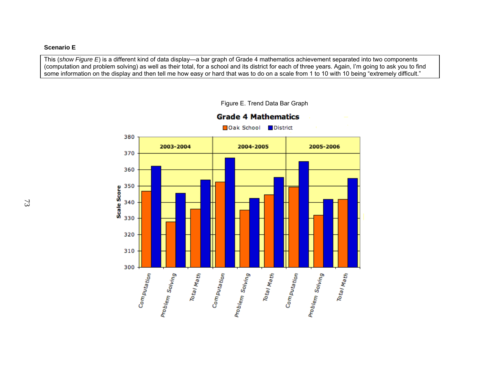## **Scenario E**

This (*show Figure E*) is a different kind of data display—a bar graph of Grade 4 mathematics achievement separated into two components (computation and problem solving) as well as their total, for a school and its district for each of three years. Again, I'm going to ask you to find some information on the display and then tell me how easy or hard that was to do on a scale from 1 to 10 with 10 being "extremely difficult."



Figure E. Trend Data Bar Graph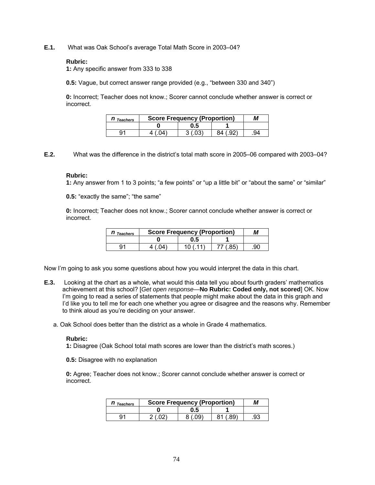**E.1.** What was Oak School's average Total Math Score in 2003–04?

#### **Rubric:**

**1:** Any specific answer from 333 to 338

**0.5:** Vague, but correct answer range provided (e.g., "between 330 and 340")

**0:** Incorrect; Teacher does not know.; Scorer cannot conclude whether answer is correct or incorrect.

| <b>Teachers</b> | <b>Score Frequency (Proportion)</b> |  |    |  |
|-----------------|-------------------------------------|--|----|--|
|                 | ს.ხ                                 |  |    |  |
| ٩1              |                                     |  | 94 |  |

**E.2.** What was the difference in the district's total math score in 2005–06 compared with 2003–04?

#### **Rubric:**

**1:** Any answer from 1 to 3 points; "a few points" or "up a little bit" or "about the same" or "similar"

**0.5:** "exactly the same"; "the same"

**0:** Incorrect; Teacher does not know.; Scorer cannot conclude whether answer is correct or incorrect.

| <b>Teachers</b> | <b>Score Frequency (Proportion)</b> | М   |  |     |
|-----------------|-------------------------------------|-----|--|-----|
|                 |                                     | 0.5 |  |     |
|                 |                                     |     |  | .90 |

Now I'm going to ask you some questions about how you would interpret the data in this chart.

**E.3.** Looking at the chart as a whole, what would this data tell you about fourth graders' mathematics achievement at this school? [*Get open response—***No Rubric: Coded only, not scored**] OK. Now I'm going to read a series of statements that people might make about the data in this graph and I'd like you to tell me for each one whether you agree or disagree and the reasons why. Remember to think aloud as you're deciding on your answer.

a. Oak School does better than the district as a whole in Grade 4 mathematics.

#### **Rubric:**

**1:** Disagree (Oak School total math scores are lower than the district's math scores.)

**0.5:** Disagree with no explanation

**0:** Agree; Teacher does not know.; Scorer cannot conclude whether answer is correct or incorrect.

| <b>Teachers</b> | <b>Score Frequency (Proportion)</b> | М   |  |    |
|-----------------|-------------------------------------|-----|--|----|
|                 |                                     | J.G |  |    |
| Q۱              |                                     |     |  | 93 |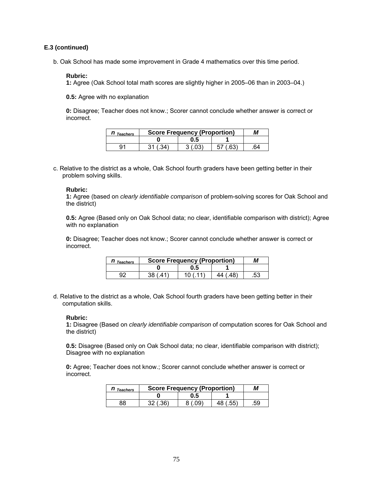## **E.3 (continued)**

b. Oak School has made some improvement in Grade 4 mathematics over this time period.

#### **Rubric:**

**1:** Agree (Oak School total math scores are slightly higher in 2005–06 than in 2003–04.)

**0.5:** Agree with no explanation

**0:** Disagree; Teacher does not know.; Scorer cannot conclude whether answer is correct or incorrect.

| <b>Teachers</b> | <b>Score Frequency (Proportion)</b> |  |    |  |
|-----------------|-------------------------------------|--|----|--|
|                 | ม.๖                                 |  |    |  |
|                 |                                     |  | 64 |  |

c. Relative to the district as a whole, Oak School fourth graders have been getting better in their problem solving skills.

#### **Rubric:**

**1:** Agree (based on *clearly identifiable comparison* of problem-solving scores for Oak School and the district)

**0.5:** Agree (Based only on Oak School data; no clear, identifiable comparison with district); Agree with no explanation

**0:** Disagree; Teacher does not know.; Scorer cannot conclude whether answer is correct or incorrect.

| <b>Teachers</b> | <b>Score Frequency (Proportion)</b> |  |     |  |  |
|-----------------|-------------------------------------|--|-----|--|--|
|                 | U. 5                                |  |     |  |  |
|                 |                                     |  | .53 |  |  |

d. Relative to the district as a whole, Oak School fourth graders have been getting better in their computation skills.

#### **Rubric:**

**1:** Disagree (Based on *clearly identifiable comparison* of computation scores for Oak School and the district)

**0.5:** Disagree (Based only on Oak School data; no clear, identifiable comparison with district); Disagree with no explanation

**0:** Agree; Teacher does not know.; Scorer cannot conclude whether answer is correct or incorrect.

| II Teachers | <b>Score Frequency (Proportion)</b> |     |    | М   |
|-------------|-------------------------------------|-----|----|-----|
|             |                                     | U.5 |    |     |
| 38          | ່າຂາ                                |     | 48 | .59 |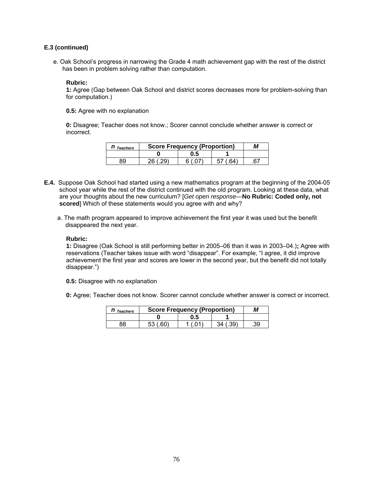## **E.3 (continued)**

e. Oak School's progress in narrowing the Grade 4 math achievement gap with the rest of the district has been in problem solving rather than computation.

#### **Rubric:**

**1:** Agree (Gap between Oak School and district scores decreases more for problem-solving than for computation.)

**0.5:** Agree with no explanation

**0:** Disagree; Teacher does not know.; Scorer cannot conclude whether answer is correct or incorrect.

| <b>Teachers</b> |    | <b>Score Frequency (Proportion)</b> |  |    |
|-----------------|----|-------------------------------------|--|----|
|                 |    | J.G                                 |  |    |
|                 | ገፎ |                                     |  | 67 |

- **E.4.** Suppose Oak School had started using a new mathematics program at the beginning of the 2004-05 school year while the rest of the district continued with the old program. Looking at these data, what are your thoughts about the new curriculum? [*Get open response—***No Rubric: Coded only, not scored**] Which of these statements would you agree with and why?
	- a. The math program appeared to improve achievement the first year it was used but the benefit disappeared the next year.

#### **Rubric:**

**1:** Disagree (Oak School is still performing better in 2005–06 than it was in 2003–04.)**;** Agree with reservations (Teacher takes issue with word "disappear". For example, "I agree, it did improve achievement the first year and scores are lower in the second year, but the benefit did not totally disappear.")

**0.5:** Disagree with no explanation

**0:** Agree; Teacher does not know. Scorer cannot conclude whether answer is correct or incorrect.

| <b>Teachers</b> | <b>Score Frequency (Proportion)</b> |     |  | M   |
|-----------------|-------------------------------------|-----|--|-----|
|                 |                                     | ს.5 |  |     |
| 38              |                                     |     |  | .39 |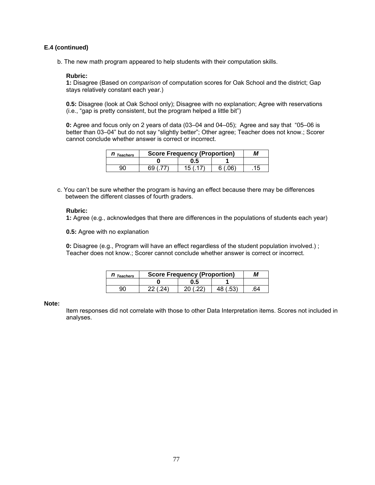## **E.4 (continued)**

b. The new math program appeared to help students with their computation skills.

#### **Rubric:**

**1:** Disagree (Based on *comparison* of computation scores for Oak School and the district; Gap stays relatively constant each year.)

**0.5:** Disagree (look at Oak School only); Disagree with no explanation; Agree with reservations (i.e., "gap is pretty consistent, but the program helped a little bit")

**0:** Agree and focus only on 2 years of data (03–04 and 04–05); Agree and say that "05–06 is better than 03–04" but do not say "slightly better"; Other agree; Teacher does not know.; Scorer cannot conclude whether answer is correct or incorrect.

| <b>Teachers</b> | <b>Score Frequency (Proportion)</b> |     |     | M |
|-----------------|-------------------------------------|-----|-----|---|
|                 |                                     | ს.5 |     |   |
| gr              | 69                                  | 15. | ∩פ′ |   |

c. You can't be sure whether the program is having an effect because there may be differences between the different classes of fourth graders.

#### **Rubric:**

**1:** Agree (e.g., acknowledges that there are differences in the populations of students each year)

**0.5:** Agree with no explanation

**0:** Disagree (e.g., Program will have an effect regardless of the student population involved.) ; Teacher does not know.; Scorer cannot conclude whether answer is correct or incorrect.

| <b>Teachers</b> | <b>Score Frequency (Proportion)</b> |    | М |
|-----------------|-------------------------------------|----|---|
|                 | 0.5                                 |    |   |
|                 |                                     | よつ |   |

#### **Note:**

Item responses did not correlate with those to other Data Interpretation items. Scores not included in analyses.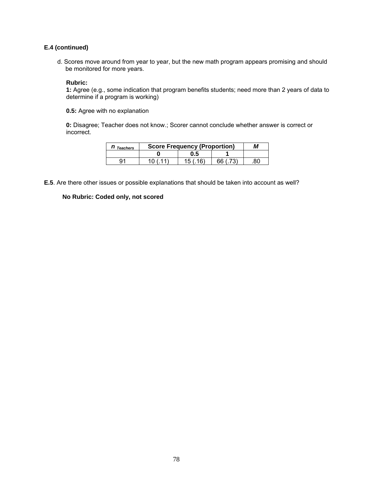## **E.4 (continued)**

d. Scores move around from year to year, but the new math program appears promising and should be monitored for more years.

#### **Rubric:**

**1:** Agree (e.g., some indication that program benefits students; need more than 2 years of data to determine if a program is working)

**0.5:** Agree with no explanation

**0:** Disagree; Teacher does not know.; Scorer cannot conclude whether answer is correct or incorrect.

| <b>Teachers</b> | <b>Score Frequency (Proportion)</b> |    |  |
|-----------------|-------------------------------------|----|--|
|                 | 0.5                                 |    |  |
|                 |                                     | 66 |  |

**E.5**. Are there other issues or possible explanations that should be taken into account as well?

## **No Rubric: Coded only, not scored**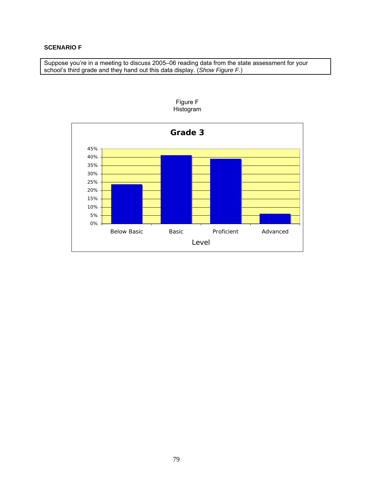## **SCENARIO F**

Suppose you're in a meeting to discuss 2005–06 reading data from the state assessment for your school's third grade and they hand out this data display. (*Show Figure F.*)



Figure F Histogram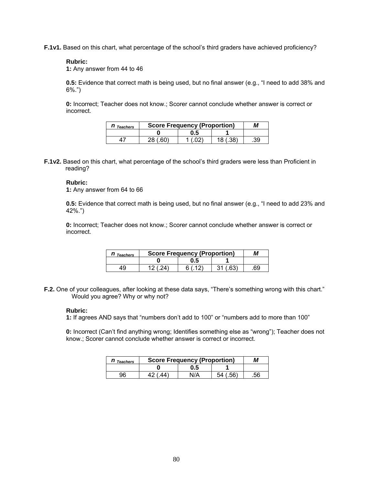**F.1v1.** Based on this chart, what percentage of the school's third graders have achieved proficiency?

#### **Rubric:**

**1:** Any answer from 44 to 46

**0.5:** Evidence that correct math is being used, but no final answer (e.g., "I need to add 38% and 6%.")

**0:** Incorrect; Teacher does not know.; Scorer cannot conclude whether answer is correct or incorrect.

| <b>II</b> Teachers |    | <b>Score Frequency (Proportion)</b> |    |     |
|--------------------|----|-------------------------------------|----|-----|
|                    |    | U.5                                 |    |     |
|                    | າຂ |                                     | 18 | .39 |

**F.1v2.** Based on this chart, what percentage of the school's third graders were less than Proficient in reading?

## **Rubric:**

**1:** Any answer from 64 to 66

**0.5:** Evidence that correct math is being used, but no final answer (e.g., "I need to add 23% and 42%.")

**0:** Incorrect; Teacher does not know.; Scorer cannot conclude whether answer is correct or incorrect.

| <b>Teachers</b> | <b>Score Frequency (Proportion)</b> |      |    |
|-----------------|-------------------------------------|------|----|
|                 | U.5                                 |      |    |
|                 |                                     | - 21 | 69 |

**F.2.** One of your colleagues, after looking at these data says, "There's something wrong with this chart." Would you agree? Why or why not?

#### **Rubric:**

**1:** If agrees AND says that "numbers don't add to 100" or "numbers add to more than 100"

**0:** Incorrect (Can't find anything wrong; Identifies something else as "wrong"); Teacher does not know.; Scorer cannot conclude whether answer is correct or incorrect.

| <b>Teachers</b> | <b>Score Frequency (Proportion)</b> |      |           | М   |
|-----------------|-------------------------------------|------|-----------|-----|
|                 |                                     | 0.5  |           |     |
| 96              | 4 A V                               | \I/A | ER'<br>54 | .56 |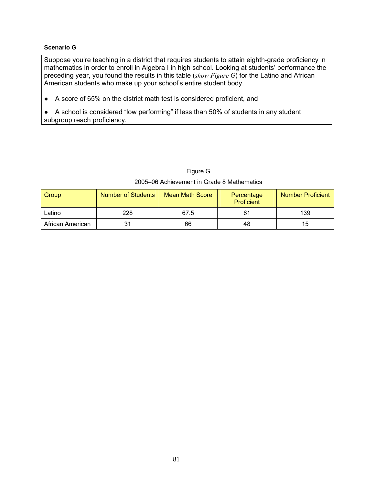## **Scenario G**

Suppose you're teaching in a district that requires students to attain eighth-grade proficiency in mathematics in order to enroll in Algebra I in high school. Looking at students' performance the preceding year, you found the results in this table (*show Figure G*) for the Latino and African American students who make up your school's entire student body.

● A score of 65% on the district math test is considered proficient, and

● A school is considered "low performing" if less than 50% of students in any student subgroup reach proficiency.

# Figure G 2005–06 Achievement in Grade 8 Mathematics

| Group            | <b>Number of Students</b> | <b>Mean Math Score</b> | Percentage<br><b>Proficient</b> | <b>Number Proficient</b> |
|------------------|---------------------------|------------------------|---------------------------------|--------------------------|
| Latino           | 228                       | 67.5                   | 61                              | 139                      |
| African American | 31                        | 66                     | 48                              | 15                       |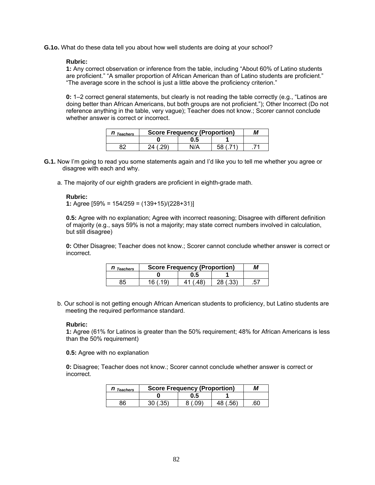**G.1o.** What do these data tell you about how well students are doing at your school?

#### **Rubric:**

**1:** Any correct observation or inference from the table, including "About 60% of Latino students are proficient." "A smaller proportion of African American than of Latino students are proficient." "The average score in the school is just a little above the proficiency criterion."

**0:** 1–2 correct general statements, but clearly is not reading the table correctly (e.g., "Latinos are doing better than African Americans, but both groups are not proficient."); Other Incorrect (Do not reference anything in the table, very vague); Teacher does not know.; Scorer cannot conclude whether answer is correct or incorrect.

| <b>Teachers</b> | <b>Score Frequency (Proportion)</b> |    |  |  |
|-----------------|-------------------------------------|----|--|--|
|                 | כ.ע                                 |    |  |  |
|                 |                                     | 58 |  |  |

- **G.1.** Now I'm going to read you some statements again and I'd like you to tell me whether you agree or disagree with each and why.
	- a. The majority of our eighth graders are proficient in eighth-grade math.

#### **Rubric:**

**1:** Agree [59% = 154/259 = (139+15)/(228+31)]

**0.5:** Agree with no explanation; Agree with incorrect reasoning; Disagree with different definition of majority (e.g., says 59% is not a majority; may state correct numbers involved in calculation, but still disagree)

**0:** Other Disagree; Teacher does not know.; Scorer cannot conclude whether answer is correct or incorrect.

| <b>Teachers</b> | <b>Score Frequency (Proportion)</b> |     |    |  |
|-----------------|-------------------------------------|-----|----|--|
|                 |                                     | 0.5 |    |  |
|                 |                                     |     | ספ |  |

b. Our school is not getting enough African American students to proficiency, but Latino students are meeting the required performance standard.

#### **Rubric:**

**1:** Agree (61% for Latinos is greater than the 50% requirement; 48% for African Americans is less than the 50% requirement)

**0.5:** Agree with no explanation

**0:** Disagree; Teacher does not know.; Scorer cannot conclude whether answer is correct or incorrect.

| <b>Teachers</b> | <b>Score Frequency (Proportion)</b> | М   |                  |    |
|-----------------|-------------------------------------|-----|------------------|----|
|                 |                                     | 0.5 |                  |    |
| 86              | つにい                                 |     | <b>EG)</b><br>48 | 60 |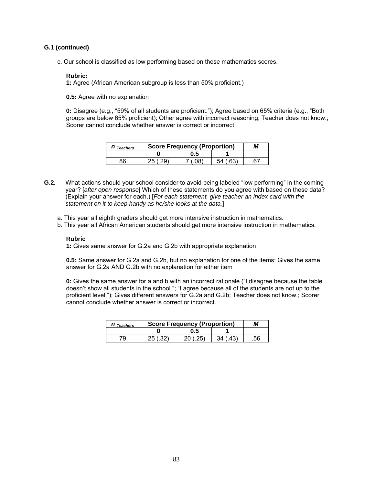## **G.1 (continued)**

c. Our school is classified as low performing based on these mathematics scores.

#### **Rubric:**

**1:** Agree (African American subgroup is less than 50% proficient.)

**0.5:** Agree with no explanation

**0:** Disagree (e.g., "59% of all students are proficient."); Agree based on 65% criteria (e.g., "Both groups are below 65% proficient); Other agree with incorrect reasoning; Teacher does not know.; Scorer cannot conclude whether answer is correct or incorrect.

| Teachers | <b>Score Frequency (Proportion)</b> | M   |    |    |
|----------|-------------------------------------|-----|----|----|
|          |                                     | ม.๖ |    |    |
| ۹6.      |                                     |     | 54 | 67 |

- **G.2.** What actions should your school consider to avoid being labeled "low performing" in the coming year? [*after open response*] Which of these statements do you agree with based on these data? (Explain your answer for each.) [*For each statement, give teacher an index card with the statement on it to keep handy as he/she looks at the data.*]
	- a. This year all eighth graders should get more intensive instruction in mathematics.
	- b. This year all African American students should get more intensive instruction in mathematics.

#### **Rubric**

**1:** Gives same answer for G.2a and G.2b with appropriate explanation

**0.5:** Same answer for G.2a and G.2b, but no explanation for one of the items; Gives the same answer for G.2a AND G.2b with no explanation for either item

**0:** Gives the same answer for a and b with an incorrect rationale ("I disagree because the table doesn't show all students in the school."; "I agree because all of the students are not up to the proficient level."); Gives different answers for G.2a and G.2b; Teacher does not know.; Scorer cannot conclude whether answer is correct or incorrect.

| <b>Teachers</b> | <b>Score Frequency (Proportion)</b> |     |    |    |
|-----------------|-------------------------------------|-----|----|----|
|                 |                                     | U.5 |    |    |
|                 |                                     |     | κ. | 56 |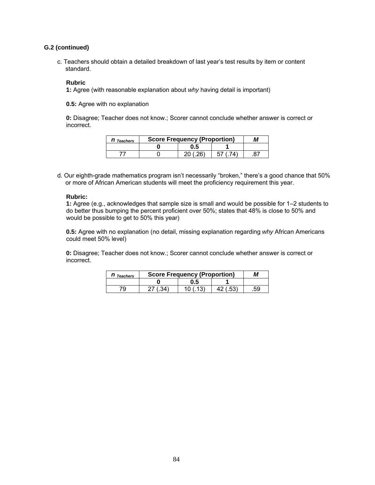## **G.2 (continued)**

c. Teachers should obtain a detailed breakdown of last year's test results by item or content standard.

#### **Rubric**

**1:** Agree (with reasonable explanation about *why* having detail is important)

**0.5:** Agree with no explanation

**0:** Disagree; Teacher does not know.; Scorer cannot conclude whether answer is correct or incorrect.

| l Teachers | <b>Score Frequency (Proportion)</b> |     |  |  |
|------------|-------------------------------------|-----|--|--|
|            |                                     | ს.5 |  |  |
|            |                                     |     |  |  |

d. Our eighth-grade mathematics program isn't necessarily "broken," there's a good chance that 50% or more of African American students will meet the proficiency requirement this year.

#### **Rubric:**

**1:** Agree (e.g., acknowledges that sample size is small and would be possible for 1–2 students to do better thus bumping the percent proficient over 50%; states that 48% is close to 50% and would be possible to get to 50% this year)

**0.5:** Agree with no explanation (no detail, missing explanation regarding *why* African Americans could meet 50% level)

**0:** Disagree; Teacher does not know.; Scorer cannot conclude whether answer is correct or incorrect.

| <b>Teachers</b> | <b>Score Frequency (Proportion)</b> | М   |  |     |
|-----------------|-------------------------------------|-----|--|-----|
|                 |                                     | J.5 |  |     |
| '9              |                                     |     |  | .59 |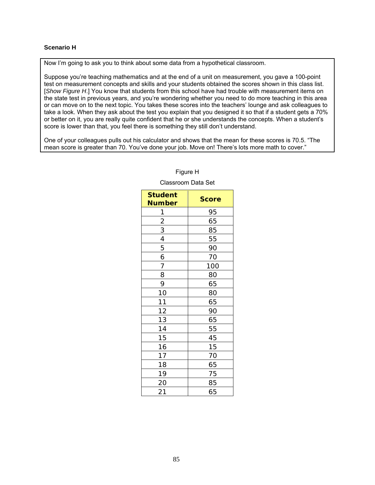## **Scenario H**

Now I'm going to ask you to think about some data from a hypothetical classroom.

Suppose you're teaching mathematics and at the end of a unit on measurement, you gave a 100-point test on measurement concepts and skills and your students obtained the scores shown in this class list. [*Show Figure H*.] You know that students from this school have had trouble with measurement items on the state test in previous years, and you're wondering whether you need to do more teaching in this area or can move on to the next topic. You takes these scores into the teachers' lounge and ask colleagues to take a look. When they ask about the test you explain that you designed it so that if a student gets a 70% or better on it, you are really quite confident that he or she understands the concepts. When a student's score is lower than that, you feel there is something they still don't understand.

One of your colleagues pulls out his calculator and shows that the mean for these scores is 70.5. "The mean score is greater than 70. You've done your job. Move on! There's lots more math to cover."

| <b>Student</b><br><b>Number</b> | <b>Score</b> |
|---------------------------------|--------------|
|                                 | 95           |
| $\frac{1}{2}$ $\frac{2}{3}$     | 65           |
|                                 | 85           |
| $\overline{4}$                  | 55           |
| 5                               | 90           |
| 6                               | 70           |
| 7                               | 100          |
| 8                               | 80           |
| 9                               | 65           |
| 10                              | 80           |
| 11                              | 65           |
| 12                              | 90           |
| 13                              | 65           |
| 14                              | 55           |
| 15                              | 45           |
| 16                              | 15           |
| 17                              | 70           |
| 18                              | 65           |
| 19                              | 75           |
| 20                              | 85           |
| 21                              | 65           |

## Figure H

#### Classroom Data Set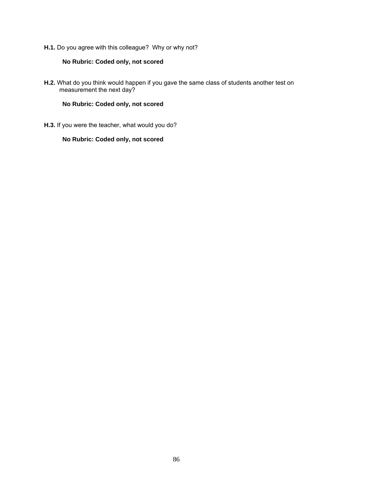**H.1.** Do you agree with this colleague? Why or why not?

## **No Rubric: Coded only, not scored**

**H.2.** What do you think would happen if you gave the same class of students another test on measurement the next day?

## **No Rubric: Coded only, not scored**

**H.3.** If you were the teacher, what would you do?

## **No Rubric: Coded only, not scored**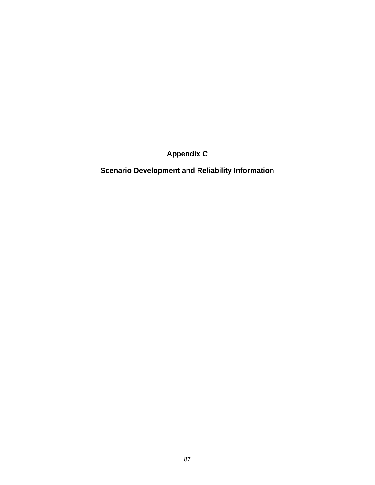**Appendix C** 

**Scenario Development and Reliability Information**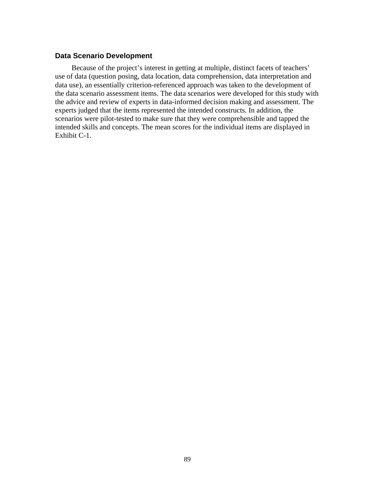## **Data Scenario Development**

Because of the project's interest in getting at multiple, distinct facets of teachers' use of data (question posing, data location, data comprehension, data interpretation and data use), an essentially criterion-referenced approach was taken to the development of the data scenario assessment items. The data scenarios were developed for this study with the advice and review of experts in data-informed decision making and assessment. The experts judged that the items represented the intended constructs. In addition, the scenarios were pilot-tested to make sure that they were comprehensible and tapped the intended skills and concepts. The mean scores for the individual items are displayed in Exhibit C-1.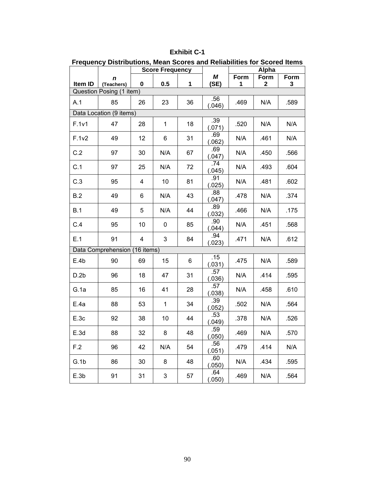#### **Exhibit C-1**

| <b>Frequency Distributions, Mean Scores and Reliabilities for Scored Items</b> |                               |                        |              |    |               |       |              |      |  |
|--------------------------------------------------------------------------------|-------------------------------|------------------------|--------------|----|---------------|-------|--------------|------|--|
|                                                                                |                               | <b>Score Frequency</b> |              |    |               | Alpha |              |      |  |
|                                                                                | n                             |                        |              |    | М             | Form  | Form         | Form |  |
| Item ID                                                                        | (Teachers)                    | 0                      | 0.5          | 1  | (SE)          | 1     | $\mathbf{2}$ | 3    |  |
|                                                                                | Question Posing (1 item)      |                        |              |    |               |       |              |      |  |
| A.1                                                                            | 85                            | 26                     | 23           | 36 | .56<br>(.046) | .469  | N/A          | .589 |  |
|                                                                                | Data Location (9 items)       |                        |              |    |               |       |              |      |  |
| F.1v1                                                                          | 47                            | 28                     | $\mathbf{1}$ | 18 | .39<br>(.071) | .520  | N/A          | N/A  |  |
| F.1v2                                                                          | 49                            | 12                     | 6            | 31 | .69<br>(.062) | N/A   | .461         | N/A  |  |
| C.2                                                                            | 97                            | 30                     | N/A          | 67 | .69<br>(.047) | N/A   | .450         | .566 |  |
| C.1                                                                            | 97                            | 25                     | N/A          | 72 | .74<br>(.045) | N/A   | .493         | .604 |  |
| C.3                                                                            | 95                            | 4                      | 10           | 81 | .91<br>(.025) | N/A   | .481         | .602 |  |
| B.2                                                                            | 49                            | 6                      | N/A          | 43 | .88<br>(.047) | .478  | N/A          | .374 |  |
| B.1                                                                            | 49                            | 5                      | N/A          | 44 | .89<br>(.032) | .466  | N/A          | .175 |  |
| C.4                                                                            | 95                            | 10                     | $\mathbf 0$  | 85 | .90<br>(.044) | N/A   | .451         | .568 |  |
| E.1                                                                            | 91                            | 4                      | 3            | 84 | .94<br>(.023) | .471  | N/A          | .612 |  |
|                                                                                | Data Comprehension (16 items) |                        |              |    |               |       |              |      |  |
| E.4b                                                                           | 90                            | 69                     | 15           | 6  | .15<br>(.031) | .475  | N/A          | .589 |  |
| D.2b                                                                           | 96                            | 18                     | 47           | 31 | .57<br>(.036) | N/A   | .414         | .595 |  |
| G.1a                                                                           | 85                            | 16                     | 41           | 28 | .57<br>(.038) | N/A   | .458         | .610 |  |
| E.4a                                                                           | 88                            | 53                     | $\mathbf{1}$ | 34 | .39<br>(.052) | .502  | N/A          | .564 |  |
| E.3c                                                                           | 92                            | 38                     | 10           | 44 | .53<br>(.049) | .378  | N/A          | .526 |  |
| E.3d                                                                           | 88                            | 32                     | 8            | 48 | .59<br>(.050) | .469  | N/A          | .570 |  |
| F.2                                                                            | 96                            | 42                     | N/A          | 54 | .56<br>(.051) | .479  | .414         | N/A  |  |
| G.1b                                                                           | 86                            | 30                     | 8            | 48 | .60<br>(.050) | N/A   | .434         | .595 |  |
| E.3b                                                                           | 91                            | 31                     | 3            | 57 | .64<br>(.050) | .469  | N/A          | .564 |  |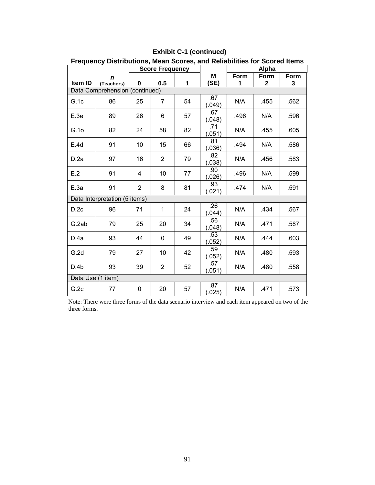| Frequency Distributions, Mean Scores, and Reliabilities for Scored Items |                               |                        |                |    |               |      |       |      |
|--------------------------------------------------------------------------|-------------------------------|------------------------|----------------|----|---------------|------|-------|------|
|                                                                          |                               | <b>Score Frequency</b> |                |    |               |      | Alpha |      |
|                                                                          | n                             |                        |                |    | Μ             | Form | Form  | Form |
| Item ID                                                                  | (Teachers)                    | 0                      | 0.5            | 1  | (SE)          | 1    | 2     | 3    |
| Data Comprehension (continued)                                           |                               |                        |                |    |               |      |       |      |
| G.1c                                                                     | 86                            | 25                     | 7              | 54 | .67<br>(.049) | N/A  | .455  | .562 |
| E.3e                                                                     | 89                            | 26                     | 6              | 57 | .67<br>(.048) | .496 | N/A   | .596 |
| G.1o                                                                     | 82                            | 24                     | 58             | 82 | .71<br>(.051) | N/A  | .455  | .605 |
| E.4d                                                                     | 91                            | 10                     | 15             | 66 | .81<br>(.036) | .494 | N/A   | .586 |
| D.2a                                                                     | 97                            | 16                     | $\overline{2}$ | 79 | .82<br>(.038) | N/A  | .456  | .583 |
| E.2                                                                      | 91                            | 4                      | 10             | 77 | .90<br>(.026) | .496 | N/A   | .599 |
| E.3a                                                                     | 91                            | $\overline{2}$         | 8              | 81 | .93<br>(.021) | .474 | N/A   | .591 |
|                                                                          | Data Interpretation (5 items) |                        |                |    |               |      |       |      |
| D.2c                                                                     | 96                            | 71                     | 1              | 24 | .26<br>(.044) | N/A  | .434  | .567 |
| G.2ab                                                                    | 79                            | 25                     | 20             | 34 | .56<br>(.048) | N/A  | .471  | .587 |
| D.4a                                                                     | 93                            | 44                     | 0              | 49 | .53<br>(.052) | N/A  | .444  | .603 |
| G.2d                                                                     | 79                            | 27                     | 10             | 42 | .59<br>(.052) | N/A  | .480  | .593 |
| D.4b                                                                     | 93                            | 39                     | $\overline{2}$ | 52 | .57<br>(.051) | N/A  | .480  | .558 |
| Data Use (1 item)                                                        |                               |                        |                |    |               |      |       |      |
| G.2c                                                                     | 77                            | 0                      | 20             | 57 | .87<br>(.025) | N/A  | .471  | .573 |

## **Exhibit C-1 (continued)**

Note: There were three forms of the data scenario interview and each item appeared on two of the three forms.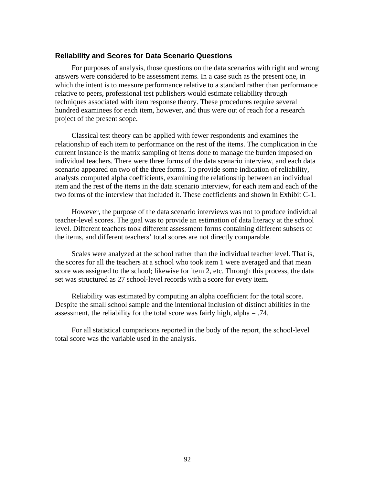## **Reliability and Scores for Data Scenario Questions**

For purposes of analysis, those questions on the data scenarios with right and wrong answers were considered to be assessment items. In a case such as the present one, in which the intent is to measure performance relative to a standard rather than performance relative to peers, professional test publishers would estimate reliability through techniques associated with item response theory. These procedures require several hundred examinees for each item, however, and thus were out of reach for a research project of the present scope.

Classical test theory can be applied with fewer respondents and examines the relationship of each item to performance on the rest of the items. The complication in the current instance is the matrix sampling of items done to manage the burden imposed on individual teachers. There were three forms of the data scenario interview, and each data scenario appeared on two of the three forms. To provide some indication of reliability, analysts computed alpha coefficients, examining the relationship between an individual item and the rest of the items in the data scenario interview, for each item and each of the two forms of the interview that included it. These coefficients and shown in Exhibit C-1.

However, the purpose of the data scenario interviews was not to produce individual teacher-level scores. The goal was to provide an estimation of data literacy at the school level. Different teachers took different assessment forms containing different subsets of the items, and different teachers' total scores are not directly comparable.

Scales were analyzed at the school rather than the individual teacher level. That is, the scores for all the teachers at a school who took item 1 were averaged and that mean score was assigned to the school; likewise for item 2, etc. Through this process, the data set was structured as 27 school-level records with a score for every item.

Reliability was estimated by computing an alpha coefficient for the total score. Despite the small school sample and the intentional inclusion of distinct abilities in the assessment, the reliability for the total score was fairly high, alpha = .74.

For all statistical comparisons reported in the body of the report, the school-level total score was the variable used in the analysis.